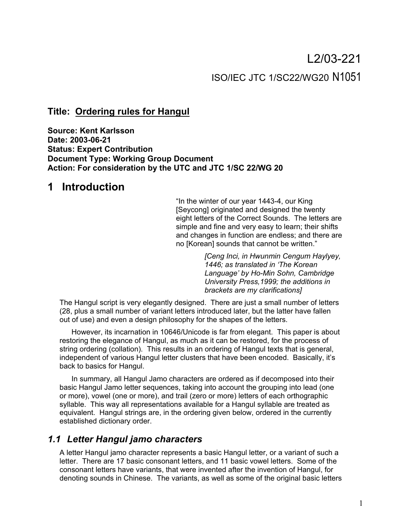# L2/03-221 ISO/IEC JTC 1/SC22/WG20 N1051

### **Title: Ordering rules for Hangul**

**Source: Kent Karlsson Date: 2003-06-21 Status: Expert Contribution Document Type: Working Group Document Action: For consideration by the UTC and JTC 1/SC 22/WG 20**

## **1 Introduction**

"In the winter of our year 1443-4, our King [Seycong] originated and designed the twenty eight letters of the Correct Sounds. The letters are simple and fine and very easy to learn; their shifts and changes in function are endless; and there are no [Korean] sounds that cannot be written."

> *[Ceng Inci, in Hwunmin Cengum Haylyey, 1446; as translated in 'The Korean Language' by Ho-Min Sohn, Cambridge University Press,1999; the additions in brackets are my clarifications]*

The Hangul script is very elegantly designed. There are just a small number of letters (28, plus a small number of variant letters introduced later, but the latter have fallen out of use) and even a design philosophy for the shapes of the letters.

However, its incarnation in 10646/Unicode is far from elegant. This paper is about restoring the elegance of Hangul, as much as it can be restored, for the process of string ordering (collation). This results in an ordering of Hangul texts that is general, independent of various Hangul letter clusters that have been encoded. Basically, it's back to basics for Hangul.

In summary, all Hangul Jamo characters are ordered as if decomposed into their basic Hangul Jamo letter sequences, taking into account the grouping into lead (one or more), vowel (one or more), and trail (zero or more) letters of each orthographic syllable. This way all representations available for a Hangul syllable are treated as equivalent. Hangul strings are, in the ordering given below, ordered in the currently established dictionary order.

## *1.1 Letter Hangul jamo characters*

A letter Hangul jamo character represents a basic Hangul letter, or a variant of such a letter. There are 17 basic consonant letters, and 11 basic vowel letters. Some of the consonant letters have variants, that were invented after the invention of Hangul, for denoting sounds in Chinese. The variants, as well as some of the original basic letters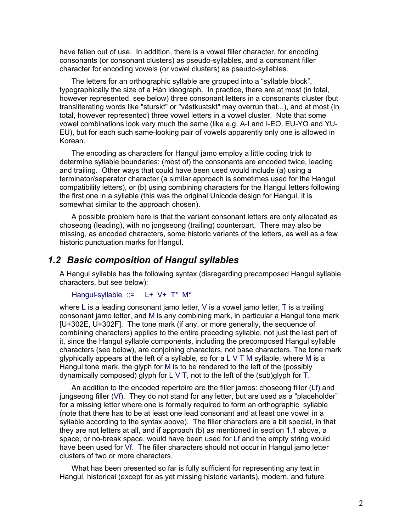have fallen out of use. In addition, there is a vowel filler character, for encoding consonants (or consonant clusters) as pseudo-syllables, and a consonant filler character for encoding vowels (or vowel clusters) as pseudo-syllables.

The letters for an orthographic syllable are grouped into a "syllable block", typographically the size of a Hàn ideograph. In practice, there are at most (in total, however represented, see below) three consonant letters in a consonants cluster (but transliterating words like "sturskt" or "västkustskt" may overrun that...), and at most (in total, however represented) three vowel letters in a vowel cluster. Note that some vowel combinations look very much the same (like e.g. A-I and I-EO, EU-YO and YU-EU), but for each such same-looking pair of vowels apparently only one is allowed in Korean.

The encoding as characters for Hangul jamo employ a little coding trick to determine syllable boundaries: (most of) the consonants are encoded twice, leading and trailing. Other ways that could have been used would include (a) using a terminator/separator character (a similar approach is sometimes used for the Hangul compatibility letters), or (b) using combining characters for the Hangul letters following the first one in a syllable (this was the original Unicode design for Hangul, it is somewhat similar to the approach chosen).

A possible problem here is that the variant consonant letters are only allocated as choseong (leading), with no jongseong (trailing) counterpart. There may also be missing, as encoded characters, some historic variants of the letters, as well as a few historic punctuation marks for Hangul.

### *1.2 Basic composition of Hangul syllables*

A Hangul syllable has the following syntax (disregarding precomposed Hangul syllable characters, but see below):

```
Hangul-syllable ::= L+ V+ T* M*
```
where L is a leading consonant jamo letter, V is a vowel jamo letter, T is a trailing consonant jamo letter, and M is any combining mark, in particular a Hangul tone mark [U+302E, U+302F]. The tone mark (if any, or more generally, the sequence of combining characters) applies to the entire preceding syllable, not just the last part of it, since the Hangul syllable components, including the precomposed Hangul syllable characters (see below), are conjoining characters, not base characters. The tone mark glyphically appears at the left of a syllable, so for a L V T M syllable, where M is a Hangul tone mark, the glyph for M is to be rendered to the left of the (possibly dynamically composed) glyph for  $L \vee T$ , not to the left of the (sub)glyph for T.

An addition to the encoded repertoire are the filler jamos: choseong filler (Lf) and jungseong filler (Vf). They do not stand for any letter, but are used as a "placeholder" for a missing letter where one is formally required to form an orthographic syllable (note that there has to be at least one lead consonant and at least one vowel in a syllable according to the syntax above). The filler characters are a bit special, in that they are not letters at all, and if approach (b) as mentioned in section 1.1 above, a space, or no-break space, would have been used for Lf and the empty string would have been used for Vf. The filler characters should not occur in Hangul jamo letter clusters of two or more characters.

What has been presented so far is fully sufficient for representing any text in Hangul, historical (except for as yet missing historic variants), modern, and future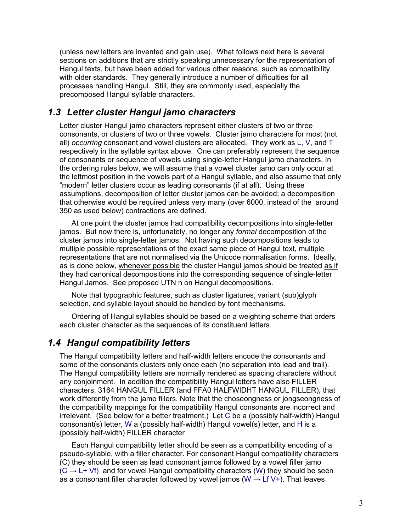(unless new letters are invented and gain use). What follows next here is several sections on additions that are strictly speaking unnecessary for the representation of Hangul texts, but have been added for various other reasons, such as compatibility with older standards. They generally introduce a number of difficulties for all processes handling Hangul. Still, they are commonly used, especially the precomposed Hangul syllable characters.

## *1.3 Letter cluster Hangul jamo characters*

Letter cluster Hangul jamo characters represent either clusters of two or three consonants, or clusters of two or three vowels. Cluster jamo characters for most (not all) *occurring* consonant and vowel clusters are allocated. They work as L, V, and T respectively in the syllable syntax above. One can preferably represent the sequence of consonants or sequence of vowels using single-letter Hangul jamo characters. In the ordering rules below, we will assume that a vowel cluster jamo can only occur at the leftmost position in the vowels part of a Hangul syllable, and also assume that only "modern" letter clusters occur as leading consonants (if at all). Using these assumptions, decomposition of letter cluster jamos can be avoided; a decomposition that otherwise would be required unless very many (over 6000, instead of the around 350 as used below) contractions are defined.

At one point the cluster jamos had compatibility decompositions into single-letter jamos. But now there is, unfortunately, no longer any *formal* decomposition of the cluster jamos into single-letter jamos. Not having such decompositions leads to multiple possible representations of the exact same piece of Hangul text, multiple representations that are not normalised via the Unicode normalisation forms. Ideally, as is done below, whenever possible the cluster Hangul jamos should be treated as if they had canonical decompositions into the corresponding sequence of single-letter Hangul Jamos. See proposed UTN n on Hangul decompositions.

Note that typographic features, such as cluster ligatures, variant (sub)glyph selection, and syllable layout should be handled by font mechanisms.

Ordering of Hangul syllables should be based on a weighting scheme that orders each cluster character as the sequences of its constituent letters.

## *1.4 Hangul compatibility letters*

The Hangul compatibility letters and half-width letters encode the consonants and some of the consonants clusters only once each (no separation into lead and trail). The Hangul compatibility letters are normally rendered as spacing characters without any conjoinment. In addition the compatibility Hangul letters have also FILLER characters, 3164 HANGUL FILLER (and FFA0 HALFWIDHT HANGUL FILLER), that work differently from the jamo fillers. Note that the choseongness or jongseongness of the compatibility mappings for the compatibility Hangul consonants are incorrect and irrelevant. (See below for a better treatment.) Let C be a (possibly half-width) Hangul consonant(s) letter, W a (possibly half-width) Hangul vowel(s) letter, and H is a (possibly half-width) FILLER character

Each Hangul compatibility letter should be seen as a compatibility encoding of a pseudo-syllable, with a filler character. For consonant Hangul compatibility characters (C) they should be seen as lead consonant jamos followed by a vowel filler jamo  $(C \rightarrow L+Vf)$  and for vowel Hangul compatibility characters (W) they should be seen as a consonant filler character followed by vowel jamos (W  $\rightarrow$  Lf V+). That leaves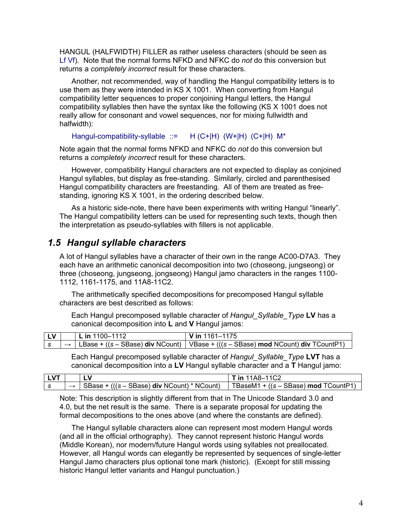HANGUL (HALFWIDTH) FILLER as rather useless characters (should be seen as Lf Vf). Note that the normal forms NFKD and NFKC do *not* do this conversion but returns a *completely incorrect* result for these characters.

Another, not recommended, way of handling the Hangul compatibility letters is to use them as they were intended in KS X 1001. When converting from Hangul compatibility letter sequences to proper conjoining Hangul letters, the Hangul compatibility syllables then have the syntax like the following (KS X 1001 does not really allow for consonant and vowel sequences, nor for mixing fullwidth and halfwidth):

Hangul-compatibility-syllable ::= H (C+|H) (W+|H) (C+|H) M\*

Note again that the normal forms NFKD and NFKC do *not* do this conversion but returns a *completely incorrect* result for these characters.

However, compatibility Hangul characters are not expected to display as conjoined Hangul syllables, but display as free-standing. Similarly, circled and parenthesised Hangul compatibility characters are freestanding. All of them are treated as freestanding, ignoring KS X 1001, in the ordering described below.

As a historic side-note, there have been experiments with writing Hangul "linearly". The Hangul compatibility letters can be used for representing such texts, though then the interpretation as pseudo-syllables with fillers is not applicable.

## *1.5 Hangul syllable characters*

A lot of Hangul syllables have a character of their own in the range AC00-D7A3. They each have an arithmetic canonical decomposition into two (choseong, jungseong) or three (choseong, jungseong, jongseong) Hangul jamo characters in the ranges 1100- 1112, 1161-1175, and 11A8-11C2.

The arithmetically specified decompositions for precomposed Hangul syllable characters are best described as follows:

Each Hangul precomposed syllable character of *Hangul\_Syllable\_Type* **LV** has a canonical decomposition into **L** and **V** Hangul jamos:

| l LV | □ L in 1100–1112 | $V$ in 1161–1175                                                                                             |
|------|------------------|--------------------------------------------------------------------------------------------------------------|
|      |                  | $\vert \rightarrow \vert$ LBase + ((s – SBase) div NCount)   VBase + (((s – SBase) mod NCount) div TCountP1) |

Each Hangul precomposed syllable character of *Hangul\_Syllable\_Type* **LVT** has a canonical decomposition into a **LV** Hangul syllable character and a **T** Hangul jamo:

|  |                                                           | <b>in</b> 11A8–11C2                             |
|--|-----------------------------------------------------------|-------------------------------------------------|
|  | $\frac{1}{2}$ SBase + (((s – SBase) div NCount) * NCount) | TBaseM1 + $((s - SBase) \text{ mod } TCountP1)$ |

Note: This description is slightly different from that in The Unicode Standard 3.0 and 4.0, but the net result is the same. There is a separate proposal for updating the formal decompositions to the ones above (and where the constants are defined).

The Hangul syllable characters alone can represent most modern Hangul words (and all in the official orthography). They cannot represent historic Hangul words (Middle Korean), nor modern/future Hangul words using syllables not preallocated. However, all Hangul words can elegantly be represented by sequences of single-letter Hangul Jamo characters plus optional tone mark (historic). (Except for still missing historic Hangul letter variants and Hangul punctuation.)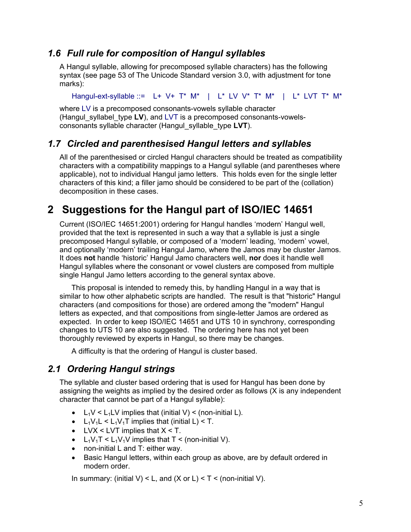## *1.6 Full rule for composition of Hangul syllables*

A Hangul syllable, allowing for precomposed syllable characters) has the following syntax (see page 53 of The Unicode Standard version 3.0, with adjustment for tone marks):

Hangul-ext-syllable ::= L+ V+ T\* M\* | L\* LV V\* T\* M\* | L\* LVT T\* M\*

where LV is a precomposed consonants-vowels syllable character (Hangul\_syllabel\_type **LV**), and LVT is a precomposed consonants-vowelsconsonants syllable character (Hangul\_syllable\_type **LVT**).

## *1.7 Circled and parenthesised Hangul letters and syllables*

All of the parenthesised or circled Hangul characters should be treated as compatibility characters with a compatibility mappings to a Hangul syllable (and parentheses where applicable), not to individual Hangul jamo letters. This holds even for the single letter characters of this kind; a filler jamo should be considered to be part of the (collation) decomposition in these cases.

## **2 Suggestions for the Hangul part of ISO/IEC 14651**

Current (ISO/IEC 14651:2001) ordering for Hangul handles 'modern' Hangul well, provided that the text is represented in such a way that a syllable is just a single precomposed Hangul syllable, or composed of a 'modern' leading, 'modern' vowel, and optionally 'modern' trailing Hangul Jamo, where the Jamos may be cluster Jamos. It does **not** handle 'historic' Hangul Jamo characters well, **nor** does it handle well Hangul syllables where the consonant or vowel clusters are composed from multiple single Hangul Jamo letters according to the general syntax above.

This proposal is intended to remedy this, by handling Hangul in a way that is similar to how other alphabetic scripts are handled. The result is that "historic" Hangul characters (and compositions for those) are ordered among the "modern" Hangul letters as expected, and that compositions from single-letter Jamos are ordered as expected. In order to keep ISO/IEC 14651 and UTS 10 in synchrony, corresponding changes to UTS 10 are also suggested. The ordering here has not yet been thoroughly reviewed by experts in Hangul, so there may be changes.

A difficulty is that the ordering of Hangul is cluster based.

## *2.1 Ordering Hangul strings*

The syllable and cluster based ordering that is used for Hangul has been done by assigning the weights as implied by the desired order as follows (X is any independent character that cannot be part of a Hangul syllable):

- $L_1 V \leq L_1 LV$  implies that (initial V)  $\leq$  (non-initial L).
- $L_1V_1L < L_1V_1T$  implies that (initial L) < T.
- LVX < LVT implies that  $X < T$ .
- L<sub>1</sub>V<sub>1</sub>T < L<sub>1</sub>V<sub>1</sub>V implies that T < (non-initial V).
- non-initial L and T: either way.
- Basic Hangul letters, within each group as above, are by default ordered in modern order.

In summary: (initial V) < L, and  $(X \text{ or } L) < T <$  (non-initial V).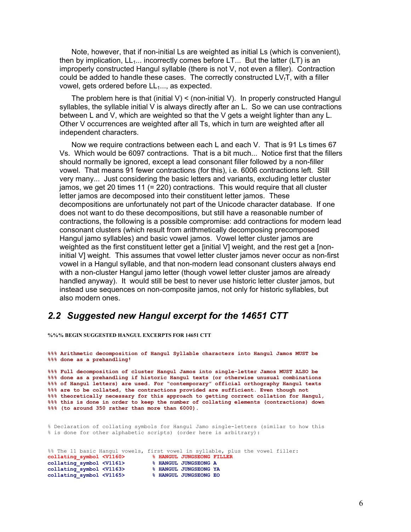Note, however, that if non-initial Ls are weighted as initial Ls (which is convenient), then by implication,  $LL_{1...}$  incorrectly comes before  $LT_{1...}$  But the latter (LT) is an improperly constructed Hangul syllable (there is not V, not even a filler). Contraction could be added to handle these cases. The correctly constructed  $LV_fT$ , with a filler vowel, gets ordered before  $LL<sub>1</sub>...$ , as expected.

The problem here is that (initial  $V$ ) < (non-initial  $V$ ). In properly constructed Hangul syllables, the syllable initial V is always directly after an L. So we can use contractions between L and V, which are weighted so that the V gets a weight lighter than any L. Other V occurrences are weighted after all Ts, which in turn are weighted after all independent characters.

Now we require contractions between each L and each V. That is 91 Ls times 67 Vs. Which would be 6097 contractions. That is a bit much... Notice first that the fillers should normally be ignored, except a lead consonant filler followed by a non-filler vowel. That means 91 fewer contractions (for this), i.e. 6006 contractions left. Still very many... Just considering the basic letters and variants, excluding letter cluster jamos, we get 20 times 11 (= 220) contractions. This would require that all cluster letter jamos are decomposed into their constituent letter jamos. These decompositions are unfortunately not part of the Unicode character database. If one does not want to do these decompositions, but still have a reasonable number of contractions, the following is a possible compromise: add contractions for modern lead consonant clusters (which result from arithmetically decomposing precomposed Hangul jamo syllables) and basic vowel jamos. Vowel letter cluster jamos are weighted as the first constituent letter get a [initial V] weight, and the rest get a [noninitial V] weight. This assumes that vowel letter cluster jamos never occur as non-first vowel in a Hangul syllable, and that non-modern lead consonant clusters always end with a non-cluster Hangul jamo letter (though vowel letter cluster jamos are already handled anyway). It would still be best to never use historic letter cluster jamos, but instead use sequences on non-composite jamos, not only for historic syllables, but also modern ones.

### *2.2 Suggested new Hangul excerpt for the 14651 CTT*

**%%% BEGIN SUGGESTED HANGUL EXCERPTS FOR 14651 CTT**

**%%% Arithmetic decomposition of Hangul Syllable characters into Hangul Jamos MUST be %%% done as a prehandling! %%% Full decomposition of cluster Hangul Jamos into single-letter Jamos MUST ALSO be %%% done as a prehandling if historic Hangul texts (or otherwise unusual combinations %%% of Hangul letters) are used. For "contemporary" official orthography Hangul texts %%% are to be collated, the contractions provided are sufficient. Even though not %%% theoretically necessary for this approach to getting correct collation for Hangul, %%% this is done in order to keep the number of collating elements (contractions) down %%% (to around 350 rather than more than 6000).** 

% Declaration of collating symbols for Hangul Jamo single-letters (similar to how this % is done for other alphabetic scripts) (order here is arbitrary):

%% The 11 basic Hangul vowels, first vowel in syllable, plus the vowel filler: **collating\_symbol <V1160> % HANGUL JUNGSEONG FILLER collating\_symbol <V1161> % HANGUL JUNGSEONG A collating\_symbol <V1163> % HANGUL JUNGSEONG YA collating\_symbol <V1165> % HANGUL JUNGSEONG EO**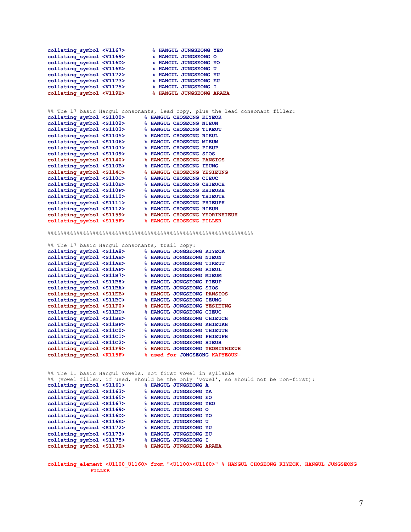**collating\_symbol <V1167> % HANGUL JUNGSEONG YEO collating\_symbol <V1169> % HANGUL JUNGSEONG O collating\_symbol <V116D> % HANGUL JUNGSEONG YO collating\_symbol <V116E> % HANGUL JUNGSEONG U collating\_symbol <V1172> % HANGUL JUNGSEONG YU collating\_symbol <V1173> % HANGUL JUNGSEONG EU collating\_symbol <V1175> % HANGUL JUNGSEONG I collating\_symbol <V119E> % HANGUL JUNGSEONG ARAEA** %% The 17 basic Hangul consonants, lead copy, plus the lead consonant filler: **collating\_symbol <S1100> % HANGUL CHOSEONG KIYEOK collating\_symbol <S1102> % HANGUL CHOSEONG NIEUN collating\_symbol <S1103> % HANGUL CHOSEONG TIKEUT collating\_symbol <S1105> % HANGUL CHOSEONG RIEUL collating\_symbol <S1106> % HANGUL CHOSEONG MIEUM collating\_symbol <S1107> % HANGUL CHOSEONG PIEUP collating\_symbol <S1109> % HANGUL CHOSEONG SIOS collation & STANGUL CHOSEONG PANSIOS** collating\_symbol <S1140>  $\frac{1}{2}$  <sellating symbol <s110B> **collating\_symbol <S114C> % HANGUL CHOSEONG YESIEUNG collating\_symbol <S110C> % HANGUL CHOSEONG CIEUC collating\_symbol <S110E> % HANGUL CHOSEONG CHIEUCH collating\_symbol <S110F> % HANGUL CHOSEONG KHIEUKH collating\_symbol <S1110> % HANGUL CHOSEONG THIEUTH collating\_symbol <S1111> % HANGUL CHOSEONG PHIEUPH collating\_symbol <S1112> % HANGUL CHOSEONG HIEUH collating\_symbol <S1159> % HANGUL CHOSEONG YEORINHIEUH collating\_symbol <S115F> % HANGUL CHOSEONG FILLER**  %%%%%%%%%%%%%%%%%%%%%%%%%%%%%%%%%%%%%%%%%%%%%%%%%%%%%%%%%%%%%%%% %% The 17 basic Hangul consonants, trail copy: **collating\_symbol <S11A8> % HANGUL JONGSEONG KIYEOK collating\_symbol <S11AB> % HANGUL JONGSEONG NIEUN collating\_symbol <S11AE> % HANGUL JONGSEONG TIKEUT collating\_symbol <S11AF> % HANGUL JONGSEONG RIEUL collating\_symbol <S11B7> % HANGUL JONGSEONG MIEUM collating\_symbol <S11B8> % HANGUL JONGSEONG PIEUP collations** collations of the state of the state of the state of the state of the state of the state of the state of the state of the state of the state of the state of the state of the state of the state of the state of **collating\_symbol <S11EB> % HANGUL JONGSEONG PANSIOS collating\_symbol <S11BC> % HANGUL JONGSEONG IEUNG collating\_symbol <S11F0> % HANGUL JONGSEONG YESIEUNG collating\_symbol <S11BD> % HANGUL JONGSEONG CIEUC collating\_symbol <S11BE> % HANGUL JONGSEONG CHIEUCH**  collating\_symbol <S11BF> % HANGUL JONGSEONG KHIEUKH collating\_symbol <S11C0> % HANGUL JONGSEONG PHIEUTH collating symbol <S11C1> % HANGUL JONGSEONG PHIEUPH **collating\_symbol <S11C0> % HANGUL JONGSEONG THIEUTH collating\_symbol <S11C1> % HANGUL JONGSEONG PHIEUPH collating\_symbol <S11C2> % HANGUL JONGSEONG HIEUH collating\_symbol <S11F9> % HANGUL JONGSEONG YEORINHIEUH**   $%$  used for JONGSEONG KAPYEOUN-%% The 11 basic Hangul vowels, not first vowel in syllable %% (vowel filler, if used, should be the only 'vowel', so should not be non-first): **collating\_symbol <S1161> % HANGUL JUNGSEONG A collating\_symbol <S1163> % HANGUL JUNGSEONG YA collating\_symbol <S1165> % HANGUL JUNGSEONG EO collating\_symbol <S1167> % HANGUL JUNGSEONG YEO collating\_symbol <S1169> % HANGUL JUNGSEONG O collations**<br>**collations**<br>**collations**<br>**collations**<br>**collations**<br>**collations collating\_symbol <S116E> % HANGUL JUNGSEONG U**  collating\_symbol <S1172> **collating\_symbol <S1173> % HANGUL JUNGSEONG EU collating\_symbol <S1175> % HANGUL JUNGSEONG I**  collating\_symbol <S119E> **collating\_element <U1100\_U1160> from "<U1100><U1160>" % HANGUL CHOSEONG KIYEOK, HANGUL JUNGSEONG**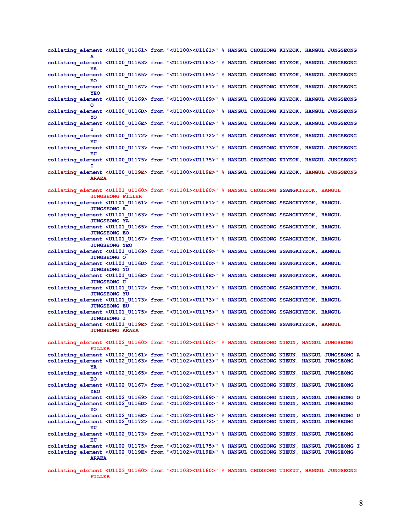| collating element <u1100 u1161=""> from "<u1100><u1161>" % HANGUL CHOSEONG KIYEOK, HANGUL JUNGSEONG</u1161></u1100></u1100>                                                                                                                                 |  |  |
|-------------------------------------------------------------------------------------------------------------------------------------------------------------------------------------------------------------------------------------------------------------|--|--|
| collating element <u1100 u1163=""> from "<u1100><u1163>" % HANGUL CHOSEONG KIYEOK, HANGUL JUNGSEONG<br/>YA</u1163></u1100></u1100>                                                                                                                          |  |  |
| collating element <u1100 u1165=""> from "<u1100><u1165>" % HANGUL CHOSEONG KIYEOK, HANGUL JUNGSEONG<br/>EO</u1165></u1100></u1100>                                                                                                                          |  |  |
| collating element <u1100 u1167=""> from "<u1100><u1167>" % HANGUL CHOSEONG KIYEOK, HANGUL JUNGSEONG<br/>YEO</u1167></u1100></u1100>                                                                                                                         |  |  |
| collating element <u1100 u1169=""> from "<u1100><u1169>" % HANGUL CHOSEONG KIYEOK, HANGUL JUNGSEONG<br/>O</u1169></u1100></u1100>                                                                                                                           |  |  |
| collating element <u1100 u116d=""> from "<u1100><u116d>" % HANGUL CHOSEONG KIYEOK, HANGUL JUNGSEONG<br/>YO</u116d></u1100></u1100>                                                                                                                          |  |  |
| collating element <u1100 u116e=""> from "<u1100><u116e>" % HANGUL CHOSEONG KIYEOK, HANGUL JUNGSEONG<br/>п</u116e></u1100></u1100>                                                                                                                           |  |  |
| collating element <u1100 u1172=""> from "<u1100><u1172>" % HANGUL CHOSEONG KIYEOK, HANGUL JUNGSEONG<br/>YU</u1172></u1100></u1100>                                                                                                                          |  |  |
| collating element <u1100 u1173=""> from "<u1100><u1173>" % HANGUL CHOSEONG KIYEOK, HANGUL JUNGSEONG<br/>EU</u1173></u1100></u1100>                                                                                                                          |  |  |
| collating element <u1100 u1175=""> from "<u1100><u1175>" % HANGUL CHOSEONG KIYEOK, HANGUL JUNGSEONG<br/>т</u1175></u1100></u1100>                                                                                                                           |  |  |
| collating element <u1100 u119e=""> from "<u1100><u119e>" % HANGUL CHOSEONG KIYEOK, HANGUL JUNGSEONG<br/><b>ARAEA</b></u119e></u1100></u1100>                                                                                                                |  |  |
| collating element <u1101 u1160=""> from "<u1101><u1160>" % HANGUL CHOSEONG SSANGKIYEOK, HANGUL</u1160></u1101></u1101>                                                                                                                                      |  |  |
| <b>JUNGSEONG FILLER</b><br>collating element <u1101 u1161=""> from "<u1101><u1161>" % HANGUL CHOSEONG SSANGKIYEOK, HANGUL</u1161></u1101></u1101>                                                                                                           |  |  |
| <b>JUNGSEONG A</b><br>collating element <u1101 u1163=""> from "<u1101><u1163>" % HANGUL CHOSEONG SSANGKIYEOK, HANGUL</u1163></u1101></u1101>                                                                                                                |  |  |
| <b>JUNGSEONG YA</b><br>collating element <u1101 u1165=""> from "<u1101><u1165>" % HANGUL CHOSEONG SSANGKIYEOK, HANGUL</u1165></u1101></u1101>                                                                                                               |  |  |
| <b>JUNGSEONG EO</b><br>collating element <u1101 u1167=""> from "<u1101><u1167>" % HANGUL CHOSEONG SSANGKIYEOK, HANGUL</u1167></u1101></u1101>                                                                                                               |  |  |
| <b>JUNGSEONG YEO</b><br>collating element <u1101 u1169=""> from "<u1101><u1169>" % HANGUL CHOSEONG SSANGKIYEOK, HANGUL</u1169></u1101></u1101>                                                                                                              |  |  |
| <b>JUNGSEONG O</b><br>collating element <u1101 u116d=""> from "<u1101><u116d>" % HANGUL CHOSEONG SSANGKIYEOK, HANGUL</u116d></u1101></u1101>                                                                                                                |  |  |
| <b>JUNGSEONG YO</b><br>collating element <u1101 u116e=""> from "<u1101><u116e>" % HANGUL CHOSEONG SSANGKIYEOK, HANGUL</u116e></u1101></u1101>                                                                                                               |  |  |
| <b>JUNGSEONG U</b><br>collating element <u1101 u1172=""> from "<u1101><u1172>" % HANGUL CHOSEONG SSANGKIYEOK, HANGUL</u1172></u1101></u1101>                                                                                                                |  |  |
| <b>JUNGSEONG YU</b><br>collating element <u1101 u1173=""> from "<u1101><u1173>" % HANGUL CHOSEONG SSANGKIYEOK, HANGUL</u1173></u1101></u1101>                                                                                                               |  |  |
| <b>JUNGSEONG EU</b><br>collating element <u1101 u1175=""> from "<u1101><u1175>" % HANGUL CHOSEONG SSANGKIYEOK, HANGUL</u1175></u1101></u1101>                                                                                                               |  |  |
| <b>JUNGSEONG I</b><br>collating element <u1101 u119e=""> from "<u1101><u119e>" % HANGUL CHOSEONG SSANGKIYEOK, HANGUL</u119e></u1101></u1101>                                                                                                                |  |  |
| <b>JUNGSEONG ARAEA</b>                                                                                                                                                                                                                                      |  |  |
| collating element <u1102 u1160=""> from "<u1102><u1160>" % HANGUL CHOSEONG NIEUN, HANGUL JUNGSEONG<br/><b>FILLER</b></u1160></u1102></u1102>                                                                                                                |  |  |
| collating element <u1102 u1161=""> from "<u1102><u1161>" % HANGUL CHOSEONG NIEUN, HANGUL JUNGSEONG A<br/>collating element <u1102 u1163=""> from "<u1102><u1163>" % HANGUL CHOSEONG NIEUN, HANGUL JUNGSEONG</u1163></u1102></u1102></u1161></u1102></u1102> |  |  |
| YA<br>collating element <u1102 u1165=""> from "<u1102><u1165>" % HANGUL CHOSEONG NIEUN, HANGUL JUNGSEONG</u1165></u1102></u1102>                                                                                                                            |  |  |
| EO<br>collating element <u1102 u1167=""> from "<u1102><u1167>" % HANGUL CHOSEONG NIEUN, HANGUL JUNGSEONG</u1167></u1102></u1102>                                                                                                                            |  |  |
| <b>YEO</b><br>collating element <u1102 u1169=""> from "<u1102><u1169>" % HANGUL CHOSEONG NIEUN, HANGUL JUNGSEONG O</u1169></u1102></u1102>                                                                                                                  |  |  |
| collating element <u1102 u116d=""> from "<u1102><u116d>" % HANGUL CHOSEONG NIEUN, HANGUL JUNGSEONG<br/>YO</u116d></u1102></u1102>                                                                                                                           |  |  |
| collating element <u1102 u116e=""> from "<u1102><u116e>" % HANGUL CHOSEONG NIEUN, HANGUL JUNGSEONG U<br/>collating element <u1102 u1172=""> from "<u1102><u1172>" % HANGUL CHOSEONG NIEUN, HANGUL JUNGSEONG</u1172></u1102></u1102></u116e></u1102></u1102> |  |  |
| YU<br>collating element <u1102 u1173=""> from "<u1102><u1173>" % HANGUL CHOSEONG NIEUN, HANGUL JUNGSEONG<br/>EU</u1173></u1102></u1102>                                                                                                                     |  |  |
| collating element <u1102 u1175=""> from "<u1102><u1175>" % HANGUL CHOSEONG NIEUN, HANGUL JUNGSEONG I</u1175></u1102></u1102>                                                                                                                                |  |  |
| collating element <u1102 u119e=""> from "<u1102><u119e>" % HANGUL CHOSEONG NIEUN, HANGUL JUNGSEONG<br/><b>ARAEA</b></u119e></u1102></u1102>                                                                                                                 |  |  |
| collating element <u1103 u1160=""> from "<u1103><u1160>" % HANGUL CHOSEONG TIKEUT, HANGUL JUNGSEONG</u1160></u1103></u1103>                                                                                                                                 |  |  |

**FILLER**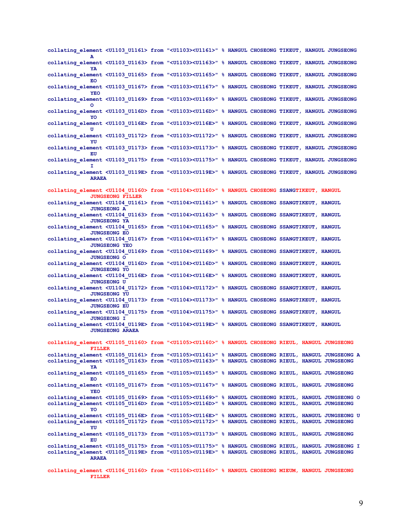| collating element <u1103 u1161=""> from "<u1103><u1161>" % HANGUL CHOSEONG TIKEUT, HANGUL JUNGSEONG</u1161></u1103></u1103>                                                                                                                                                  |  |  |  |
|------------------------------------------------------------------------------------------------------------------------------------------------------------------------------------------------------------------------------------------------------------------------------|--|--|--|
| collating element <u1103 u1163=""> from "<u1103><u1163>" % HANGUL CHOSEONG TIKEUT, HANGUL JUNGSEONG<br/>YA</u1163></u1103></u1103>                                                                                                                                           |  |  |  |
| collating element <u1103 u1165=""> from "<u1103><u1165>" % HANGUL CHOSEONG TIKEUT, HANGUL JUNGSEONG<br/>EO</u1165></u1103></u1103>                                                                                                                                           |  |  |  |
| collating element <u1103 u1167=""> from "<u1103><u1167>" % HANGUL CHOSEONG TIKEUT, HANGUL JUNGSEONG<br/>YEO</u1167></u1103></u1103>                                                                                                                                          |  |  |  |
| collating element <u1103 u1169=""> from "<u1103><u1169>" % HANGUL CHOSEONG TIKEUT, HANGUL JUNGSEONG<br/>O</u1169></u1103></u1103>                                                                                                                                            |  |  |  |
| collating element <u1103 u116d=""> from "<u1103><u116d>" % HANGUL CHOSEONG TIKEUT, HANGUL JUNGSEONG<br/>YO</u116d></u1103></u1103>                                                                                                                                           |  |  |  |
| collating element <u1103 u116e=""> from "<u1103><u116e>" % HANGUL CHOSEONG TIKEUT, HANGUL JUNGSEONG<br/>п</u116e></u1103></u1103>                                                                                                                                            |  |  |  |
| collating element <u1103 u1172=""> from "<u1103><u1172>" % HANGUL CHOSEONG TIKEUT, HANGUL JUNGSEONG<br/>YU</u1172></u1103></u1103>                                                                                                                                           |  |  |  |
| collating element <u1103 u1173=""> from "<u1103><u1173>" % HANGUL CHOSEONG TIKEUT, HANGUL JUNGSEONG<br/>EU</u1173></u1103></u1103>                                                                                                                                           |  |  |  |
| collating element <u1103 u1175=""> from "<u1103><u1175>" % HANGUL CHOSEONG TIKEUT, HANGUL JUNGSEONG</u1175></u1103></u1103>                                                                                                                                                  |  |  |  |
| collating element <u1103 u119e=""> from "<u1103><u119e>" % HANGUL CHOSEONG TIKEUT, HANGUL JUNGSEONG<br/><b>ARAEA</b></u119e></u1103></u1103>                                                                                                                                 |  |  |  |
| collating element <u1104 u1160=""> from "<u1104><u1160>" % HANGUL CHOSEONG SSANGTIKEUT, HANGUL</u1160></u1104></u1104>                                                                                                                                                       |  |  |  |
| <b>JUNGSEONG FILLER</b><br>collating element <u1104 u1161=""> from "<u1104><u1161>" % HANGUL CHOSEONG SSANGTIKEUT, HANGUL</u1161></u1104></u1104>                                                                                                                            |  |  |  |
| <b>JUNGSEONG A</b><br>collating element <u1104 u1163=""> from "<u1104><u1163>" % HANGUL CHOSEONG SSANGTIKEUT, HANGUL<br/><b>JUNGSEONG YA</b></u1163></u1104></u1104>                                                                                                         |  |  |  |
| collating element <u1104 u1165=""> from "<u1104><u1165>" % HANGUL CHOSEONG SSANGTIKEUT, HANGUL<br/><b>JUNGSEONG EO</b></u1165></u1104></u1104>                                                                                                                               |  |  |  |
| collating element <u1104 u1167=""> from "<u1104><u1167>" % HANGUL CHOSEONG SSANGTIKEUT, HANGUL<br/><b>JUNGSEONG YEO</b></u1167></u1104></u1104>                                                                                                                              |  |  |  |
| collating element <u1104 u1169=""> from "<u1104><u1169>" % HANGUL CHOSEONG SSANGTIKEUT, HANGUL<br/><b>JUNGSEONG O</b></u1169></u1104></u1104>                                                                                                                                |  |  |  |
| collating element <u1104 u116d=""> from "<u1104><u116d>" % HANGUL CHOSEONG SSANGTIKEUT, HANGUL<br/><b>JUNGSEONG YO</b></u116d></u1104></u1104>                                                                                                                               |  |  |  |
| collating element <u1104 u116e=""> from "<u1104><u116e>" % HANGUL CHOSEONG SSANGTIKEUT, HANGUL<br/><b>JUNGSEONG U</b></u116e></u1104></u1104>                                                                                                                                |  |  |  |
| collating element <u1104 u1172=""> from "<u1104><u1172>" % HANGUL CHOSEONG SSANGTIKEUT, HANGUL<br/><b>JUNGSEONG YU</b></u1172></u1104></u1104>                                                                                                                               |  |  |  |
| collating element <u1104 u1173=""> from "<u1104><u1173>" % HANGUL CHOSEONG SSANGTIKEUT, HANGUL<br/><b>JUNGSEONG EU</b></u1173></u1104></u1104>                                                                                                                               |  |  |  |
| collating element <u1104 u1175=""> from "<u1104><u1175>" % HANGUL CHOSEONG SSANGTIKEUT, HANGUL<br/><b>JUNGSEONG I</b></u1175></u1104></u1104>                                                                                                                                |  |  |  |
| collating element <u1104 u119e=""> from "<u1104><u119e>" % HANGUL CHOSEONG SSANGTIKEUT, HANGUL<br/><b>JUNGSEONG ARAEA</b></u119e></u1104></u1104>                                                                                                                            |  |  |  |
| collating element <u1105 u1160=""> from "<u1105><u1160>" % HANGUL CHOSEONG RIEUL, HANGUL JUNGSEONG</u1160></u1105></u1105>                                                                                                                                                   |  |  |  |
| <b>FILLER</b><br>collating element <u1105 u1161=""> from "<u1105><u1161>" % HANGUL CHOSEONG RIEUL, HANGUL JUNGSEONG A</u1161></u1105></u1105>                                                                                                                                |  |  |  |
| collating element <u1105 u1163=""> from "<u1105><u1163>" % HANGUL CHOSEONG RIEUL, HANGUL JUNGSEONG<br/>YA</u1163></u1105></u1105>                                                                                                                                            |  |  |  |
| collating element <u1105 u1165=""> from "<u1105><u1165>" % HANGUL CHOSEONG RIEUL, HANGUL JUNGSEONG<br/>EO</u1165></u1105></u1105>                                                                                                                                            |  |  |  |
| collating element <u1105 u1167=""> from "<u1105><u1167>" % HANGUL CHOSEONG RIEUL, HANGUL JUNGSEONG<br/><b>YEO</b></u1167></u1105></u1105>                                                                                                                                    |  |  |  |
| collating element <u1105 u1169=""> from "<u1105><u1169>" % HANGUL CHOSEONG RIEUL, HANGUL JUNGSEONG O<br/>collating element <u1105 u116d=""> from "<u1105><u116d>" % HANGUL CHOSEONG RIEUL, HANGUL JUNGSEONG</u116d></u1105></u1105></u1169></u1105></u1105>                  |  |  |  |
| YO<br>collating element <u1105 u116e=""> from "<u1105><u116e>" % HANGUL CHOSEONG RIEUL, HANGUL JUNGSEONG U</u116e></u1105></u1105>                                                                                                                                           |  |  |  |
| collating element <u1105 u1172=""> from "<u1105><u1172>" % HANGUL CHOSEONG RIEUL, HANGUL JUNGSEONG<br/>YU</u1172></u1105></u1105>                                                                                                                                            |  |  |  |
| collating element <u1105 u1173=""> from "<u1105><u1173>" % HANGUL CHOSEONG RIEUL, HANGUL JUNGSEONG<br/>EU</u1173></u1105></u1105>                                                                                                                                            |  |  |  |
| collating element <u1105 u1175=""> from "<u1105><u1175>" % HANGUL CHOSEONG RIEUL, HANGUL JUNGSEONG I<br/>collating element <u1105 u119e=""> from "<u1105><u119e>" % HANGUL CHOSEONG RIEUL, HANGUL JUNGSEONG<br/><b>ARAEA</b></u119e></u1105></u1105></u1175></u1105></u1105> |  |  |  |
| collating element <u1106 u1160=""> from "<u1106><u1160>" % HANGUL CHOSEONG MIEUM, HANGUL JUNGSEONG</u1160></u1106></u1106>                                                                                                                                                   |  |  |  |

**FILLER**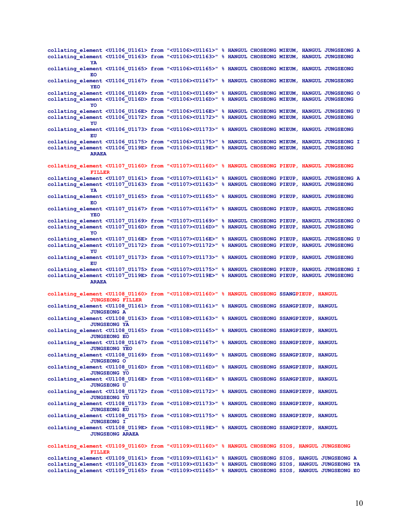**collating\_element <U1106\_U1161> from "<U1106><U1161>" % HANGUL CHOSEONG MIEUM, HANGUL JUNGSEONG A collating\_element <U1106\_U1163> from "<U1106><U1163>" % HANGUL CHOSEONG MIEUM, HANGUL JUNGSEONG YA collating\_element <U1106\_U1165> from "<U1106><U1165>" % HANGUL CHOSEONG MIEUM, HANGUL JUNGSEONG EO collating\_element <U1106\_U1167> from "<U1106><U1167>" % HANGUL CHOSEONG MIEUM, HANGUL JUNGSEONG YEO collating\_element <U1106\_U1169> from "<U1106><U1169>" % HANGUL CHOSEONG MIEUM, HANGUL JUNGSEONG O collating\_element <U1106\_U116D> from "<U1106><U116D>" % HANGUL CHOSEONG MIEUM, HANGUL JUNGSEONG YO collating\_element <U1106\_U116E> from "<U1106><U116E>" % HANGUL CHOSEONG MIEUM, HANGUL JUNGSEONG U collating\_element <U1106\_U1172> from "<U1106><U1172>" % HANGUL CHOSEONG MIEUM, HANGUL JUNGSEONG YU collating\_element <U1106\_U1173> from "<U1106><U1173>" % HANGUL CHOSEONG MIEUM, HANGUL JUNGSEONG EU collating\_element <U1106\_U1175> from "<U1106><U1175>" % HANGUL CHOSEONG MIEUM, HANGUL JUNGSEONG I collating\_element <U1106\_U119E> from "<U1106><U119E>" % HANGUL CHOSEONG MIEUM, HANGUL JUNGSEONG ARAEA collating\_element <U1107\_U1160> from "<U1107><U1160>" % HANGUL CHOSEONG PIEUP, HANGUL JUNGSEONG FILLER collating\_element <U1107\_U1161> from "<U1107><U1161>" % HANGUL CHOSEONG PIEUP, HANGUL JUNGSEONG A collating\_element <U1107\_U1163> from "<U1107><U1163>" % HANGUL CHOSEONG PIEUP, HANGUL JUNGSEONG YA collating\_element <U1107\_U1165> from "<U1107><U1165>" % HANGUL CHOSEONG PIEUP, HANGUL JUNGSEONG EO collating\_element <U1107\_U1167> from "<U1107><U1167>" % HANGUL CHOSEONG PIEUP, HANGUL JUNGSEONG YEO collating\_element <U1107\_U1169> from "<U1107><U1169>" % HANGUL CHOSEONG PIEUP, HANGUL JUNGSEONG O collating\_element <U1107\_U116D> from "<U1107><U116D>" % HANGUL CHOSEONG PIEUP, HANGUL JUNGSEONG YO collating\_element <U1107\_U116E> from "<U1107><U116E>" % HANGUL CHOSEONG PIEUP, HANGUL JUNGSEONG U collating\_element <U1107\_U1172> from "<U1107><U1172>" % HANGUL CHOSEONG PIEUP, HANGUL JUNGSEONG YU collating\_element <U1107\_U1173> from "<U1107><U1173>" % HANGUL CHOSEONG PIEUP, HANGUL JUNGSEONG EU collating\_element <U1107\_U1175> from "<U1107><U1175>" % HANGUL CHOSEONG PIEUP, HANGUL JUNGSEONG I collating\_element <U1107\_U119E> from "<U1107><U119E>" % HANGUL CHOSEONG PIEUP, HANGUL JUNGSEONG ARAEA collating\_element <U1108\_U1160> from "<U1108><U1160>" % HANGUL CHOSEONG SSANGPIEUP, HANGUL JUNGSEONG FILLER collating\_element <U1108\_U1161> from "<U1108><U1161>" % HANGUL CHOSEONG SSANGPIEUP, HANGUL JUNGSEONG A collating\_element <U1108\_U1163> from "<U1108><U1163>" % HANGUL CHOSEONG SSANGPIEUP, HANGUL JUNGSEONG YA collating\_element <U1108\_U1165> from "<U1108><U1165>" % HANGUL CHOSEONG SSANGPIEUP, HANGUL JUNGSEONG EO collating\_element <U1108\_U1167> from "<U1108><U1167>" % HANGUL CHOSEONG SSANGPIEUP, HANGUL JUNGSEONG YEO collating\_element <U1108\_U1169> from "<U1108><U1169>" % HANGUL CHOSEONG SSANGPIEUP, HANGUL JUNGSEONG O collating\_element <U1108\_U116D> from "<U1108><U116D>" % HANGUL CHOSEONG SSANGPIEUP, HANGUL JUNGSEONG YO collating\_element <U1108\_U116E> from "<U1108><U116E>" % HANGUL CHOSEONG SSANGPIEUP, HANGUL JUNGSEONG U collating\_element <U1108\_U1172> from "<U1108><U1172>" % HANGUL CHOSEONG SSANGPIEUP, HANGUL JUNGSEONG YU collating\_element <U1108\_U1173> from "<U1108><U1173>" % HANGUL CHOSEONG SSANGPIEUP, HANGUL JUNGSEONG EU collating\_element <U1108\_U1175> from "<U1108><U1175>" % HANGUL CHOSEONG SSANGPIEUP, HANGUL JUNGSEONG I collating\_element <U1108\_U119E> from "<U1108><U119E>" % HANGUL CHOSEONG SSANGPIEUP, HANGUL JUNGSEONG ARAEA collating\_element <U1109\_U1160> from "<U1109><U1160>" % HANGUL CHOSEONG SIOS, HANGUL JUNGSEONG FILLER collating\_element <U1109\_U1161> from "<U1109><U1161>" % HANGUL CHOSEONG SIOS, HANGUL JUNGSEONG A collating\_element <U1109\_U1163> from "<U1109><U1163>" % HANGUL CHOSEONG SIOS, HANGUL JUNGSEONG YA collating\_element <U1109\_U1165> from "<U1109><U1165>" % HANGUL CHOSEONG SIOS, HANGUL JUNGSEONG EO**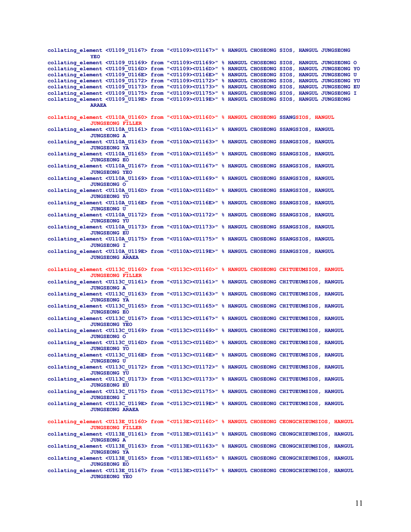| collating element <u1109 u1167=""> from "<u1109><u1167>" % HANGUL CHOSEONG SIOS, HANGUL JUNGSEONG<br/>YEO</u1167></u1109></u1109>                  |  |  |  |
|----------------------------------------------------------------------------------------------------------------------------------------------------|--|--|--|
| collating element <u1109 u1169=""> from "<u1109><u1169>" % HANGUL CHOSEONG SIOS, HANGUL JUNGSEONG O</u1169></u1109></u1109>                        |  |  |  |
| collating element <u1109 u116d=""> from "<u1109><u116d>" % HANGUL CHOSEONG SIOS, HANGUL JUNGSEONG YO</u116d></u1109></u1109>                       |  |  |  |
| collating element <01109 0116E> from "<01109><0116E>" % HANGUL CHOSEONG SIOS, HANGUL JUNGSEONG 0                                                   |  |  |  |
| collating element <u1109 u1172=""> from "<u1109><u1172>" % HANGUL CHOSEONG SIOS, HANGUL JUNGSEONG YU</u1172></u1109></u1109>                       |  |  |  |
| collating element <01109 01173> from "<01109><01173>" % HANGUL CHOSEONG SIOS, HANGUL JUNGSEONG EU                                                  |  |  |  |
| collating element <01109 01175> from "<01109><01175>" % HANGUL CHOSEONG SIOS, HANGUL JUNGSEONG I                                                   |  |  |  |
| collating element <u1109 u119e=""> from "<u1109><u119e>" % HANGUL CHOSEONG SIOS, HANGUL JUNGSEONG</u119e></u1109></u1109>                          |  |  |  |
| <b>ARAEA</b>                                                                                                                                       |  |  |  |
| collating element <u110a u1160=""> from "<u110a><u1160>" % HANGUL CHOSEONG SSANGSIOS, HANGUL</u1160></u110a></u110a>                               |  |  |  |
| <b>JUNGSEONG FILLER</b>                                                                                                                            |  |  |  |
| collating element <u110a u1161=""> from "<u110a><u1161>" % HANGUL CHOSEONG SSANGSIOS, HANGUL</u1161></u110a></u110a>                               |  |  |  |
| <b>JUNGSEONG A</b>                                                                                                                                 |  |  |  |
| collating element <u110a u1163=""> from "<u110a><u1163>" % HANGUL CHOSEONG SSANGSIOS, HANGUL<br/><b>JUNGSEONG YA</b></u1163></u110a></u110a>       |  |  |  |
| collating element <u110a u1165=""> from "<u110a><u1165>" % HANGUL CHOSEONG SSANGSIOS, HANGUL</u1165></u110a></u110a>                               |  |  |  |
| <b>JUNGSEONG EO</b>                                                                                                                                |  |  |  |
| collating element <u110a u1167=""> from "<u110a><u1167>" % HANGUL CHOSEONG SSANGSIOS, HANGUL</u1167></u110a></u110a>                               |  |  |  |
| <b>JUNGSEONG YEO</b><br>collating element <u110a u1169=""> from "<u110a><u1169>" % HANGUL CHOSEONG SSANGSIOS, HANGUL</u1169></u110a></u110a>       |  |  |  |
| <b>JUNGSEONG O</b>                                                                                                                                 |  |  |  |
| collating element <u110a u116d=""> from "<u110a><u116d>" % HANGUL CHOSEONG SSANGSIOS, HANGUL</u116d></u110a></u110a>                               |  |  |  |
| <b>JUNGSEONG YO</b>                                                                                                                                |  |  |  |
| collating element <u110a u116e=""> from "<u110a><u116e>" % HANGUL CHOSEONG SSANGSIOS, HANGUL<br/><b>JUNGSEONG U</b></u116e></u110a></u110a>        |  |  |  |
| collating element <u110a u1172=""> from "<u110a><u1172>" % HANGUL CHOSEONG SSANGSIOS, HANGUL</u1172></u110a></u110a>                               |  |  |  |
| <b>JUNGSEONG YU</b>                                                                                                                                |  |  |  |
| collating element <u110a u1173=""> from "<u110a><u1173>" % HANGUL CHOSEONG SSANGSIOS, HANGUL</u1173></u110a></u110a>                               |  |  |  |
| <b>JUNGSEONG EU</b>                                                                                                                                |  |  |  |
| collating element <u110a u1175=""> from "<u110a><u1175>" % HANGUL CHOSEONG SSANGSIOS, HANGUL<br/><b>JUNGSEONG I</b></u1175></u110a></u110a>        |  |  |  |
| collating element <u110a u119e=""> from "<u110a><u119e>" % HANGUL CHOSEONG SSANGSIOS, HANGUL</u119e></u110a></u110a>                               |  |  |  |
| <b>JUNGSEONG ARAEA</b>                                                                                                                             |  |  |  |
| collating element <u113c u1160=""> from "<u113c><u1160>" % HANGUL CHOSEONG CHITUEUMSIOS, HANGUL</u1160></u113c></u113c>                            |  |  |  |
| <b>JUNGSEONG FILLER</b>                                                                                                                            |  |  |  |
| collating element <u113c u1161=""> from "<u113c><u1161>" % HANGUL CHOSEONG CHITUEUMSIOS, HANGUL<br/><b>JUNGSEONG A</b></u1161></u113c></u113c>     |  |  |  |
| collating element <u113c u1163=""> from "<u113c><u1163>" % HANGUL CHOSEONG CHITUEUMSIOS, HANGUL</u1163></u113c></u113c>                            |  |  |  |
| <b>JUNGSEONG YA</b>                                                                                                                                |  |  |  |
| collating element <u113c u1165=""> from "<u113c><u1165>" % HANGUL CHOSEONG CHITUEUMSIOS, HANGUL<br/><b>JUNGSEONG EO</b></u1165></u113c></u113c>    |  |  |  |
| collating element <u113c u1167=""> from "<u113c><u1167>" % HANGUL CHOSEONG CHITUEUMSIOS, HANGUL</u1167></u113c></u113c>                            |  |  |  |
| <b>JUNGSEONG YEO</b>                                                                                                                               |  |  |  |
| collating element <u113c u1169=""> from "<u113c><u1169>" % HANGUL CHOSEONG CHITUEUMSIOS, HANGUL<br/><b>JUNGSEONG O</b></u1169></u113c></u113c>     |  |  |  |
| collating element <u113c u116d=""> from "<u113c><u116d>" % HANGUL CHOSEONG CHITUEUMSIOS, HANGUL</u116d></u113c></u113c>                            |  |  |  |
| <b>JUNGSEONG YO</b>                                                                                                                                |  |  |  |
| collating element <u113c u116e=""> from "<u113c><u116e>" % HANGUL CHOSEONG CHITUEUMSIOS, HANGUL<br/><b>JUNGSEONG U</b></u116e></u113c></u113c>     |  |  |  |
| collating element <u113c u1172=""> from "<u113c><u1172>" % HANGUL CHOSEONG CHITUEUMSIOS, HANGUL</u1172></u113c></u113c>                            |  |  |  |
| <b>JUNGSEONG YU</b>                                                                                                                                |  |  |  |
| collating element <u113c u1173=""> from "<u113c><u1173>" % HANGUL CHOSEONG CHITUEUMSIOS, HANGUL<br/><b>JUNGSEONG EU</b></u1173></u113c></u113c>    |  |  |  |
| collating element <u113c u1175=""> from "<u113c><u1175>" % HANGUL CHOSEONG CHITUEUMSIOS, HANGUL</u1175></u113c></u113c>                            |  |  |  |
| <b>JUNGSEONG I</b>                                                                                                                                 |  |  |  |
| collating element <u113c u119e=""> from "<u113c><u119e>" % HANGUL CHOSEONG CHITUEUMSIOS, HANGUL</u119e></u113c></u113c>                            |  |  |  |
| <b>JUNGSEONG ARAEA</b>                                                                                                                             |  |  |  |
| collating element <u113e u1160=""> from "<u113e><u1160>" % HANGUL CHOSEONG CEONGCHIEUMSIOS, HANGUL</u1160></u113e></u113e>                         |  |  |  |
| <b>JUNGSEONG FILLER</b>                                                                                                                            |  |  |  |
| collating element <u113e u1161=""> from "<u113e><u1161>" % HANGUL CHOSEONG CEONGCHIEUMSIOS, HANGUL<br/><b>JUNGSEONG A</b></u1161></u113e></u113e>  |  |  |  |
| collating element <u113e u1163=""> from "<u113e><u1163>" % HANGUL CHOSEONG CEONGCHIEUMSIOS, HANGUL</u1163></u113e></u113e>                         |  |  |  |
| <b>JUNGSEONG YA</b>                                                                                                                                |  |  |  |
| collating element <u113e u1165=""> from "<u113e><u1165>" % HANGUL CHOSEONG CEONGCHIEUMSIOS, HANGUL<br/><b>JUNGSEONG EO</b></u1165></u113e></u113e> |  |  |  |
| collating element <u113e u1167=""> from "<u113e><u1167>" % HANGUL CHOSEONG CEONGCHIEUMSIOS, HANGUL</u1167></u113e></u113e>                         |  |  |  |
| <b>JUNGSEONG YEO</b>                                                                                                                               |  |  |  |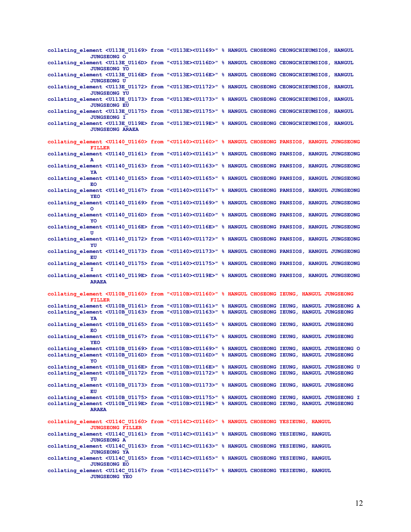**collating\_element <U113E\_U1169> from "<U113E><U1169>" % HANGUL CHOSEONG CEONGCHIEUMSIOS, HANGUL JUNGSEONG O collating\_element <U113E\_U116D> from "<U113E><U116D>" % HANGUL CHOSEONG CEONGCHIEUMSIOS, HANGUL JUNGSEONG YO collating\_element <U113E\_U116E> from "<U113E><U116E>" % HANGUL CHOSEONG CEONGCHIEUMSIOS, HANGUL JUNGSEONG U collating\_element <U113E\_U1172> from "<U113E><U1172>" % HANGUL CHOSEONG CEONGCHIEUMSIOS, HANGUL JUNGSEONG YU collating\_element <U113E\_U1173> from "<U113E><U1173>" % HANGUL CHOSEONG CEONGCHIEUMSIOS, HANGUL JUNGSEONG EU collating\_element <U113E\_U1175> from "<U113E><U1175>" % HANGUL CHOSEONG CEONGCHIEUMSIOS, HANGUL JUNGSEONG I collating\_element <U113E\_U119E> from "<U113E><U119E>" % HANGUL CHOSEONG CEONGCHIEUMSIOS, HANGUL JUNGSEONG ARAEA collating\_element <U1140\_U1160> from "<U1140><U1160>" % HANGUL CHOSEONG PANSIOS, HANGUL JUNGSEONG FILLER collating\_element <U1140\_U1161> from "<U1140><U1161>" % HANGUL CHOSEONG PANSIOS, HANGUL JUNGSEONG A collating\_element <U1140\_U1163> from "<U1140><U1163>" % HANGUL CHOSEONG PANSIOS, HANGUL JUNGSEONG YA collating\_element <U1140\_U1165> from "<U1140><U1165>" % HANGUL CHOSEONG PANSIOS, HANGUL JUNGSEONG EO collating\_element <U1140\_U1167> from "<U1140><U1167>" % HANGUL CHOSEONG PANSIOS, HANGUL JUNGSEONG YEO collating\_element <U1140\_U1169> from "<U1140><U1169>" % HANGUL CHOSEONG PANSIOS, HANGUL JUNGSEONG O collating\_element <U1140\_U116D> from "<U1140><U116D>" % HANGUL CHOSEONG PANSIOS, HANGUL JUNGSEONG YO collating\_element <U1140\_U116E> from "<U1140><U116E>" % HANGUL CHOSEONG PANSIOS, HANGUL JUNGSEONG U collating\_element <U1140\_U1172> from "<U1140><U1172>" % HANGUL CHOSEONG PANSIOS, HANGUL JUNGSEONG YU collating\_element <U1140\_U1173> from "<U1140><U1173>" % HANGUL CHOSEONG PANSIOS, HANGUL JUNGSEONG EU collating\_element <U1140\_U1175> from "<U1140><U1175>" % HANGUL CHOSEONG PANSIOS, HANGUL JUNGSEONG I collating\_element <U1140\_U119E> from "<U1140><U119E>" % HANGUL CHOSEONG PANSIOS, HANGUL JUNGSEONG ARAEA collating\_element <U110B\_U1160> from "<U110B><U1160>" % HANGUL CHOSEONG IEUNG, HANGUL JUNGSEONG FILLER collating\_element <U110B\_U1161> from "<U110B><U1161>" % HANGUL CHOSEONG IEUNG, HANGUL JUNGSEONG A collating\_element <U110B\_U1163> from "<U110B><U1163>" % HANGUL CHOSEONG IEUNG, HANGUL JUNGSEONG YA collating\_element <U110B\_U1165> from "<U110B><U1165>" % HANGUL CHOSEONG IEUNG, HANGUL JUNGSEONG EO collating\_element <U110B\_U1167> from "<U110B><U1167>" % HANGUL CHOSEONG IEUNG, HANGUL JUNGSEONG YEO collating\_element <U110B\_U1169> from "<U110B><U1169>" % HANGUL CHOSEONG IEUNG, HANGUL JUNGSEONG O collating\_element <U110B\_U116D> from "<U110B><U116D>" % HANGUL CHOSEONG IEUNG, HANGUL JUNGSEONG YO collating\_element <U110B\_U116E> from "<U110B><U116E>" % HANGUL CHOSEONG IEUNG, HANGUL JUNGSEONG U collating\_element <U110B\_U1172> from "<U110B><U1172>" % HANGUL CHOSEONG IEUNG, HANGUL JUNGSEONG YU collating\_element <U110B\_U1173> from "<U110B><U1173>" % HANGUL CHOSEONG IEUNG, HANGUL JUNGSEONG EU collating\_element <U110B\_U1175> from "<U110B><U1175>" % HANGUL CHOSEONG IEUNG, HANGUL JUNGSEONG I collating\_element <U110B\_U119E> from "<U110B><U119E>" % HANGUL CHOSEONG IEUNG, HANGUL JUNGSEONG ARAEA collating\_element <U114C\_U1160> from "<U114C><U1160>" % HANGUL CHOSEONG YESIEUNG, HANGUL JUNGSEONG FILLER collating\_element <U114C\_U1161> from "<U114C><U1161>" % HANGUL CHOSEONG YESIEUNG, HANGUL JUNGSEONG A collating\_element <U114C\_U1163> from "<U114C><U1163>" % HANGUL CHOSEONG YESIEUNG, HANGUL JUNGSEONG YA collating\_element <U114C\_U1165> from "<U114C><U1165>" % HANGUL CHOSEONG YESIEUNG, HANGUL JUNGSEONG EO collating\_element <U114C\_U1167> from "<U114C><U1167>" % HANGUL CHOSEONG YESIEUNG, HANGUL JUNGSEONG YEO**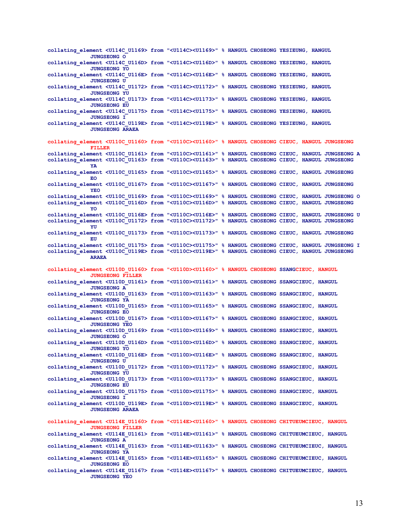**collating\_element <U114C\_U1169> from "<U114C><U1169>" % HANGUL CHOSEONG YESIEUNG, HANGUL JUNGSEONG O collating\_element <U114C\_U116D> from "<U114C><U116D>" % HANGUL CHOSEONG YESIEUNG, HANGUL JUNGSEONG YO collating\_element <U114C\_U116E> from "<U114C><U116E>" % HANGUL CHOSEONG YESIEUNG, HANGUL JUNGSEONG U collating\_element <U114C\_U1172> from "<U114C><U1172>" % HANGUL CHOSEONG YESIEUNG, HANGUL JUNGSEONG YU collating\_element <U114C\_U1173> from "<U114C><U1173>" % HANGUL CHOSEONG YESIEUNG, HANGUL JUNGSEONG EU collating\_element <U114C\_U1175> from "<U114C><U1175>" % HANGUL CHOSEONG YESIEUNG, HANGUL JUNGSEONG I collating\_element <U114C\_U119E> from "<U114C><U119E>" % HANGUL CHOSEONG YESIEUNG, HANGUL JUNGSEONG ARAEA collating\_element <U110C\_U1160> from "<U110C><U1160>" % HANGUL CHOSEONG CIEUC, HANGUL JUNGSEONG FILLER collating\_element <U110C\_U1161> from "<U110C><U1161>" % HANGUL CHOSEONG CIEUC, HANGUL JUNGSEONG A collating\_element <U110C\_U1163> from "<U110C><U1163>" % HANGUL CHOSEONG CIEUC, HANGUL JUNGSEONG YA collating\_element <U110C\_U1165> from "<U110C><U1165>" % HANGUL CHOSEONG CIEUC, HANGUL JUNGSEONG EO collating\_element <U110C\_U1167> from "<U110C><U1167>" % HANGUL CHOSEONG CIEUC, HANGUL JUNGSEONG YEO collating\_element <U110C\_U1169> from "<U110C><U1169>" % HANGUL CHOSEONG CIEUC, HANGUL JUNGSEONG O collating\_element <U110C\_U116D> from "<U110C><U116D>" % HANGUL CHOSEONG CIEUC, HANGUL JUNGSEONG YO collating\_element <U110C\_U116E> from "<U110C><U116E>" % HANGUL CHOSEONG CIEUC, HANGUL JUNGSEONG U collating\_element <U110C\_U1172> from "<U110C><U1172>" % HANGUL CHOSEONG CIEUC, HANGUL JUNGSEONG YU collating\_element <U110C\_U1173> from "<U110C><U1173>" % HANGUL CHOSEONG CIEUC, HANGUL JUNGSEONG EU collating\_element <U110C\_U1175> from "<U110C><U1175>" % HANGUL CHOSEONG CIEUC, HANGUL JUNGSEONG I collating\_element <U110C\_U119E> from "<U110C><U119E>" % HANGUL CHOSEONG CIEUC, HANGUL JUNGSEONG ARAEA collating\_element <U110D\_U1160> from "<U110D><U1160>" % HANGUL CHOSEONG SSANGCIEUC, HANGUL JUNGSEONG FILLER collating\_element <U110D\_U1161> from "<U110D><U1161>" % HANGUL CHOSEONG SSANGCIEUC, HANGUL JUNGSEONG A collating\_element <U110D\_U1163> from "<U110D><U1163>" % HANGUL CHOSEONG SSANGCIEUC, HANGUL JUNGSEONG YA collating\_element <U110D\_U1165> from "<U110D><U1165>" % HANGUL CHOSEONG SSANGCIEUC, HANGUL JUNGSEONG EO collating\_element <U110D\_U1167> from "<U110D><U1167>" % HANGUL CHOSEONG SSANGCIEUC, HANGUL JUNGSEONG YEO collating\_element <U110D\_U1169> from "<U110D><U1169>" % HANGUL CHOSEONG SSANGCIEUC, HANGUL JUNGSEONG O collating\_element <U110D\_U116D> from "<U110D><U116D>" % HANGUL CHOSEONG SSANGCIEUC, HANGUL JUNGSEONG YO collating\_element <U110D\_U116E> from "<U110D><U116E>" % HANGUL CHOSEONG SSANGCIEUC, HANGUL JUNGSEONG U collating\_element <U110D\_U1172> from "<U110D><U1172>" % HANGUL CHOSEONG SSANGCIEUC, HANGUL JUNGSEONG YU collating\_element <U110D\_U1173> from "<U110D><U1173>" % HANGUL CHOSEONG SSANGCIEUC, HANGUL JUNGSEONG EU collating\_element <U110D\_U1175> from "<U110D><U1175>" % HANGUL CHOSEONG SSANGCIEUC, HANGUL JUNGSEONG I collating\_element <U110D\_U119E> from "<U110D><U119E>" % HANGUL CHOSEONG SSANGCIEUC, HANGUL JUNGSEONG ARAEA collating\_element <U114E\_U1160> from "<U114E><U1160>" % HANGUL CHOSEONG CHITUEUMCIEUC, HANGUL JUNGSEONG FILLER collating\_element <U114E\_U1161> from "<U114E><U1161>" % HANGUL CHOSEONG CHITUEUMCIEUC, HANGUL JUNGSEONG A collating\_element <U114E\_U1163> from "<U114E><U1163>" % HANGUL CHOSEONG CHITUEUMCIEUC, HANGUL JUNGSEONG YA collating\_element <U114E\_U1165> from "<U114E><U1165>" % HANGUL CHOSEONG CHITUEUMCIEUC, HANGUL JUNGSEONG EO collating\_element <U114E\_U1167> from "<U114E><U1167>" % HANGUL CHOSEONG CHITUEUMCIEUC, HANGUL JUNGSEONG YEO**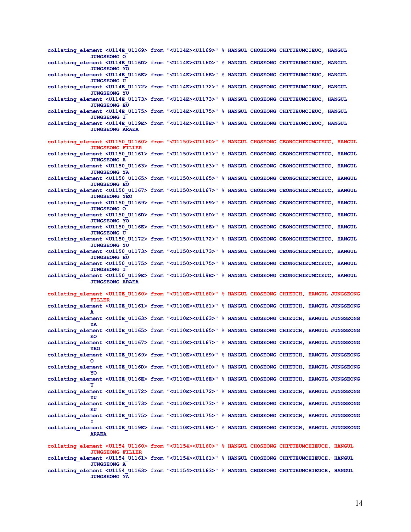| collating element <u114e u1169=""> from "<u114e><u1169>" % HANGUL CHOSEONG CHITUEUMCIEUC, HANGUL<br/><b>JUNGSEONG O</b></u1169></u114e></u114e>                           |  |  |  |
|---------------------------------------------------------------------------------------------------------------------------------------------------------------------------|--|--|--|
| collating element <u114e u116d=""> from "<u114e><u116d>" % HANGUL CHOSEONG CHITUEUMCIEUC, HANGUL<br/><b>JUNGSEONG YO</b></u116d></u114e></u114e>                          |  |  |  |
| collating element <u114e u116e=""> from "<u114e><u116e>" % HANGUL CHOSEONG CHITUEUMCIEUC, HANGUL<br/><b>JUNGSEONG U</b></u116e></u114e></u114e>                           |  |  |  |
| collating element <u114e u1172=""> from "<u114e><u1172>" % HANGUL CHOSEONG CHITUEUMCIEUC, HANGUL<br/><b>JUNGSEONG YU</b></u1172></u114e></u114e>                          |  |  |  |
| collating element <u114e u1173=""> from "<u114e><u1173>" % HANGUL CHOSEONG CHITUEUMCIEUC, HANGUL<br/><b>JUNGSEONG EU</b></u1173></u114e></u114e>                          |  |  |  |
| collating element <u114e u1175=""> from "<u114e><u1175>" % HANGUL CHOSEONG CHITUEUMCIEUC, HANGUL</u1175></u114e></u114e>                                                  |  |  |  |
| <b>JUNGSEONG I</b><br>collating element <u114e u119e=""> from "<u114e><u119e>" % HANGUL CHOSEONG CHITUEUMCIEUC, HANGUL<br/><b>JUNGSEONG ARAEA</b></u119e></u114e></u114e> |  |  |  |
| collating element <u1150 u1160=""> from "<u1150><u1160>" % HANGUL CHOSEONG CEONGCHIEUMCIEUC, HANGUL<br/><b>JUNGSEONG FILLER</b></u1160></u1150></u1150>                   |  |  |  |
| collating element <u1150 u1161=""> from "<u1150><u1161>" % HANGUL CHOSEONG CEONGCHIEUMCIEUC, HANGUL<br/><b>JUNGSEONG A</b></u1161></u1150></u1150>                        |  |  |  |
| collating element <u1150 u1163=""> from "<u1150><u1163>" % HANGUL CHOSEONG CEONGCHIEUMCIEUC, HANGUL<br/><b>JUNGSEONG YA</b></u1163></u1150></u1150>                       |  |  |  |
| collating element <u1150 u1165=""> from "<u1150><u1165>" % HANGUL CHOSEONG CEONGCHIEUMCIEUC, HANGUL<br/><b>JUNGSEONG EO</b></u1165></u1150></u1150>                       |  |  |  |
| collating element <u1150 u1167=""> from "<u1150><u1167>" % HANGUL CHOSEONG CEONGCHIEUMCIEUC, HANGUL<br/><b>JUNGSEONG YEO</b></u1167></u1150></u1150>                      |  |  |  |
| collating element <u1150 u1169=""> from "<u1150><u1169>" % HANGUL CHOSEONG CEONGCHIEUMCIEUC, HANGUL<br/><b>JUNGSEONG O</b></u1169></u1150></u1150>                        |  |  |  |
| collating element <u1150 u116d=""> from "<u1150><u116d>" % HANGUL CHOSEONG CEONGCHIEUMCIEUC, HANGUL<br/><b>JUNGSEONG YO</b></u116d></u1150></u1150>                       |  |  |  |
| collating element <u1150 u116e=""> from "<u1150><u116e>" % HANGUL CHOSEONG CEONGCHIEUMCIEUC, HANGUL<br/><b>JUNGSEONG U</b></u116e></u1150></u1150>                        |  |  |  |
| collating element <u1150 u1172=""> from "<u1150><u1172>" % HANGUL CHOSEONG CEONGCHIEUMCIEUC, HANGUL<br/><b>JUNGSEONG YU</b></u1172></u1150></u1150>                       |  |  |  |
| collating element <u1150 u1173=""> from "<u1150><u1173>" % HANGUL CHOSEONG CEONGCHIEUMCIEUC, HANGUL<br/><b>JUNGSEONG EU</b></u1173></u1150></u1150>                       |  |  |  |
| collating element <u1150 u1175=""> from "<u1150><u1175>" % HANGUL CHOSEONG CEONGCHIEUMCIEUC, HANGUL<br/><b>JUNGSEONG I</b></u1175></u1150></u1150>                        |  |  |  |
| collating element <u1150 u119e=""> from "<u1150><u119e>" % HANGUL CHOSEONG CEONGCHIEUMCIEUC, HANGUL<br/><b>JUNGSEONG ARAEA</b></u119e></u1150></u1150>                    |  |  |  |
| collating element <u110e u1160=""> from "<u110e><u1160>" % HANGUL CHOSEONG CHIEUCH, HANGUL JUNGSEONG<br/><b>FILLER</b></u1160></u110e></u110e>                            |  |  |  |
| collating element <u110e u1161=""> from "<u110e><u1161>" % HANGUL CHOSEONG CHIEUCH, HANGUL JUNGSEONG<br/>A</u1161></u110e></u110e>                                        |  |  |  |
| collating element <u110e u1163=""> from "<u110e><u1163>" % HANGUL CHOSEONG CHIEUCH, HANGUL JUNGSEONG<br/>YA</u1163></u110e></u110e>                                       |  |  |  |
| collating element <u110e u1165=""> from "<u110e><u1165>" % HANGUL CHOSEONG CHIEUCH, HANGUL JUNGSEONG<br/>EО</u1165></u110e></u110e>                                       |  |  |  |
| collating element <u110e u1167=""> from "<u110e><u1167>" % HANGUL CHOSEONG CHIEUCH, HANGUL JUNGSEONG<br/>YEO</u1167></u110e></u110e>                                      |  |  |  |
| collating element <u110e u1169=""> from "<u110e><u1169>" % HANGUL CHOSEONG CHIEUCH, HANGUL JUNGSEONG<br/>O</u1169></u110e></u110e>                                        |  |  |  |
| collating element <u110e u116d=""> from "<u110e><u116d>" % HANGUL CHOSEONG CHIEUCH, HANGUL JUNGSEONG<br/>YO</u116d></u110e></u110e>                                       |  |  |  |
| collating element <u110e u116e=""> from "<u110e><u116e>" % HANGUL CHOSEONG CHIEUCH, HANGUL JUNGSEONG<br/>U</u116e></u110e></u110e>                                        |  |  |  |
| collating element <u110e u1172=""> from "<u110e><u1172>" % HANGUL CHOSEONG CHIEUCH, HANGUL JUNGSEONG<br/>YU</u1172></u110e></u110e>                                       |  |  |  |
| collating element <u110e u1173=""> from "<u110e><u1173>" % HANGUL CHOSEONG CHIEUCH, HANGUL JUNGSEONG<br/>EU</u1173></u110e></u110e>                                       |  |  |  |
| collating element <u110e u1175=""> from "<u110e><u1175>" % HANGUL CHOSEONG CHIEUCH, HANGUL JUNGSEONG</u1175></u110e></u110e>                                              |  |  |  |
| collating element <u110e u119e=""> from "<u110e><u119e>" % HANGUL CHOSEONG CHIEUCH, HANGUL JUNGSEONG<br/><b>ARAEA</b></u119e></u110e></u110e>                             |  |  |  |
| collating element <u1154 u1160=""> from "<u1154><u1160>" % HANGUL CHOSEONG CHITUEUMCHIEUCH, HANGUL<br/><b>JUNGSEONG FILLER</b></u1160></u1154></u1154>                    |  |  |  |
| collating element <u1154 u1161=""> from "<u1154><u1161>" % HANGUL CHOSEONG CHITUEUMCHIEUCH, HANGUL<br/><b>JUNGSEONG A</b></u1161></u1154></u1154>                         |  |  |  |
| collating element <u1154 u1163=""> from "<u1154><u1163>" % HANGUL CHOSEONG CHITUEUMCHIEUCH, HANGUL<br/><b>JUNGSEONG YA</b></u1163></u1154></u1154>                        |  |  |  |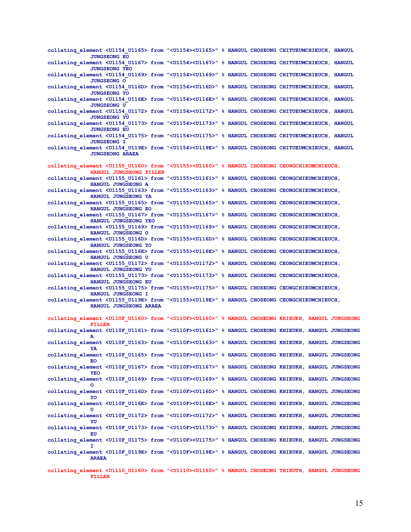**collating\_element <U1154\_U1165> from "<U1154><U1165>" % HANGUL CHOSEONG CHITUEUMCHIEUCH, HANGUL JUNGSEONG EO collating\_element <U1154\_U1167> from "<U1154><U1167>" % HANGUL CHOSEONG CHITUEUMCHIEUCH, HANGUL JUNGSEONG YEO collating\_element <U1154\_U1169> from "<U1154><U1169>" % HANGUL CHOSEONG CHITUEUMCHIEUCH, HANGUL JUNGSEONG O collating\_element <U1154\_U116D> from "<U1154><U116D>" % HANGUL CHOSEONG CHITUEUMCHIEUCH, HANGUL JUNGSEONG YO collating\_element <U1154\_U116E> from "<U1154><U116E>" % HANGUL CHOSEONG CHITUEUMCHIEUCH, HANGUL JUNGSEONG U collating\_element <U1154\_U1172> from "<U1154><U1172>" % HANGUL CHOSEONG CHITUEUMCHIEUCH, HANGUL JUNGSEONG YU collating\_element <U1154\_U1173> from "<U1154><U1173>" % HANGUL CHOSEONG CHITUEUMCHIEUCH, HANGUL JUNGSEONG EU collating\_element <U1154\_U1175> from "<U1154><U1175>" % HANGUL CHOSEONG CHITUEUMCHIEUCH, HANGUL JUNGSEONG I collating\_element <U1154\_U119E> from "<U1154><U119E>" % HANGUL CHOSEONG CHITUEUMCHIEUCH, HANGUL JUNGSEONG ARAEA collating\_element <U1155\_U1160> from "<U1155><U1160>" % HANGUL CHOSEONG CEONGCHIEUMCHIEUCH, HANGUL JUNGSEONG FILLER collating\_element <U1155\_U1161> from "<U1155><U1161>" % HANGUL CHOSEONG CEONGCHIEUMCHIEUCH, HANGUL JUNGSEONG A collating\_element <U1155\_U1163> from "<U1155><U1163>" % HANGUL CHOSEONG CEONGCHIEUMCHIEUCH, HANGUL JUNGSEONG YA collating\_element <U1155\_U1165> from "<U1155><U1165>" % HANGUL CHOSEONG CEONGCHIEUMCHIEUCH, HANGUL JUNGSEONG EO collating\_element <U1155\_U1167> from "<U1155><U1167>" % HANGUL CHOSEONG CEONGCHIEUMCHIEUCH, HANGUL JUNGSEONG YEO collating\_element <U1155\_U1169> from "<U1155><U1169>" % HANGUL CHOSEONG CEONGCHIEUMCHIEUCH, HANGUL JUNGSEONG O collating\_element <U1155\_U116D> from "<U1155><U116D>" % HANGUL CHOSEONG CEONGCHIEUMCHIEUCH, HANGUL JUNGSEONG YO collating\_element <U1155\_U116E> from "<U1155><U116E>" % HANGUL CHOSEONG CEONGCHIEUMCHIEUCH, HANGUL JUNGSEONG U collating\_element <U1155\_U1172> from "<U1155><U1172>" % HANGUL CHOSEONG CEONGCHIEUMCHIEUCH, HANGUL JUNGSEONG YU collating\_element <U1155\_U1173> from "<U1155><U1173>" % HANGUL CHOSEONG CEONGCHIEUMCHIEUCH, HANGUL JUNGSEONG EU collating\_element <U1155\_U1175> from "<U1155><U1175>" % HANGUL CHOSEONG CEONGCHIEUMCHIEUCH, HANGUL JUNGSEONG I collating\_element <U1155\_U119E> from "<U1155><U119E>" % HANGUL CHOSEONG CEONGCHIEUMCHIEUCH, HANGUL JUNGSEONG ARAEA collating\_element <U110F\_U1160> from "<U110F><U1160>" % HANGUL CHOSEONG KHIEUKH, HANGUL JUNGSEONG FILLER collating\_element <U110F\_U1161> from "<U110F><U1161>" % HANGUL CHOSEONG KHIEUKH, HANGUL JUNGSEONG A collating\_element <U110F\_U1163> from "<U110F><U1163>" % HANGUL CHOSEONG KHIEUKH, HANGUL JUNGSEONG YA collating\_element <U110F\_U1165> from "<U110F><U1165>" % HANGUL CHOSEONG KHIEUKH, HANGUL JUNGSEONG EO collating\_element <U110F\_U1167> from "<U110F><U1167>" % HANGUL CHOSEONG KHIEUKH, HANGUL JUNGSEONG YEO collating\_element <U110F\_U1169> from "<U110F><U1169>" % HANGUL CHOSEONG KHIEUKH, HANGUL JUNGSEONG O collating\_element <U110F\_U116D> from "<U110F><U116D>" % HANGUL CHOSEONG KHIEUKH, HANGUL JUNGSEONG YO collating\_element <U110F\_U116E> from "<U110F><U116E>" % HANGUL CHOSEONG KHIEUKH, HANGUL JUNGSEONG U collating\_element <U110F\_U1172> from "<U110F><U1172>" % HANGUL CHOSEONG KHIEUKH, HANGUL JUNGSEONG YU collating\_element <U110F\_U1173> from "<U110F><U1173>" % HANGUL CHOSEONG KHIEUKH, HANGUL JUNGSEONG EU collating\_element <U110F\_U1175> from "<U110F><U1175>" % HANGUL CHOSEONG KHIEUKH, HANGUL JUNGSEONG I collating\_element <U110F\_U119E> from "<U110F><U119E>" % HANGUL CHOSEONG KHIEUKH, HANGUL JUNGSEONG ARAEA collating\_element <U1110\_U1160> from "<U1110><U1160>" % HANGUL CHOSEONG THIEUTH, HANGUL JUNGSEONG FILLER**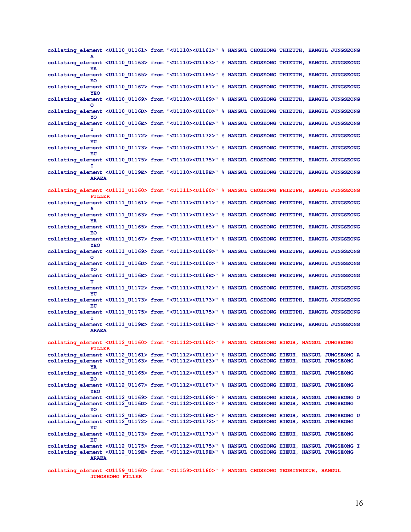**collating\_element <U1110\_U1161> from "<U1110><U1161>" % HANGUL CHOSEONG THIEUTH, HANGUL JUNGSEONG A collating\_element <U1110\_U1163> from "<U1110><U1163>" % HANGUL CHOSEONG THIEUTH, HANGUL JUNGSEONG YA collating\_element <U1110\_U1165> from "<U1110><U1165>" % HANGUL CHOSEONG THIEUTH, HANGUL JUNGSEONG EO collating\_element <U1110\_U1167> from "<U1110><U1167>" % HANGUL CHOSEONG THIEUTH, HANGUL JUNGSEONG YEO collating\_element <U1110\_U1169> from "<U1110><U1169>" % HANGUL CHOSEONG THIEUTH, HANGUL JUNGSEONG O collating\_element <U1110\_U116D> from "<U1110><U116D>" % HANGUL CHOSEONG THIEUTH, HANGUL JUNGSEONG YO collating\_element <U1110\_U116E> from "<U1110><U116E>" % HANGUL CHOSEONG THIEUTH, HANGUL JUNGSEONG U collating\_element <U1110\_U1172> from "<U1110><U1172>" % HANGUL CHOSEONG THIEUTH, HANGUL JUNGSEONG YU collating\_element <U1110\_U1173> from "<U1110><U1173>" % HANGUL CHOSEONG THIEUTH, HANGUL JUNGSEONG EU collating\_element <U1110\_U1175> from "<U1110><U1175>" % HANGUL CHOSEONG THIEUTH, HANGUL JUNGSEONG I collating\_element <U1110\_U119E> from "<U1110><U119E>" % HANGUL CHOSEONG THIEUTH, HANGUL JUNGSEONG ARAEA collating\_element <U1111\_U1160> from "<U1111><U1160>" % HANGUL CHOSEONG PHIEUPH, HANGUL JUNGSEONG FILLER collating\_element <U1111\_U1161> from "<U1111><U1161>" % HANGUL CHOSEONG PHIEUPH, HANGUL JUNGSEONG A collating\_element <U1111\_U1163> from "<U1111><U1163>" % HANGUL CHOSEONG PHIEUPH, HANGUL JUNGSEONG YA collating\_element <U1111\_U1165> from "<U1111><U1165>" % HANGUL CHOSEONG PHIEUPH, HANGUL JUNGSEONG EO collating\_element <U1111\_U1167> from "<U1111><U1167>" % HANGUL CHOSEONG PHIEUPH, HANGUL JUNGSEONG YEO collating\_element <U1111\_U1169> from "<U1111><U1169>" % HANGUL CHOSEONG PHIEUPH, HANGUL JUNGSEONG O collating\_element <U1111\_U116D> from "<U1111><U116D>" % HANGUL CHOSEONG PHIEUPH, HANGUL JUNGSEONG YO collating\_element <U1111\_U116E> from "<U1111><U116E>" % HANGUL CHOSEONG PHIEUPH, HANGUL JUNGSEONG U collating\_element <U1111\_U1172> from "<U1111><U1172>" % HANGUL CHOSEONG PHIEUPH, HANGUL JUNGSEONG YU collating\_element <U1111\_U1173> from "<U1111><U1173>" % HANGUL CHOSEONG PHIEUPH, HANGUL JUNGSEONG EU collating\_element <U1111\_U1175> from "<U1111><U1175>" % HANGUL CHOSEONG PHIEUPH, HANGUL JUNGSEONG I collating\_element <U1111\_U119E> from "<U1111><U119E>" % HANGUL CHOSEONG PHIEUPH, HANGUL JUNGSEONG ARAEA collating\_element <U1112\_U1160> from "<U1112><U1160>" % HANGUL CHOSEONG HIEUH, HANGUL JUNGSEONG FILLER collating\_element <U1112\_U1161> from "<U1112><U1161>" % HANGUL CHOSEONG HIEUH, HANGUL JUNGSEONG A collating\_element <U1112\_U1163> from "<U1112><U1163>" % HANGUL CHOSEONG HIEUH, HANGUL JUNGSEONG YA collating\_element <U1112\_U1165> from "<U1112><U1165>" % HANGUL CHOSEONG HIEUH, HANGUL JUNGSEONG EO collating\_element <U1112\_U1167> from "<U1112><U1167>" % HANGUL CHOSEONG HIEUH, HANGUL JUNGSEONG YEO collating\_element <U1112\_U1169> from "<U1112><U1169>" % HANGUL CHOSEONG HIEUH, HANGUL JUNGSEONG O collating\_element <U1112\_U116D> from "<U1112><U116D>" % HANGUL CHOSEONG HIEUH, HANGUL JUNGSEONG YO collating\_element <U1112\_U116E> from "<U1112><U116E>" % HANGUL CHOSEONG HIEUH, HANGUL JUNGSEONG U collating\_element <U1112\_U1172> from "<U1112><U1172>" % HANGUL CHOSEONG HIEUH, HANGUL JUNGSEONG YU collating\_element <U1112\_U1173> from "<U1112><U1173>" % HANGUL CHOSEONG HIEUH, HANGUL JUNGSEONG EU collating\_element <U1112\_U1175> from "<U1112><U1175>" % HANGUL CHOSEONG HIEUH, HANGUL JUNGSEONG I collating\_element <U1112\_U119E> from "<U1112><U119E>" % HANGUL CHOSEONG HIEUH, HANGUL JUNGSEONG ARAEA collating\_element <U1159\_U1160> from "<U1159><U1160>" % HANGUL CHOSEONG YEORINHIEUH, HANGUL** 

**JUNGSEONG FILLER**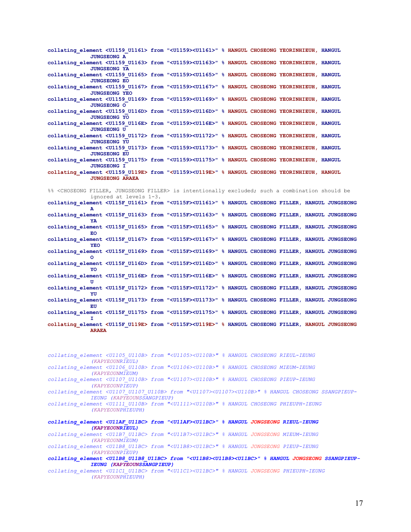**collating\_element <U1159\_U1161> from "<U1159><U1161>" % HANGUL CHOSEONG YEORINHIEUH, HANGUL JUNGSEONG A collating\_element <U1159\_U1163> from "<U1159><U1163>" % HANGUL CHOSEONG YEORINHIEUH, HANGUL JUNGSEONG YA collating\_element <U1159\_U1165> from "<U1159><U1165>" % HANGUL CHOSEONG YEORINHIEUH, HANGUL JUNGSEONG EO collating\_element <U1159\_U1167> from "<U1159><U1167>" % HANGUL CHOSEONG YEORINHIEUH, HANGUL JUNGSEONG YEO collating\_element <U1159\_U1169> from "<U1159><U1169>" % HANGUL CHOSEONG YEORINHIEUH, HANGUL JUNGSEONG O collating\_element <U1159\_U116D> from "<U1159><U116D>" % HANGUL CHOSEONG YEORINHIEUH, HANGUL JUNGSEONG YO collating\_element <U1159\_U116E> from "<U1159><U116E>" % HANGUL CHOSEONG YEORINHIEUH, HANGUL JUNGSEONG U collating\_element <U1159\_U1172> from "<U1159><U1172>" % HANGUL CHOSEONG YEORINHIEUH, HANGUL JUNGSEONG YU collating\_element <U1159\_U1173> from "<U1159><U1173>" % HANGUL CHOSEONG YEORINHIEUH, HANGUL JUNGSEONG EU collating\_element <U1159\_U1175> from "<U1159><U1175>" % HANGUL CHOSEONG YEORINHIEUH, HANGUL JUNGSEONG I collating\_element <U1159\_U119E> from "<U1159><U119E>" % HANGUL CHOSEONG YEORINHIEUH, HANGUL JUNGSEONG ARAEA**

%% <CHOSEONG FILLER, JUNGSEONG FILLER> is intentionally excluded; such a combination should be ignored at levels 1-3. **collating\_element <U115F\_U1161> from "<U115F><U1161>" % HANGUL CHOSEONG FILLER, HANGUL JUNGSEONG A collating\_element <U115F\_U1163> from "<U115F><U1163>" % HANGUL CHOSEONG FILLER, HANGUL JUNGSEONG YA collating\_element <U115F\_U1165> from "<U115F><U1165>" % HANGUL CHOSEONG FILLER, HANGUL JUNGSEONG EO collating\_element <U115F\_U1167> from "<U115F><U1167>" % HANGUL CHOSEONG FILLER, HANGUL JUNGSEONG YEO collating\_element <U115F\_U1169> from "<U115F><U1169>" % HANGUL CHOSEONG FILLER, HANGUL JUNGSEONG O collating\_element <U115F\_U116D> from "<U115F><U116D>" % HANGUL CHOSEONG FILLER, HANGUL JUNGSEONG YO collating\_element <U115F\_U116E> from "<U115F><U116E>" % HANGUL CHOSEONG FILLER, HANGUL JUNGSEONG U collating\_element <U115F\_U1172> from "<U115F><U1172>" % HANGUL CHOSEONG FILLER, HANGUL JUNGSEONG YU collating\_element <U115F\_U1173> from "<U115F><U1173>" % HANGUL CHOSEONG FILLER, HANGUL JUNGSEONG EU collating\_element <U115F\_U1175> from "<U115F><U1175>" % HANGUL CHOSEONG FILLER, HANGUL JUNGSEONG I collating\_element <U115F\_U119E> from "<U115F><U119E>" % HANGUL CHOSEONG FILLER, HANGUL JUNGSEONG ARAEA** 

*collating\_element <U1105\_U110B> from "<U1105><U110B>" % HANGUL CHOSEONG RIEUL-IEUNG (KAPYEOUNRIEUL) collating\_element <U1106\_U110B> from "<U1106><U110B>" % HANGUL CHOSEONG MIEUM-IEUNG (KAPYEOUNMIEUM) collating\_element <U1107\_U110B> from "<U1107><U110B>" % HANGUL CHOSEONG PIEUP-IEUNG (KAPYEOUNPIEUP) collating\_element <U1107\_U1107\_U110B> from "<U1107><U1107><U110B>" % HANGUL CHOSEONG SSANGPIEUP-IEUNG (KAPYEOUNSSANGPIEUP) collating\_element <U1111\_U110B> from "<U1111><U110B>" % HANGUL CHOSEONG PHIEUPH-IEUNG (KAPYEOUNPHIEUPH) collating\_element <U11AF\_U11BC> from "<U11AF><U11BC>" % HANGUL JONGSEONG RIEUL-IEUNG (KAPYEOUNRIEUL) collating\_element <U11B7\_U11BC> from "<U11B7><U11BC>" % HANGUL JONGSEONG MIEUM-IEUNG (KAPYEOUNMIEUM) collating\_element <U11B8\_U11BC> from "<U11B8><U11BC>" % HANGUL JONGSEONG PIEUP-IEUNG (KAPYEOUNPIEUP)* 

*collating\_element <U11B8\_U11B8\_U11BC> from "<U11B8><U11B8><U11BC>" % HANGUL JONGSEONG SSANGPIEUP-IEUNG (KAPYEOUNSSANGPIEUP)*

*collating\_element <U11C1\_U11BC> from "<U11C1><U11BC>" % HANGUL JONGSEONG PHIEUPH-IEUNG (KAPYEOUNPHIEUPH)*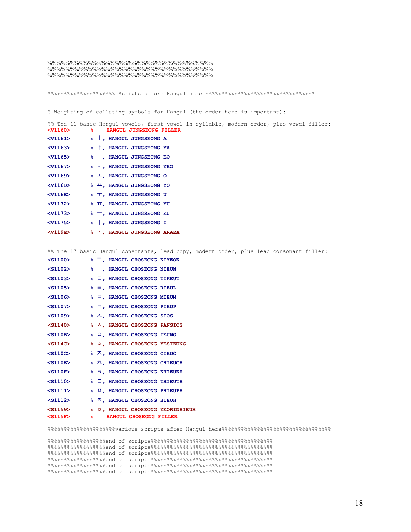%%%%%%%%%%%%%%%%%%%%%%%%%%%%%%%%%%%%% %%%%%%%%%%%%%%%%%%%%%%%%%%%%%%%%%%%%% %%%%%%%%%%%%%%%%%%%%%%%%%%%%%%%%%%%%%

%%%%%%%%%%%%%%%%%%%%% Scripts before Hangul here %%%%%%%%%%%%%%%%%%%%%%%%%%%%%%%%%%

% Weighting of collating symbols for Hangul (the order here is important):

| $<$ v1160 $>$     | %% The 11 basic Hangul vowels, first vowel in syllable, modern order, plus vowel filler:<br>နွေ -<br>HANGUL JUNGSEONG FILLER |
|-------------------|------------------------------------------------------------------------------------------------------------------------------|
| $<$ v1161 $>$     | %   RANGUL JUNGSEONG A                                                                                                       |
| $<$ v $1163>$     | % F, HANGUL JUNGSEONG YA                                                                                                     |
| $<$ v1165 $>$     | % 1, HANGUL JUNGSEONG EO                                                                                                     |
| $<$ V1167> $\sim$ | % 1, HANGUL JUNGSEONG YEO                                                                                                    |
| $<$ v $1169$      | $\frac{1}{2}$ +, HANGUL JUNGSEONG O                                                                                          |
| $<$ V116D $>$     | % 出, HANGUL JUNGSEONG YO                                                                                                     |
| $<$ V116E $>$     | % T, HANGUL JUNGSEONG U                                                                                                      |
| $V1172>$          | <b>% TT, HANGUL JUNGSEONG YU</b>                                                                                             |
| $V1173>$          | % -, HANGUL JUNGSEONG EU                                                                                                     |
| $V1175>$          | %   . HANGUL JUNGSEONG I                                                                                                     |
| $<$ V119E $>$     | % . HANGUL JUNGSEONG ARAEA                                                                                                   |

%% The 17 basic Hangul consonants, lead copy, modern order, plus lead consonant filler:

| $<$ S1100 $>$                       |  | % ¬, HANGUL CHOSEONG KIYEOK                |                                  |
|-------------------------------------|--|--------------------------------------------|----------------------------------|
| $<$ S1102 $>$                       |  | % L, HANGUL CHOSEONG NIEUN                 |                                  |
| $<$ S1103 $>$                       |  | % □, HANGUL CHOSEONG TIKEUT                |                                  |
| $<$ S1105 $>$                       |  | % 己, HANGUL CHOSEONG RIEUL                 |                                  |
| $<$ S1106 $>$                       |  | % 口, HANGUL CHOSEONG MIEUM                 |                                  |
| $<$ S1107> $\sim$                   |  | % 日, HANGUL CHOSEONG PIEUP                 |                                  |
| $<$ S1109> $\overline{\phantom{1}}$ |  | % 人, HANGUL CHOSEONG SIOS                  |                                  |
| $<$ S1140 $>$                       |  | % A, HANGUL CHOSEONG PANSIOS               |                                  |
| $<$ S110B $>$                       |  | % O, HANGUL CHOSEONG IEUNG                 |                                  |
| $<$ S114C $>$                       |  | % O, HANGUL CHOSEONG YESIEUNG              |                                  |
| $<$ S110C $>$                       |  | % 天, HANGUL CHOSEONG CIEUC                 |                                  |
| $<$ S110E $>$                       |  | % 六, HANGUL CHOSEONG CHIEUCH               |                                  |
| $<$ S110F $>$                       |  | % ㅋ, HANGUL CHOSEONG KHIEUKH               |                                  |
| $<$ S1110 $>$                       |  | <b>&amp; E, HANGUL CHOSEONG THIEUTH</b>    |                                  |
| $<$ S1111>                          |  | % $\overline{u}$ , HANGUL CHOSEONG PHIEUPH |                                  |
| $<$ S1112 $>$                       |  | % ㅎ, HANGUL CHOSEONG HIEUH                 |                                  |
| $<$ S1159 $>$                       |  |                                            | % 5, HANGUL CHOSEONG YEORINHIEUH |
| $<$ S115F $>$                       |  | <b>&amp; HANGUL CHOSEONG FILLER</b>        |                                  |

 $% \textit{Stab} \xspace-10.058 \textit{W} \xspace-10.058 \textit{W} \xspace-10.058 \textit{W} \xspace-10.058 \textit{W} \xspace-10.058 \textit{W} \xspace-10.058 \textit{W} \xspace-10.058 \textit{W} \xspace-10.058 \textit{W} \xspace-10.058 \textit{W} \xspace-10.058 \textit{W} \xspace-10.058 \textit{W} \xspace-10.058 \textit{W} \xspace-10.058 \textit{W} \xspace-$ 

 $\texttt{88888888888888888888800}$ %%%%%%%%%%%%%%%%%%end of scripts%%%%%%%%%%%%%%%%%%%%%%%%%%%%%%%%%%%%%%  $% \begin{minipage}{0.4\textwidth} \begin{subfigure}{@{\qquad}l@{}} \end{subfigure} \begin{subfigure}{@{\qquad}l@{}} \end{subfigure} \begin{subfigure}{@{\qquad}l@{}} \end{subfigure} \begin{subfigure}{@{\qquad}l@{}} \end{subfigure} \begin{subfigure}{@{\qquad}l@{}} \end{subfigure} \begin{subfigure}{@{\qquad}l@{}} \end{subfigure} \begin{subfigure}{@{\qquad}l@{}} \end{subfigure} \begin{subfigure}{@{\qquad}l@{}} \end{subfigure} \begin{subfigure}{@{\qquad}l@{}} \end{subfigure} \begin{subfigure}{@{\qquad}l@{}} \$ %%%%%%%%%%%%%%%%%%end of scripts%%%%%%%%%%%%%%%%%%%%%%%%%%%%%%%%%%%%%% %%%%%%%%%%%%%%%%%%end of scripts%%%%%%%%%%%%%%%%%%%%%%%%%%%%%%%%%%%%%% %%%%%%%%%%%%%%%%%%end of scripts%%%%%%%%%%%%%%%%%%%%%%%%%%%%%%%%%%%%%%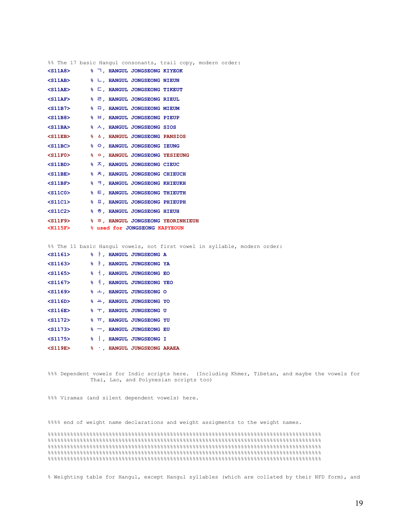| %% The 17 basic Hangul consonants, trail copy, modern order:            |  |  |                                             |  |  |  |
|-------------------------------------------------------------------------|--|--|---------------------------------------------|--|--|--|
| $<$ S11A8 $>$                                                           |  |  | % 7, HANGUL JONGSEONG KIYEOK                |  |  |  |
| $<$ S11AB $>$                                                           |  |  | % L, HANGUL JONGSEONG NIEUN                 |  |  |  |
| $<$ S11AE $>$                                                           |  |  | % □, HANGUL JONGSEONG TIKEUT                |  |  |  |
| $\leq$ S11AF> $\approx$ $\approx$ $\approx$ , HANGUL JONGSEONG RIEUL    |  |  |                                             |  |  |  |
| <s11b7> % A, HANGUL JONGSEONG MIEUM</s11b7>                             |  |  |                                             |  |  |  |
|                                                                         |  |  |                                             |  |  |  |
| <s11ba> % &lt; A, HANGUL JONGSEONG SIOS</s11ba>                         |  |  |                                             |  |  |  |
| $<$ S11EB $>$                                                           |  |  | % A, HANGUL JONGSEONG PANSIOS               |  |  |  |
| $<$ S11BC $>$                                                           |  |  | % O, HANGUL JONGSEONG IEUNG                 |  |  |  |
| <s11f0> % % , HANGUL JONGSEONG YESIEUNG</s11f0>                         |  |  |                                             |  |  |  |
| $\le$ S11BD> $\qquad$ $\frac{1}{2}$ $\sqrt{2}$ , HANGUL JONGSEONG CIEUC |  |  |                                             |  |  |  |
| $<$ S11BE $>$                                                           |  |  | % 六, HANGUL JONGSEONG CHIEUCH               |  |  |  |
| $<$ S11BF $>$                                                           |  |  | % 刁, HANGUL JONGSEONG KHIEUKH               |  |  |  |
| $<$ S11C0 $>$                                                           |  |  | % E, HANGUL JONGSEONG THIEUTH               |  |  |  |
| $<$ S11C1 $>$                                                           |  |  | % $\overline{u}$ , HANGUL JONGSEONG PHIEUPH |  |  |  |
| $<$ S11C2 $>$                                                           |  |  | % ㅎ, HANGUL JONGSEONG HIEUH                 |  |  |  |
| <s11f9> % 5, HANGUL JONGSEONG YEORINHIEUH</s11f9>                       |  |  |                                             |  |  |  |
| <k115f> 8 used for JONGSEONG KAPYEOUN</k115f>                           |  |  |                                             |  |  |  |

%% The 11 basic Hangul vowels, not first vowel in syllable, modern order:

| $<$ S1161>    |  | %   , HANGUL JUNGSEONG A             |  |
|---------------|--|--------------------------------------|--|
| $<$ S1163>    |  | % F, HANGUL JUNGSEONG YA             |  |
| $<$ S1165 $>$ |  | %   HANGUL JUNGSEONG EO              |  |
| $<$ S1167>    |  | %   HANGUL JUNGSEONG YEO             |  |
| $<$ S1169 $>$ |  | % +, HANGUL JUNGSEONG O              |  |
| $<$ S116D $>$ |  | % 出, HANGUL JUNGSEONG YO             |  |
| $<$ S116E $>$ |  | % T, HANGUL JUNGSEONG U              |  |
| $<$ S1172 $>$ |  | <b>&amp; TT, HANGUL JUNGSEONG YU</b> |  |
| $<$ S1173 $>$ |  | % -, HANGUL JUNGSEONG EU             |  |
| $<$ S1175 $>$ |  | %   , HANGUL JUNGSEONG I             |  |
| $<$ S119E $>$ |  | % ., HANGUL JUNGSEONG ARAEA          |  |

%%% Dependent vowels for Indic scripts here. (Including Khmer, Tibetan, and maybe the vowels for Thai, Lao, and Polynesian scripts too)

%%% Viramas (and silent dependent vowels) here.

%%%% end of weight name declarations and weight assigments to the weight names.

%%%%%%%%%%%%%%%%%%%%%%%%%%%%%%%%%%%%%%%%%%%%%%%%%%%%%%%%%%%%%%%%%%%%%%%%%%%%%%%%%%%%% %%%%%%%%%%%%%%%%%%%%%%%%%%%%%%%%%%%%%%%%%%%%%%%%%%%%%%%%%%%%%%%%%%%%%%%%%%%%%%%%%%%%% %%%%%%%%%%%%%%%%%%%%%%%%%%%%%%%%%%%%%%%%%%%%%%%%%%%%%%%%%%%%%%%%%%%%%%%%%%%%%%%%%%%%% %%%%%%%%%%%%%%%%%%%%%%%%%%%%%%%%%%%%%%%%%%%%%%%%%%%%%%%%%%%%%%%%%%%%%%%%%%%%%%%%%%%%% %%%%%%%%%%%%%%%%%%%%%%%%%%%%%%%%%%%%%%%%%%%%%%%%%%%%%%%%%%%%%%%%%%%%%%%%%%%%%%%%%%%%%

% Weighting table for Hangul, except Hangul syllables (which are collated by their NFD form), and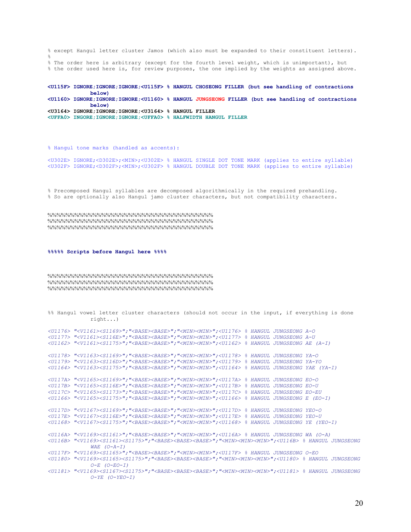% except Hangul letter cluster Jamos (which also must be expanded to their constituent letters).  $\frac{8}{6}$ % The order here is arbitrary (except for the fourth level weight, which is unimportant), but % the order used here is, for review purposes, the one implied by the weights as assigned above.

**<U115F> IGNORE;IGNORE;IGNORE;<U115F> % HANGUL CHOSEONG FILLER (but see handling of contractions below) <U1160> IGNORE;IGNORE;IGNORE;<U1160> % HANGUL JUNGSEONG FILLER (but see handling of contractions below) <U3164> IGNORE;IGNORE;IGNORE;<U3164> % HANGUL FILLER <UFFA0> INGORE;IGNORE;IGNORE;<UFFA0> % HALFWIDTH HANGUL FILLER** 

% Hangul tone marks (handled as accents):

<U302E> IGNORE;<D302E>;<MIN>;<U302E> % HANGUL SINGLE DOT TONE MARK (applies to entire syllable) <U302F> IGNORE;<D302F>;<MIN>;<U302F> % HANGUL DOUBLE DOT TONE MARK (applies to entire syllable)

% Precomposed Hangul syllables are decomposed algorithmically in the required prehandling. % So are optionally also Hangul jamo cluster characters, but not compatibility characters.

%%%%%%%%%%%%%%%%%%%%%%%%%%%%%%%%%%%%% %%%%%%%%%%%%%%%%%%%%%%%%%%%%%%%%%%%%% %%%%%%%%%%%%%%%%%%%%%%%%%%%%%%%%%%%%%

#### **%%%%% Scripts before Hangul here %%%%**

%%%%%%%%%%%%%%%%%%%%%%%%%%%%%%%%%%%%% %%%%%%%%%%%%%%%%%%%%%%%%%%%%%%%%%%%%% %%%%%%%%%%%%%%%%%%%%%%%%%%%%%%%%%%%%%

```
%% Hangul vowel letter cluster characters (should not occur in the input, if everything is done 
             right...)
```

```
<U1176> "<V1161><S1169>";"<BASE><BASE>";"<MIN><MIN>";<U1176> % HANGUL JUNGSEONG A-O 
<U1177> "<V1161><S116E>";"<BASE><BASE>";"<MIN><MIN>";<U1177> % HANGUL JUNGSEONG A-U 
<U1162> "<V1161><S1175>";"<BASE><BASE>";"<MIN><MIN>";<U1162> % HANGUL JUNGSEONG AE (A-I) 
<U1178> "<V1163><S1169>";"<BASE><BASE>";"<MIN><MIN>";<U1178> % HANGUL JUNGSEONG YA-O 
<U1179> "<V1163><S116D>";"<BASE><BASE>";"<MIN><MIN>";<U1179> % HANGUL JUNGSEONG YA-YO 
<U1164> "<V1163><S1175>";"<BASE><BASE>";"<MIN><MIN>";<U1164> % HANGUL JUNGSEONG YAE (YA-I) 
<U117A> "<V1165><S1169>";"<BASE><BASE>";"<MIN><MIN>";<U117A> % HANGUL JUNGSEONG EO-O 
<U117B> "<V1165><S116E>";"<BASE><BASE>";"<MIN><MIN>";<U117B> % HANGUL JUNGSEONG EO-U 
<U117C> "<V1165><S1173>";"<BASE><BASE>";"<MIN><MIN>";<U117C> % HANGUL JUNGSEONG EO-EU 
<U1166> "<V1165><S1175>";"<BASE><BASE>";"<MIN><MIN>";<U1166> % HANGUL JUNGSEONG E (EO-I) 
<U117D> "<V1167><S1169>";"<BASE><BASE>";"<MIN><MIN>";<U117D> % HANGUL JUNGSEONG YEO-O 
<U117E> "<V1167><S116E>";"<BASE><BASE>";"<MIN><MIN>";<U117E> % HANGUL JUNGSEONG YEO-U 
<U1168> "<V1167><S1175>";"<BASE><BASE>";"<MIN><MIN>";<U1168> % HANGUL JUNGSEONG YE (YEO-I) 
<U116A> "<V1169><S1161>";"<BASE><BASE>";"<MIN><MIN>";<U116A> % HANGUL JUNGSEONG WA (O-A) 
<U116B> "<V1169><S1161><S1175>";"<BASE><BASE><BASE>";"<MIN><MIN><MIN>";<U116B> % HANGUL JUNGSEONG 
             WAE (O-A-I) 
<U117F> "<V1169><S1165>";"<BASE><BASE>";"<MIN><MIN>";<U117F> % HANGUL JUNGSEONG O-EO 
<U1180> "<V1169><S1165><S1175>";"<BASE><BASE><BASE>";"<MIN><MIN><MIN>";<U1180> % HANGUL JUNGSEONG 
             O-E (O-EO-I) 
<U1181> "<V1169><S1167><S1175>";"<BASE><BASE><BASE>";"<MIN><MIN><MIN>";<U1181> % HANGUL JUNGSEONG 
             O-YE (O-YEO-I)
```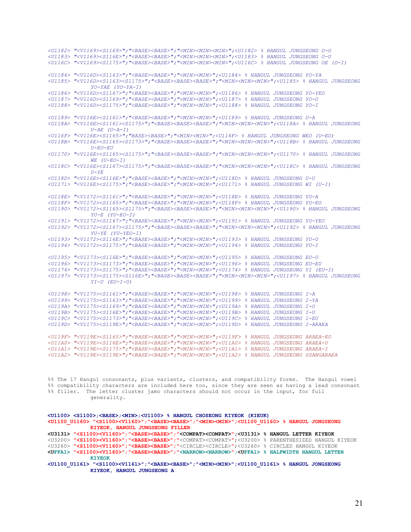*<U1182> "<V1169><S1169>";"<BASE><BASE>";"<MIN><MIN><MIN>";<U1182> % HANGUL JUNGSEONG O-O <U1183> "<V1169><S116E>";"<BASE><BASE>";"<MIN><MIN><MIN>";<U1183> % HANGUL JUNGSEONG O-U <U116C> "<V1169><S1175>";"<BASE><BASE>";"<MIN><MIN><MIN>";<U116C> % HANGUL JUNGSEONG OE (O-I) <U1184> "<V116D><S1163>";"<BASE><BASE>";"<MIN><MIN>";<U1184> % HANGUL JUNGSEONG YO-YA <U1185> "<V116D><S1163><S1175>";"<BASE><BASE><BASE>";"<MIN><MIN><MIN>";<U1185> % HANGUL JUNGSEONG YO-YAE (YO-YA-I) <U1186> "<V116D><S1167>";"<BASE><BASE>";"<MIN><MIN>";<U1186> % HANGUL JUNGSEONG YO-YEO <U1187> "<V116D><S1169>";"<BASE><BASE>";"<MIN><MIN>";<U1187> % HANGUL JUNGSEONG YO-O <U1188> "<V116D><S1175>";"<BASE><BASE>";"<MIN><MIN>";<U1188> % HANGUL JUNGSEONG YO-I <U1189> "<V116E><S1161>";"<BASE><BASE>";"<MIN><MIN>";<U1189> % HANGUL JUNGSEONG U-A <U118A> "<V116E><S1161><S1175>";"<BASE><BASE><BASE>";"<MIN><MIN><MIN>";<U118A> % HANGUL JUNGSEONG U-AE (U-A-I) <U116F> "<V116E><S1165>";"BASE><BASE>";"<MIN><MIN>";<U116F> % HANGUL JUNGSEONG WEO (U-EO) <U118B> "<V116E><S1165><S1173>";"<BASE><BASE><BASE>";"<MIN><MIN><MIN>";<U118B> % HANGUL JUNGSEONG U-EO-EU <U1170> "<V116E><S1165><S1175>";"<BASE><BASE><BASE>";"<MIN><MIN><MIN>";<U1170> % HANGUL JUNGSEONG WE (U-EO-I) <U118C> "<V116E><S1167><S1175>";"<BASE><BASE><BASE>";"<MIN><MIN><MIN>";<U118C> % HANGUL JUNGSEONG*   $U - YE$ *<U118D> "<V116E><S116E>";"<BASE><BASE>";"<MIN><MIN>";<U118D> % HANGUL JUNGSEONG U-U <U1171> "<V116E><S1175>";"<BASE><BASE>";"<MIN><MIN>";<U1171> % HANGUL JUNGSEONG WI (U-I) <U118E> "<V1172><S1161>";"<BASE><BASE>";"<MIN><MIN>";<U118E> % HANGUL JUNGSEONG YU-A <U118F> "<V1172><S1165>";"<BASE><BASE>";"<MIN><MIN>";<U118F> % HANGUL JUNGSEONG YU-EO <U1190> "<V1172><S1165><S1175>";"<BASE><BASE><BASE>";"<MIN><MIN><MIN>";<U1190> % HANGUL JUNGSEONG YU-E (YU-EO-I) <U1191> "<V1172><S1167>";"<BASE><BASE>";"<MIN><MIN>";<U1191> % HANGUL JUNGSEONG YU-YEO <U1192> "<V1172><S1167><S1175>";"<BASE><BASE><BASE>";"<MIN><MIN><MIN>";<U1192> % HANGUL JUNGSEONG YU-YE (YU-YEO-I) <U1193> "<V1172><S116E>";"<BASE><BASE>";"<MIN><MIN>";<U1193> % HANGUL JUNGSEONG YU-U <U1194> "<V1172><S1175>";"<BASE><BASE>";"<MIN><MIN>";<U1194> % HANGUL JUNGSEONG YU-I <U1195> "<V1173><S116E>";"<BASE><BASE>";"<MIN><MIN>";<U1195> % HANGUL JUNGSEONG EU-U <U1196> "<V1173><S1173>";"<BASE><BASE>";"<MIN><MIN>";<U1196> % HANGUL JUNGSEONG EU-EU <U1174> "<V1173><S1175>";"<BASE><BASE>";"<MIN><MIN>";<U1174> % HANGUL JUNGSEONG YI (EU-I) <U1197> "<V1173><S1175><S116E>";"<BASE><BASE><BASE>";"<MIN><MIN><MIN>";<U1197> % HANGUL JUNGSEONG YI-U (EU-I-U) <U1198> "<V1175><S1161>";"<BASE><BASE>";"<MIN><MIN>";<U1198> % HANGUL JUNGSEONG I-A <U1199> "<V1175><S1163>";"<BASE><BASE>";"<MIN><MIN>";<U1199> % HANGUL JUNGSEONG I-YA <U119A> "<V1175><S1169>";"<BASE><BASE>";"<MIN><MIN>";<U119A> % HANGUL JUNGSEONG I-O <U119B> "<V1175><S116E>";"<BASE><BASE>";"<MIN><MIN>";<U119B> % HANGUL JUNGSEONG I-U <U119C> "<V1175><S1173>";"<BASE><BASE>";"<MIN><MIN>";<U119C> % HANGUL JUNGSEONG I-EU <U119D> "<V1175><S119E>";"<BASE><BASE>";"<MIN><MIN>";<U119D> % HANGUL JUNGSEONG I-ARAEA <U119F> "<V119E><S1165>";"<BASE><BASE>";"<MIN><MIN>";<U119F> % HANGUL JUNGSEONG ARAEA-EO <U11A0> "<V119E><S116E>";"<BASE><BASE>";"<MIN><MIN>";<U11A0> % HANGUL JUNGSEONG ARAEA-U <U11A1> "<V119E><S1175>";"<BASE><BASE>";"<MIN><MIN>";<U11A1> % HANGUL JUNGSEONG ARAEA-I <U11A2> "<V119E><S119E>";"<BASE><BASE>";"<MIN><MIN>";<U11A2> % HANGUL JUNGSEONG SSANGARAEA* 

%% The 17 Hangul consonants, plus variants, clusters, and compatibility forms. The Hangul vowel %% compatibility characters are included here too, since they are seen as having a lead consonant %% filler. The letter cluster jamo characters should not occur in the input, for full generality.

```
<U1100> <S1100>;<BASE>;<MIN>;<U1100> % HANGUL CHOSEONG KIYEOK (KIEUK) 
<U1100_U1160> "<S1100><V1160>";"<BASE><BASE>";"<MIN><MIN>";<U1100_U1160> % HANGUL JONGSEONG 
             KIYEOK, HANGUL JUNGSEONG FILLER 
<U3131> "<S1100><V1160>";"<BASE><BASE>";"<COMPAT><COMPAT>";<U3131> % HANGUL LETTER KIYEOK 
<U3200> "<S1100><V1160>";"<BASE><BASE>";"<COMPAT><COMPAT>";<U3200> % PARENTHESIZED HANGUL KIYEOK 
<U3260> "<S1100><V1160>";"<BASE><BASE>";"<CIRCLE><CIRCLE>";<U3260> % CIRCLED HANGUL KIYEOK 
<UFFA1> "<S1100><V1160>";"<BASE><BASE>";"<NARROW><NARROW>";<UFFA1> % HALFWIDTH HANGUL LETTER 
             KIYEOK 
<U1100_U1161> "<S1100><V1161>";"<BASE><BASE>";"<MIN><MIN>";<U1100_U1161> % HANGUL JONGSEONG 
             KIYEOK, HANGUL JUNGSEONG A
```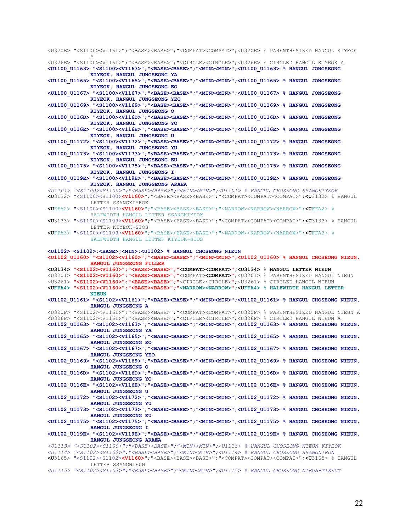<U320E> "<S1100><V1161>";"<BASE><BASE>";"<COMPAT><COMPAT>";<U320E> % PARENTHESIZED HANGUL KIYEOK A <U326E> "<S1100><V1161>";"<BASE><BASE>";"<CIRCLE><CIRCLE>";<U326E> % CIRCLED HANGUL KIYEOK A **<U1100\_U1163> "<S1100><V1163>";"<BASE><BASE>";"<MIN><MIN>";<U1100\_U1163> % HANGUL JONGSEONG KIYEOK, HANGUL JUNGSEONG YA <U1100\_U1165> "<S1100><V1165>";"<BASE><BASE>";"<MIN><MIN>";<U1100\_U1165> % HANGUL JONGSEONG KIYEOK, HANGUL JUNGSEONG EO <U1100\_U1167> "<S1100><V1167>";"<BASE><BASE>";"<MIN><MIN>";<U1100\_U1167> % HANGUL JONGSEONG KIYEOK, HANGUL JUNGSEONG YEO <U1100\_U1169> "<S1100><V1169>";"<BASE><BASE>";"<MIN><MIN>";<U1100\_U1169> % HANGUL JONGSEONG KIYEOK, HANGUL JUNGSEONG O <U1100\_U116D> "<S1100><V116D>";"<BASE><BASE>";"<MIN><MIN>";<U1100\_U116D> % HANGUL JONGSEONG KIYEOK, HANGUL JUNGSEONG YO <U1100\_U116E> "<S1100><V116E>";"<BASE><BASE>";"<MIN><MIN>";<U1100\_U116E> % HANGUL JONGSEONG KIYEOK, HANGUL JUNGSEONG U <U1100\_U1172> "<S1100><V1172>";"<BASE><BASE>";"<MIN><MIN>";<U1100\_U1172> % HANGUL JONGSEONG KIYEOK, HANGUL JUNGSEONG YU <U1100\_U1173> "<S1100><V1173>";"<BASE><BASE>";"<MIN><MIN>";<U1100\_U1173> % HANGUL JONGSEONG KIYEOK, HANGUL JUNGSEONG EU <U1100\_U1175> "<S1100><V1175>";"<BASE><BASE>";"<MIN><MIN>";<U1100\_U1175> % HANGUL JONGSEONG KIYEOK, HANGUL JUNGSEONG I <U1100\_U119E> "<S1100><V119E>";"<BASE><BASE>";"<MIN><MIN>";<U1100\_U119E> % HANGUL JONGSEONG KIYEOK, HANGUL JUNGSEONG ARAEA**  *<U1101> "<S1100><S1100>";"<BASE><BASE>";"<MIN><MIN>";<U1101> % HANGUL CHOSEONG SSANGKIYEOK*  **<U**3132> "<S1100><S1100>**<V1160>**";"<BASE><BASE><BASE>";"<COMPAT><COMPAT><COMPAT>";**<U**3132> % HANGUL LETTER SSANGKIYEOK **<U**FFA2> "<S1100><S1100>**<V1160>**";"<BASE><BASE><BASE>";"<NARROW><NARROW><NARROW>";**<U**FFA2> % HALFWIDTH HANGUL LETTER SSANGKIYEOK **<U**3133> "<S1100><S1109>**<V1160>**";"<BASE><BASE><BASE>";"<COMPAT><COMPAT><COMPAT>";**<U**3133> % HANGUL LETTER KIYEOK-SIOS **<U**FFA3> "<S1100><S1109>**<V1160>**";"<BASE><BASE><BASE>";"<NARROW><NARROW><NARROW>";**<U**FFA3> % HALFWIDTH HANGUL LETTER KIYEOK-SIOS **<U1102> <S1102>;<BASE>;<MIN>;<U1102> % HANGUL CHOSEONG NIEUN <U1102\_U1160> "<S1102><V1160>";"<BASE><BASE>";"<MIN><MIN>";<U1102\_U1160> % HANGUL CHOSEONG NIEUN, HANGUL JUNGSEONG FILLER <U3134> "<S1102><V1160>";"<BASE><BASE>";"<COMPAT><COMPAT>";<U3134> % HANGUL LETTER NIEUN**  <U3201> **"<S1102><V1160>";"<BASE><BASE>";"**<COMPAT>**<COMPAT>"**;<U3201> % PARENTHESIZED HANGUL NIEUN <U3261> **"<S1102><V1160>";"<BASE><BASE>";"**<CIRCLE><CIRCLE>**"**;<U3261> % CIRCLED HANGUL NIEUN **<UFFA4> "<S1102><V1160>";"<BASE><BASE>";"<NARROW><NARROW>";<UFFA4> % HALFWIDTH HANGUL LETTER NIEUN <U1102\_U1161> "<S1102><V1161>";"<BASE><BASE>";"<MIN><MIN>";<U1102\_U1161> % HANGUL CHOSEONG NIEUN, HANGUL JUNGSEONG A**  <U320F> "<S1102><V1161>";"<BASE><BASE>";"<COMPAT><COMPAT>";<U320F> % PARENTHESIZED HANGUL NIEUN A <U326F> "<S1102><V1161>";"<BASE><BASE>";"<CIRCLE><CIRCLE>";<U326F> % CIRCLED HANGUL NIEUN A **<U1102\_U1163> "<S1102><V1163>";"<BASE><BASE>";"<MIN><MIN>";<U1102\_U1163> % HANGUL CHOSEONG NIEUN, HANGUL JUNGSEONG YA <U1102\_U1165> "<S1102><V1165>";"<BASE><BASE>";"<MIN><MIN>";<U1102\_U1165> % HANGUL CHOSEONG NIEUN, HANGUL JUNGSEONG EO <U1102\_U1167> "<S1102><V1167>";"<BASE><BASE>";"<MIN><MIN>";<U1102\_U1167> % HANGUL CHOSEONG NIEUN, HANGUL JUNGSEONG YEO <U1102\_U1169> "<S1102><V1169>";"<BASE><BASE>";"<MIN><MIN>";<U1102\_U1169> % HANGUL CHOSEONG NIEUN, HANGUL JUNGSEONG O <U1102\_U116D> "<S1102><V116D>";"<BASE><BASE>";"<MIN><MIN>";<U1102\_U116D> % HANGUL CHOSEONG NIEUN, HANGUL JUNGSEONG YO <U1102\_U116E> "<S1102><V116E>";"<BASE><BASE>";"<MIN><MIN>";<U1102\_U116E> % HANGUL CHOSEONG NIEUN, HANGUL JUNGSEONG U <U1102\_U1172> "<S1102><V1172>";"<BASE><BASE>";"<MIN><MIN>";<U1102\_U1172> % HANGUL CHOSEONG NIEUN, HANGUL JUNGSEONG YU <U1102\_U1173> "<S1102><V1173>";"<BASE><BASE>";"<MIN><MIN>";<U1102\_U1173> % HANGUL CHOSEONG NIEUN, HANGUL JUNGSEONG EU <U1102\_U1175> "<S1102><V1175>";"<BASE><BASE>";"<MIN><MIN>";<U1102\_U1175> % HANGUL CHOSEONG NIEUN, HANGUL JUNGSEONG I <U1102\_U119E> "<S1102><V119E>";"<BASE><BASE>";"<MIN><MIN>";<U1102\_U119E> % HANGUL CHOSEONG NIEUN, HANGUL JUNGSEONG ARAEA**  *<U1113> "<S1102><S1100>";"<BASE><BASE>";"<MIN><MIN>";<U1113> % HANGUL CHOSEONG NIEUN-KIYEOK <U1114> "<S1102><S1102>";"<BASE><BASE>";"<MIN><MIN>";<U1114> % HANGUL CHOSEONG SSANGNIEUN*  **<U**3165> "<S1102><S1102>**<V1160>**";"<BASE><BASE><BASE>";"<COMPAT><COMPAT><COMPAT>";**<U**3165> % HANGUL LETTER SSANGNIEUN

*<U1115> "<S1102><S1103>";"<BASE><BASE>";"<MIN><MIN>";<U1115> % HANGUL CHOSEONG NIEUN-TIKEUT*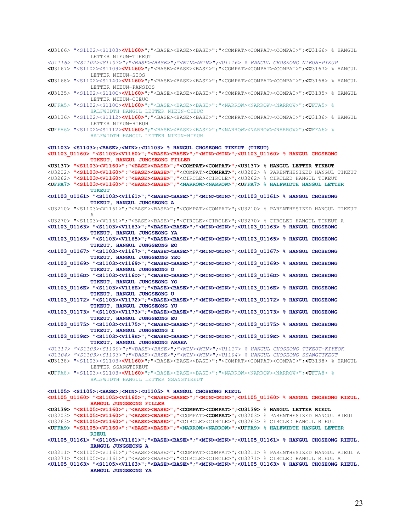**<U**3166> "<S1102><S1103>**<V1160>**";"<BASE><BASE><BASE>";"<COMPAT><COMPAT><COMPAT>";**<U**3166> % HANGUL LETTER NIEUN-TIKEUT *<U1116> "<S1102><S1107>";"<BASE><BASE>";"<MIN><MIN>";<U1116> % HANGUL CHOSEONG NIEUN-PIEUP*  **<U**3167> "<S1102><S1109>**<V1160>**";"<BASE><BASE><BASE>";"<COMPAT><COMPAT><COMPAT>";**<U**3167> % HANGUL LETTER NIEUN-SIOS **<U**3168> "<S1102><S1140>**<V1160>**";"<BASE><BASE><BASE>";"<COMPAT><COMPAT><COMPAT>";**<U**3168> % HANGUL LETTER NIEUN-PANSIOS **<U**3135> "<S1102><S110C>**<V1160>**";"<BASE><BASE><BASE>";"<COMPAT><COMPAT><COMPAT>";**<U**3135> % HANGUL LETTER NIEUN-CIEUC **<U**FFA5> "<S1102><S110C>**<V1160>**";"<BASE><BASE><BASE>";"<NARROW><NARROW><NARROW>";**<U**FFA5> % HALFWIDTH HANGUL LETTER NIEUN-CIEUC **<U**3136> "<S1102><S1112>**<V1160>**";"<BASE><BASE><BASE>";"<COMPAT><COMPAT><COMPAT>";**<U**3136> % HANGUL LETTER NIEUN-HIEUH **<U**FFA6> "<S1102><S1112>**<V1160>**";"<BASE><BASE><BASE>";"<NARROW><NARROW><NARROW>";**<U**FFA6> % HALFWIDTH HANGUL LETTER NIEUN-HIEUH **<U1103> <S1103>;<BASE>;<MIN>;<U1103> % HANGUL CHOSEONG TIKEUT (TIEUT) <U1103\_U1160> "<S1103><V1160>";"<BASE><BASE>";"<MIN><MIN>";<U1103\_U1160> % HANGUL CHOSEONG TIKEUT, HANGUL JUNGSEONG FILLER <U3137> "<S1103><V1160>";"<BASE><BASE>";"<COMPAT><COMPAT>";<U3137> % HANGUL LETTER TIKEUT**  <U3202> **"<S1103><V1160>";"<BASE><BASE>";"**<COMPAT>**<COMPAT>"**;<U3202> % PARENTHESIZED HANGUL TIKEUT <U3262> **"<S1103><V1160>";"<BASE><BASE>";"**<CIRCLE><CIRCLE>**"**;<U3262> % CIRCLED HANGUL TIKEUT **<UFFA7> "<S1103><V1160>";"<BASE><BASE>";"<NARROW><NARROW>";<UFFA7> % HALFWIDTH HANGUL LETTER TIKEUT <U1103\_U1161> "<S1103><V1161>";"<BASE><BASE>";"<MIN><MIN>";<U1103\_U1161> % HANGUL CHOSEONG TIKEUT, HANGUL JUNGSEONG A**  <U3210> "<S1103><V1161>";"<BASE><BASE>";"<COMPAT><COMPAT>";<U3210> % PARENTHESIZED HANGUL TIKEUT A <U3270> "<S1103><V1161>";"<BASE><BASE>";"<CIRCLE><CIRCLE>";<U3270> % CIRCLED HANGUL TIKEUT A **<U1103\_U1163> "<S1103><V1163>";"<BASE><BASE>";"<MIN><MIN>";<U1103\_U1163> % HANGUL CHOSEONG TIKEUT, HANGUL JUNGSEONG YA <U1103\_U1165> "<S1103><V1165>";"<BASE><BASE>";"<MIN><MIN>";<U1103\_U1165> % HANGUL CHOSEONG TIKEUT, HANGUL JUNGSEONG EO <U1103\_U1167> "<S1103><V1167>";"<BASE><BASE>";"<MIN><MIN>";<U1103\_U1167> % HANGUL CHOSEONG TIKEUT, HANGUL JUNGSEONG YEO <U1103\_U1169> "<S1103><V1169>";"<BASE><BASE>";"<MIN><MIN>";<U1103\_U1169> % HANGUL CHOSEONG TIKEUT, HANGUL JUNGSEONG O <U1103\_U116D> "<S1103><V116D>";"<BASE><BASE>";"<MIN><MIN>";<U1103\_U116D> % HANGUL CHOSEONG TIKEUT, HANGUL JUNGSEONG YO <U1103\_U116E> "<S1103><V116E>";"<BASE><BASE>";"<MIN><MIN>";<U1103\_U116E> % HANGUL CHOSEONG TIKEUT, HANGUL JUNGSEONG U <U1103\_U1172> "<S1103><V1172>";"<BASE><BASE>";"<MIN><MIN>";<U1103\_U1172> % HANGUL CHOSEONG TIKEUT, HANGUL JUNGSEONG YU <U1103\_U1173> "<S1103><V1173>";"<BASE><BASE>";"<MIN><MIN>";<U1103\_U1173> % HANGUL CHOSEONG TIKEUT, HANGUL JUNGSEONG EU <U1103\_U1175> "<S1103><V1175>";"<BASE><BASE>";"<MIN><MIN>";<U1103\_U1175> % HANGUL CHOSEONG TIKEUT, HANGUL JUNGSEONG I <U1103\_U119E> "<S1103><V119E>";"<BASE><BASE>";"<MIN><MIN>";<U1103\_U119E> % HANGUL CHOSEONG TIKEUT, HANGUL JUNGSEONG ARAEA**  *<U1117> "<S1103><S1100>";"<BASE><BASE>";"<MIN><MIN>";<U1117> % HANGUL CHOSEONG TIKEUT-KIYEOK <U1104> "<S1103><S1103>";"<BASE><BASE>";"<MIN><MIN>";<U1104> % HANGUL CHOSEONG SSANGTIKEUT*  **<U**3138> "<S1103><S1103>**<V1160>**";"<BASE><BASE><BASE>";"<COMPAT><COMPAT><COMPAT>";**<U**3138> % HANGUL LETTER SSANGTIKEUT **<U**FFA8> "<S1103><S1103>**<V1160>**";"<BASE><BASE><BASE>";"<NARROW><NARROW><NARROW>";**<U**FFA8> % HALFWIDTH HANGUL LETTER SSANGTIKEUT **<U1105> <S1105>;<BASE>;<MIN>;<U1105> % HANGUL CHOSEONG RIEUL <U1105\_U1160> "<S1105><V1160>";"<BASE><BASE>";"<MIN><MIN>";<U1105\_U1160> % HANGUL CHOSEONG RIEUL, HANGUL JUNGSEONG FILLER <U3139> "<S1105><V1160>";"<BASE><BASE>";"<COMPAT><COMPAT>";<U3139> % HANGUL LETTER RIEUL**  <U3203> **"<S1105><V1160>";"<BASE><BASE>";"**<COMPAT>**<COMPAT>"**;<U3203> % PARENTHESIZED HANGUL RIEUL <U3263> **"<S1105><V1160>";"<BASE><BASE>";"**<CIRCLE><CIRCLE>**"**;<U3263> % CIRCLED HANGUL RIEUL **<UFFA9> "<S1105><V1160>";"<BASE><BASE>";"<NARROW><NARROW>";<UFFA9> % HALFWIDTH HANGUL LETTER RIEUL <U1105\_U1161> "<S1105><V1161>";"<BASE><BASE>";"<MIN><MIN>";<U1105\_U1161> % HANGUL CHOSEONG RIEUL, HANGUL JUNGSEONG A**  <U3211> "<S1105><V1161>";"<BASE><BASE>";"<COMPAT><COMPAT>";<U3211> % PARENTHESIZED HANGUL RIEUL A <U3271> "<S1105><V1161>";"<BASE><BASE>";"<CIRCLE><CIRCLE>";<U3271> % CIRCLED HANGUL RIEUL A **<U1105\_U1163> "<S1105><V1163>";"<BASE><BASE>";"<MIN><MIN>";<U1105\_U1163> % HANGUL CHOSEONG RIEUL, HANGUL JUNGSEONG YA**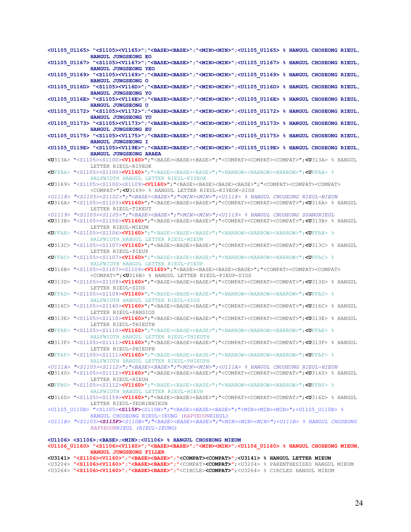**<U1105\_U1165> "<S1105><V1165>";"<BASE><BASE>";"<MIN><MIN>";<U1105\_U1165> % HANGUL CHOSEONG RIEUL, HANGUL JUNGSEONG EO <U1105\_U1167> "<S1105><V1167>";"<BASE><BASE>";"<MIN><MIN>";<U1105\_U1167> % HANGUL CHOSEONG RIEUL, HANGUL JUNGSEONG YEO <U1105\_U1169> "<S1105><V1169>";"<BASE><BASE>";"<MIN><MIN>";<U1105\_U1169> % HANGUL CHOSEONG RIEUL, HANGUL JUNGSEONG O <U1105\_U116D> "<S1105><V116D>";"<BASE><BASE>";"<MIN><MIN>";<U1105\_U116D> % HANGUL CHOSEONG RIEUL, HANGUL JUNGSEONG YO <U1105\_U116E> "<S1105><V116E>";"<BASE><BASE>";"<MIN><MIN>";<U1105\_U116E> % HANGUL CHOSEONG RIEUL, HANGUL JUNGSEONG U <U1105\_U1172> "<S1105><V1172>";"<BASE><BASE>";"<MIN><MIN>";<U1105\_U1172> % HANGUL CHOSEONG RIEUL, HANGUL JUNGSEONG YU <U1105\_U1173> "<S1105><V1173>";"<BASE><BASE>";"<MIN><MIN>";<U1105\_U1173> % HANGUL CHOSEONG RIEUL, HANGUL JUNGSEONG EU <U1105\_U1175> "<S1105><V1175>";"<BASE><BASE>";"<MIN><MIN>";<U1105\_U1175> % HANGUL CHOSEONG RIEUL, HANGUL JUNGSEONG I <U1105\_U119E> "<S1105><V119E>";"<BASE><BASE>";"<MIN><MIN>";<U1105\_U119E> % HANGUL CHOSEONG RIEUL, HANGUL JUNGSEONG ARAEA <U**313A> "<S1105><S1100>**<V1160>**";"<BASE><BASE><BASE>";"<COMPAT><COMPAT><COMPAT>";**<U**313A> % HANGUL LETTER RIEUL-KIYEOK **<U**FFAA> "<S1105><S1100>**<V1160>**";"<BASE><BASE><BASE>";"<NARROW><NARROW><NARROW>";**<U**FFAA> % HALFWIDTH HANGUL LETTER RIEUL-KIYEOK **<U**3169> "<S1105><S1100><S1109>**<V1160>**";"<BASE><BASE><BASE><BASE>";"<COMPAT><COMPAT><COMPAT> <COMPAT>";**<U**3169> % HANGUL LETTER RIEUL-KIYEOK-SIOS *<U1118> "<S1105><S1102>";"<BASE><BASE>";"<MIN><MIN>";<U1118> % HANGUL CHOSEONG RIEUL-NIEUN*  **<U**316A> "<S1105><S1103>**<V1160>**";"<BASE><BASE><BASE>";"<COMPAT><COMPAT><COMPAT>";**<U**316A> % HANGUL LETTER RIEUL-TIKEUT *<U1119> "<S1105><S1105>";"<BASE><BASE>";"<MIN><MIN>";<U1119> % HANGUL CHOSEONG SSANGRIEUL*  **<U**313B> "<S1105><S1106>**<V1160>**";"<BASE><BASE><BASE>";"<COMPAT><COMPAT><COMPAT>";**<U**313B> % HANGUL LETTER RIEUL-MIEUM **<U**FFAB> "<S1105><S1106>**<V1160>**";"<BASE><BASE><BASE>";"<NARROW><NARROW><NARROW>";**<U**FFAB> % HALFWIDTH HANGUL LETTER RIEUL-MIEUM **<U**313C> "<S1105><S1107>**<V1160>**";"<BASE><BASE><BASE>";"<COMPAT><COMPAT><COMPAT>";**<U**313C> % HANGUL LETTER RIEUL-PIEUP **<U**FFAC> "<S1105><S1107>**<V1160>**";"<BASE><BASE><BASE>";"<NARROW><NARROW><NARROW>";**<U**FFAC> % HALFWIDTH HANGUL LETTER RIEUL-PIEUP **<U**316B> "<S1105><S1107><S1109>**<V1160>**";"<BASE><BASE><BASE><BASE>";"<COMPAT><COMPAT><COMPAT> <COMPAT>";**<U**316B> % HANGUL LETTER RIEUL-PIEUP-SIOS **<U**313D> "<S1105><S1109>**<V1160>**";"<BASE><BASE><BASE>";"<COMPAT><COMPAT><COMPAT>";**<U**313D> % HANGUL LETTER RIEUL-SIOS **<U**FFAD> "<S1105><S1109>**<V1160>**";"<BASE><BASE><BASE>";"<NARROW><NARROW><NARROW>";**<U**FFAD> % HALFWIDTH HANGUL LETTER RIEUL-SIOS **<U**316C> "<S1105><S1140>**<V1160>**";"<BASE><BASE><BASE>";"<COMPAT><COMPAT><COMPAT>";**<U**316C> % HANGUL LETTER RIEUL-PANSIOS **<U**313E> "<S1105><S1110>**<V1160>**";"<BASE><BASE><BASE>";"<COMPAT><COMPAT><COMPAT>";**<U**313E> % HANGUL LETTER RIEUL-THIEUTH **<U**FFAE> "<S1105><S1110>**<V1160>**";"<BASE><BASE><BASE>";"<NARROW><NARROW><NARROW>";**<U**FFAE> % HALFWIDTH HANGUL LETTER RIEUL-THIEUTH **<U**313F> "<S1105><S1111>**<V1160>**";"<BASE><BASE><BASE>";"<COMPAT><COMPAT><COMPAT>";**<U**313F> % HANGUL LETTER RIEUL-PHIEUPH **<U**FFAF> "<S1105><S1111>**<V1160>**";"<BASE><BASE><BASE>";"<NARROW><NARROW><NARROW>";**<U**FFAF> % HALFWIDTH HANGUL LETTER RIEUL-PHIEUPH *<U111A> "<S1105><S1112>";"<BASE><BASE>";"<MIN><MIN>";<U111A> % HANGUL CHOSEONG RIEUL-HIEUH*  **<U**3140> "<S1105><S1112>**<V1160>**";"<BASE><BASE><BASE>";"<COMPAT><COMPAT><COMPAT>";**<U**3140> % HANGUL LETTER RIEUL-HIEUH **<U**FFB0> "<S1105><S1112>**<V1160>**";"<BASE><BASE><BASE>";"<NARROW><NARROW><NARROW>";**<U**FFB0> % HALFWIDTH HANGUL LETTER RIEUL-HIEUH **<U**316D> "<S1105><S1159>**<V1160>**";"<BASE><BASE><BASE>";"<COMPAT><COMPAT><COMPAT>";**<U**316D> % HANGUL LETTER RIEUL-YEORINHIEUH <U1105\_U110B> "<S1105>**<S115F>**<S110B>";"<BASE><BASE><BASE>";"<MIN><MIN><MIN>";<U1105\_U110B> % HANGUL CHOSEONG RIEUL-IEUNG (KAPYEOUNRIEUL) *<U111B> "<S1105><S115F><S110B>";"<BASE><BASE><BASE>";"<MIN><MIN><MIN>";<U111B> % HANGUL CHOSEONG KAPYEOUNRIEUL (RIEUL-IEUNG)* **<U1106> <S1106>;<BASE>;<MIN>;<U1106> % HANGUL CHOSEONG MIEUM <U1106\_U1160> "<S1106><V1160>";"<BASE><BASE>";"<MIN><MIN>";<U1106\_U1160> % HANGUL CHOSEONG MIEUM, HANGUL JUNGSEONG FILLER** 

#### **<U3141> "<S1106><V1160>";"<BASE><BASE>";"<COMPAT><COMPAT>";<U3141> % HANGUL LETTER MIEUM**  <U3204> **"<S1106><V1160>";"<BASE><BASE>";"**<COMPAT>**<COMPAT>"**;<U3204> % PARENTHESIZED HANGUL MIEUM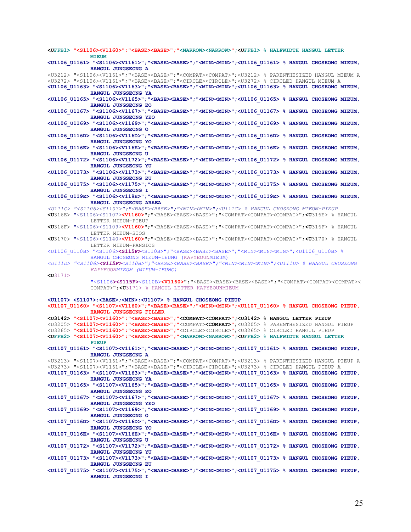**<UFFB1> "<S1106><V1160>";"<BASE><BASE>";"<NARROW><NARROW>";<UFFB1> % HALFWIDTH HANGUL LETTER MIEUM <U1106\_U1161> "<S1106><V1161>";"<BASE><BASE>";"<MIN><MIN>";<U1106\_U1161> % HANGUL CHOSEONG MIEUM, HANGUL JUNGSEONG A**  <U3212> "<S1106><V1161>";"<BASE><BASE>";"<COMPAT><COMPAT>";<U3212> % PARENTHESIZED HANGUL MIEUM A <U3272> "<S1106><V1161>";"<BASE><BASE>";"<CIRCLE><CIRCLE>";<U3272> % CIRCLED HANGUL MIEUM A **<U1106\_U1163> "<S1106><V1163>";"<BASE><BASE>";"<MIN><MIN>";<U1106\_U1163> % HANGUL CHOSEONG MIEUM, HANGUL JUNGSEONG YA <U1106\_U1165> "<S1106><V1165>";"<BASE><BASE>";"<MIN><MIN>";<U1106\_U1165> % HANGUL CHOSEONG MIEUM, HANGUL JUNGSEONG EO <U1106\_U1167> "<S1106><V1167>";"<BASE><BASE>";"<MIN><MIN>";<U1106\_U1167> % HANGUL CHOSEONG MIEUM, HANGUL JUNGSEONG YEO <U1106\_U1169> "<S1106><V1169>";"<BASE><BASE>";"<MIN><MIN>";<U1106\_U1169> % HANGUL CHOSEONG MIEUM, HANGUL JUNGSEONG O <U1106\_U116D> "<S1106><V116D>";"<BASE><BASE>";"<MIN><MIN>";<U1106\_U116D> % HANGUL CHOSEONG MIEUM, HANGUL JUNGSEONG YO <U1106\_U116E> "<S1106><V116E>";"<BASE><BASE>";"<MIN><MIN>";<U1106\_U116E> % HANGUL CHOSEONG MIEUM, HANGUL JUNGSEONG U <U1106\_U1172> "<S1106><V1172>";"<BASE><BASE>";"<MIN><MIN>";<U1106\_U1172> % HANGUL CHOSEONG MIEUM, HANGUL JUNGSEONG YU <U1106\_U1173> "<S1106><V1173>";"<BASE><BASE>";"<MIN><MIN>";<U1106\_U1173> % HANGUL CHOSEONG MIEUM, HANGUL JUNGSEONG EU <U1106\_U1175> "<S1106><V1175>";"<BASE><BASE>";"<MIN><MIN>";<U1106\_U1175> % HANGUL CHOSEONG MIEUM, HANGUL JUNGSEONG I <U1106\_U119E> "<S1106><V119E>";"<BASE><BASE>";"<MIN><MIN>";<U1106\_U119E> % HANGUL CHOSEONG MIEUM, HANGUL JUNGSEONG ARAEA**  *<U111C> "<S1106><S1107>";"<BASE><BASE>";"<MIN><MIN>";<U111C> % HANGUL CHOSEONG MIEUM-PIEUP*  **<U**316E> "<S1106><S1107>**<V1160>**";"<BASE><BASE><BASE>";"<COMPAT><COMPAT><COMPAT>";**<U**316E> % HANGUL LETTER MIEUM-PIEUP **<U**316F> "<S1106><S1109>**<V1160>**";"<BASE><BASE><BASE>";"<COMPAT><COMPAT><COMPAT>";**<U**316F> % HANGUL LETTER MIEUM-SIOS **<U**3170> "<S1106><S1140>**<V1160>**";"<BASE><BASE><BASE>";"<COMPAT><COMPAT><COMPAT>";**<U**3170> % HANGUL LETTER MIEUM-PANSIOS <U1106\_U110B> "<S1106>**<S115F>**<S110B>";"<BASE><BASE><BASE>";"<MIN><MIN><MIN>";<U1106\_U110B> % HANGUL CHOSEONG MIEUM-IEUNG (KAPYEOUNMIEUM) *<U111D> "<S1106><S115F><S110B>";"<BASE><BASE><BASE>";"<MIN><MIN><MIN>";<U111D> % HANGUL CHOSEONG KAPYEOUNMIEUM (MIEUM-IEUNG)*  **<U**3171> "<S1106**><S115F>**<S110B>**<V1160>**";"<BASE><BASE><BASE><BASE>";"<COMPAT><COMPAT><COMPAT>< COMPAT>";**<U**3171> % HANGUL LETTER KAPYEOUNMIEUM **<U1107> <S1107>;<BASE>;<MIN>;<U1107> % HANGUL CHOSEONG PIEUP <U1107\_U1160> "<S1107><V1160>";"<BASE><BASE>";"<MIN><MIN>";<U1107\_U1160> % HANGUL CHOSEONG PIEUP, HANGUL JUNGSEONG FILLER <U3142> "<S1107><V1160>";"<BASE><BASE>";"<COMPAT><COMPAT>";<U3142> % HANGUL LETTER PIEUP**  <U3205> **"<S1107><V1160>";"<BASE><BASE>";"**<COMPAT>**<COMPAT>"**;<U3205> % PARENTHESIZED HANGUL PIEUP <U3265> **"<S1107><V1160>";"<BASE><BASE>";"**<CIRCLE><CIRCLE>**"**;<U3265> % CIRCLED HANGUL PIEUP **<UFFB2> "<S1107><V1160>";"<BASE><BASE>";"<NARROW><NARROW>";<UFFB2> % HALFWIDTH HANGUL LETTER PIEUP <U1107\_U1161> "<S1107><V1161>";"<BASE><BASE>";"<MIN><MIN>";<U1107\_U1161> % HANGUL CHOSEONG PIEUP, HANGUL JUNGSEONG A**  <U3213> "<S1107><V1161>";"<BASE><BASE>";"<COMPAT><COMPAT>";<U3213> % PARENTHESIZED HANGUL PIEUP A <U3273> "<S1107><V1161>";"<BASE><BASE>";"<CIRCLE><CIRCLE>";<U3273> % CIRCLED HANGUL PIEUP A **<U1107\_U1163> "<S1107><V1163>";"<BASE><BASE>";"<MIN><MIN>";<U1107\_U1163> % HANGUL CHOSEONG PIEUP, HANGUL JUNGSEONG YA <U1107\_U1165> "<S1107><V1165>";"<BASE><BASE>";"<MIN><MIN>";<U1107\_U1165> % HANGUL CHOSEONG PIEUP, HANGUL JUNGSEONG EO <U1107\_U1167> "<S1107><V1167>";"<BASE><BASE>";"<MIN><MIN>";<U1107\_U1167> % HANGUL CHOSEONG PIEUP, HANGUL JUNGSEONG YEO <U1107\_U1169> "<S1107><V1169>";"<BASE><BASE>";"<MIN><MIN>";<U1107\_U1169> % HANGUL CHOSEONG PIEUP, HANGUL JUNGSEONG O <U1107\_U116D> "<S1107><V116D>";"<BASE><BASE>";"<MIN><MIN>";<U1107\_U116D> % HANGUL CHOSEONG PIEUP, HANGUL JUNGSEONG YO <U1107\_U116E> "<S1107><V116E>";"<BASE><BASE>";"<MIN><MIN>";<U1107\_U116E> % HANGUL CHOSEONG PIEUP, HANGUL JUNGSEONG U <U1107\_U1172> "<S1107><V1172>";"<BASE><BASE>";"<MIN><MIN>";<U1107\_U1172> % HANGUL CHOSEONG PIEUP, HANGUL JUNGSEONG YU <U1107\_U1173> "<S1107><V1173>";"<BASE><BASE>";"<MIN><MIN>";<U1107\_U1173> % HANGUL CHOSEONG PIEUP, HANGUL JUNGSEONG EU <U1107\_U1175> "<S1107><V1175>";"<BASE><BASE>";"<MIN><MIN>";<U1107\_U1175> % HANGUL CHOSEONG PIEUP, HANGUL JUNGSEONG I**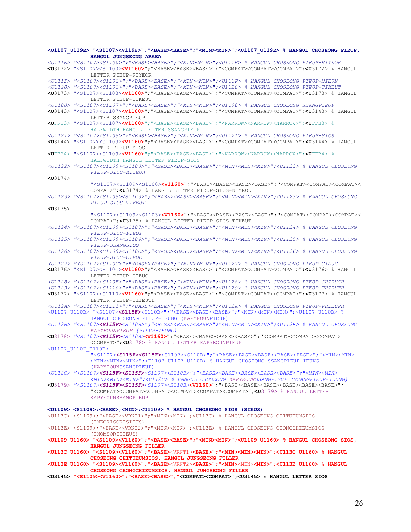**<U1107\_U119E> "<S1107><V119E>";"<BASE><BASE>";"<MIN><MIN>";<U1107\_U119E> % HANGUL CHOSEONG PIEUP, HANGUL JUNGSEONG ARAEA**  *<U111E> "<S1107><S1100>";"<BASE><BASE>";"<MIN><MIN>";<U111E> % HANGUL CHOSEONG PIEUP-KIYEOK*  **<U**3172> "<S1107><S1100>**<V1160>**";"<BASE><BASE><BASE>";"<COMPAT><COMPAT><COMPAT>";**<U**3172> % HANGUL LETTER PIEUP-KIYEOK *<U111F> "<S1107><S1102>";"<BASE><BASE>";"<MIN><MIN>";<U111F> % HANGUL CHOSEONG PIEUP-NIEUN <U1120> "<S1107><S1103>";"<BASE><BASE>";"<MIN><MIN>";<U1120> % HANGUL CHOSEONG PIEUP-TIKEUT*  **<U**3173> "<S1107><S1103>**<V1160>**";"<BASE><BASE><BASE>";"<COMPAT><COMPAT><COMPAT>";**<U**3173> % HANGUL LETTER PIEUP-TIKEUT *<U1108> "<S1107><S1107>";"<BASE><BASE>";"<MIN><MIN>";<U1108> % HANGUL CHOSEONG SSANGPIEUP*  **<U**3143> "<S1107><S1107>**<V1160>**";"<BASE><BASE><BASE>";"<COMPAT><COMPAT><COMPAT>";**<U**3143> % HANGUL LETTER SSANGPIEUP **<U**FFB3> "<S1107><S1107>**<V1160>**";"<BASE><BASE><BASE>";"<NARROW><NARROW><NARROW>";**<U**FFB3> % HALFWIDTH HANGUL LETTER SSANGPIEUP *<U1121> "<S1107><S1109>";"<BASE><BASE>";"<MIN><MIN>";<U1121> % HANGUL CHOSEONG PIEUP-SIOS*  **<U**3144> "<S1107><S1109>**<V1160>**";"<BASE><BASE><BASE>";"<COMPAT><COMPAT><COMPAT>";**<U**3144> % HANGUL LETTER PIEUP-SIOS **<U**FFB4> "<S1107><S1109>**<V1160>**";"<BASE><BASE><BASE>";"<NARROW><NARROW><NARROW>";**<U**FFB4> % HALFWIDTH HANGUL LETTER PIEUP-SIOS *<U1122> "<S1107><S1109><S1100>";"<BASE><BASE><BASE>";"<MIN><MIN><MIN>";<U1122> % HANGUL CHOSEONG PIEUP-SIOS-KIYEOK*   $\times$ U<sub>3174></sub> "<S1107><S1109><S1100>**<V1160>**";"<BASE><BASE><BASE><BASE>";"<COMPAT><COMPAT><COMPAT>< COMPAT>";**<U**3174> % HANGUL LETTER PIEUP-SIOS-KIYEOK *<U1123> "<S1107><S1109><S1103>";"<BASE><BASE><BASE>";"<MIN><MIN><MIN>";<U1123> % HANGUL CHOSEONG PIEUP-SIOS-TIKEUT*  **<U**3175> "<S1107><S1109><S1103>**<V1160>**";"<BASE><BASE><BASE><BASE>";"<COMPAT><COMPAT><COMPAT>< COMPAT>";**<U**3175> % HANGUL LETTER PIEUP-SIOS-TIKEUT *<U1124> "<S1107><S1109><S1107>";"<BASE><BASE><BASE>";"<MIN><MIN><MIN>";<U1124> % HANGUL CHOSEONG PIEUP-SIOS-PIEUP <U1125> "<S1107><S1109><S1109>";"<BASE><BASE><BASE>";"<MIN><MIN><MIN>";<U1125> % HANGUL CHOSEONG PIEUP-SSANGSIOS <U1126> "<S1107><S1109><S110C>";"<BASE><BASE><BASE>";"<MIN><MIN><MIN>";<U1126> % HANGUL CHOSEONG PIEUP-SIOS-CIEUC <U1127> "<S1107><S110C>";"<BASE><BASE>";"<MIN><MIN>";<U1127> % HANGUL CHOSEONG PIEUP-CIEUC*  **<U**3176> "<S1107><S110C>**<V1160>**";"<BASE><BASE><BASE>";"<COMPAT><COMPAT><COMPAT>";**<U**3176> % HANGUL LETTER PIEUP-CIEUC *<U1128> "<S1107><S110E>";"<BASE><BASE>";"<MIN><MIN>";<U1128> % HANGUL CHOSEONG PIEUP-CHIEUCH <U1129> "<S1107><S1110>";"<BASE><BASE>";"<MIN><MIN>";<U1129> % HANGUL CHOSEONG PIEUP-THIEUTH*  **<U**3177> "<S1107><S1110>**<V1160>**";"<BASE><BASE><BASE>";"<COMPAT><COMPAT><COMPAT>";**<U**3177> % HANGUL LETTER PIEUP-THIEUTH *<U112A> "<S1107><S1111>";"<BASE><BASE>";"<MIN><MIN>";<U112A> % HANGUL CHOSEONG PIEUP-PHIEUPH*  <U1107\_U110B> "<S1107>**<S115F>**<S110B>";"<BASE><BASE><BASE>";"<MIN><MIN><MIN>";<U1107\_U110B> % HANGUL CHOSEONG PIEUP-IEUNG (KAPYEOUNPIEUP) *<U112B> "<S1107><S115F><S110B>";"<BASE><BASE><BASE>";"<MIN><MIN><MIN>";<U112B> % HANGUL CHOSEONG KAPYEOUNPIEUP (PIEUP-IEUNG)*  **<U**3178> *"<S1107><S115F><S110B>***<V1160>**";"<BASE><BASE><BASE><BASE>";"<COMPAT><COMPAT><COMPAT> <COMPAT>";**<U**3178> % HANGUL LETTER KAPYEOUNPIEUP <U1107\_U1107\_U110B> "<S1107>**<S115F><S115F>**<S1107><S110B>";"<BASE><BASE><BASE><BASE><BASE>";"<MIN><MIN> <MIN><MIN><MIN>";<U1107\_U1107\_U110B> % HANGUL CHOSEONG SSANGPIEUP-IEUNG (KAPYEOUNSSANGPIEUP) *<U112C> "<S1107><S115F><S115F><S1107><S110B>";"<BASE><BASE><BASE><BASE><BASE>";"<MIN><MIN> <MIN><MIN><MIN>";<U112C> % HANGUL CHOSEONG KAPYEOUNSSANGPIEUP (SSANGPIEUP-IEUNG)* **<U**3179> *"<S1107><S115F><S115F><S1107><S110B>***<V1160>**";"<BASE><BASE><BASE><BASE><BASE><BASE>"; "<COMPAT><COMPAT><COMPAT><COMPAT><COMPAT><COMPAT>";**<U**3179> % HANGUL LETTER KAPYEOUNSSANGPIEUP **<U1109> <S1109>;<BASE>;<MIN>;<U1109> % HANGUL CHOSEONG SIOS (SIEUS)**  <U113C> <S1109>;"<BASE><VRNT1>";"<MIN><MIN>";<U113C> % HANGUL CHOSEONG CHITUEUMSIOS (IMEORISORISIEUS) <U113E> <S1109>;"<BASE><VRNT2>";"<MIN><MIN>";<U113E> % HANGUL CHOSEONG CEONGCHIEUMSIOS (IMOMSORISIEUS) **<U1109\_U1160> "<S1109><V1160>";"<BASE><BASE>";"<MIN><MIN>";<U1109\_U1160> % HANGUL CHOSEONG SIOS, HANGUL JUNGSEONG FILLER <U113C\_U1160> "<S1109><V1160>";"<BASE>**<VRNT1>**<BASE>";"<MIN><MIN><MIN>";<U113C\_U1160> % HANGUL CHOSEONG CHITUEUMSIOS, HANGUL JUNGSEONG FILLER <U113E\_U1160> "<S1109><V1160>";"<BASE>**<VRNT2>**<BASE>";"<MIN>**<MIN>**<MIN>";<U113E\_U1160> % HANGUL CHOSEONG CEONGCHIEUMSIOS, HANGUL JUNGSEONG FILLER <U3145> "<S1109><V1160>";"<BASE><BASE>";"<COMPAT><COMPAT>";<U3145> % HANGUL LETTER SIOS**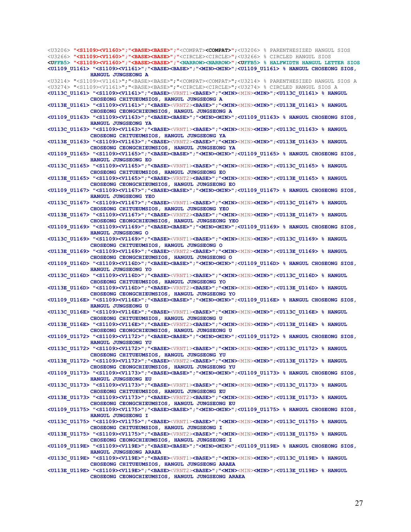<U3266> **"<S1109><V1160>";"<BASE><BASE>";"**<CIRCLE><CIRCLE>**"**;<U3266> % CIRCLED HANGUL SIOS **<UFFB5> "<S1109><V1160>";"<BASE><BASE>";"<NARROW><NARROW>";<UFFB5> % HALFWIDTH HANGUL LETTER SIOS <U1109\_U1161> "<S1109><V1161>";"<BASE><BASE>";"<MIN><MIN>";<U1109\_U1161> % HANGUL CHOSEONG SIOS, HANGUL JUNGSEONG A**  <U3214> "<S1109><V1161>";"<BASE><BASE>";"<COMPAT><COMPAT>";<U3214> % PARENTHESIZED HANGUL SIOS A <U3274> "<S1109><V1161>";"<BASE><BASE>";"<CIRCLE><CIRCLE>";<U3274> % CIRCLED HANGUL SIOS A **<U113C\_U1161> "<S1109><V1161>";"<BASE>**<VRNT1>**<BASE>";"<MIN>**<MIN>**<MIN>";<U113C\_U1161> % HANGUL CHOSEONG CHITUEUMSIOS, HANGUL JUNGSEONG A <U113E\_U1161> "<S1109><V1161>";"<BASE>**<VRNT2>**<BASE>";"<MIN>**<MIN>**<MIN>";<U113E\_U1161> % HANGUL CHOSEONG CEONGCHIEUMSIOS, HANGUL JUNGSEONG A <U1109\_U1163> "<S1109><V1163>";"<BASE><BASE>";"<MIN><MIN>";<U1109\_U1163> % HANGUL CHOSEONG SIOS, HANGUL JUNGSEONG YA <U113C\_U1163> "<S1109><V1163>";"<BASE>**<VRNT1>**<BASE>";"<MIN>**<MIN>**<MIN>";<U113C\_U1163> % HANGUL CHOSEONG CHITUEUMSIOS, HANGUL JUNGSEONG YA <U113E\_U1163> "<S1109><V1163>";"<BASE>**<VRNT2>**<BASE>";"<MIN>**<MIN>**<MIN>";<U113E\_U1163> % HANGUL CHOSEONG CEONGCHIEUMSIOS, HANGUL JUNGSEONG YA <U1109\_U1165> "<S1109><V1165>";"<BASE><BASE>";"<MIN><MIN>";<U1109\_U1165> % HANGUL CHOSEONG SIOS, HANGUL JUNGSEONG EO <U113C\_U1165> "<S1109><V1165>";"<BASE>**<VRNT1>**<BASE>";"<MIN>**<MIN>**<MIN>";<U113C\_U1165> % HANGUL CHOSEONG CHITUEUMSIOS, HANGUL JUNGSEONG EO <U113E\_U1165> "<S1109><V1165>";"<BASE>**<VRNT2>**<BASE>";"<MIN>**<MIN>**<MIN>";<U113E\_U1165> % HANGUL CHOSEONG CEONGCHIEUMSIOS, HANGUL JUNGSEONG EO <U1109\_U1167> "<S1109><V1167>";"<BASE><BASE>";"<MIN><MIN>";<U1109\_U1167> % HANGUL CHOSEONG SIOS, HANGUL JUNGSEONG YEO <U113C\_U1167> "<S1109><V1167>";"<BASE>**<VRNT1>**<BASE>";"<MIN>**<MIN>**<MIN>";<U113C\_U1167> % HANGUL CHOSEONG CHITUEUMSIOS, HANGUL JUNGSEONG YEO <U113E\_U1167> "<S1109><V1167>";"<BASE>**<VRNT2>**<BASE>";"<MIN>**<MIN>**<MIN>";<U113E\_U1167> % HANGUL CHOSEONG CEONGCHIEUMSIOS, HANGUL JUNGSEONG YEO <U1109\_U1169> "<S1109><V1169>";"<BASE><BASE>";"<MIN><MIN>";<U1109\_U1169> % HANGUL CHOSEONG SIOS, HANGUL JUNGSEONG O <U113C\_U1169> "<S1109><V1169>";"<BASE>**<VRNT1>**<BASE>";"<MIN>**<MIN>**<MIN>";<U113C\_U1169> % HANGUL CHOSEONG CHITUEUMSIOS, HANGUL JUNGSEONG O <U113E\_U1169> "<S1109><V1169>";"<BASE>**<VRNT2>**<BASE>";"<MIN>**<MIN>**<MIN>";<U113E\_U1169> % HANGUL CHOSEONG CEONGCHIEUMSIOS, HANGUL JUNGSEONG O <U1109\_U116D> "<S1109><V116D>";"<BASE><BASE>";"<MIN><MIN>";<U1109\_U116D> % HANGUL CHOSEONG SIOS, HANGUL JUNGSEONG YO <U113C\_U116D> "<S1109><V116D>";"<BASE>**<VRNT1>**<BASE>";"<MIN>**<MIN>**<MIN>";<U113C\_U116D> % HANGUL CHOSEONG CHITUEUMSIOS, HANGUL JUNGSEONG YO <U113E\_U116D> "<S1109><V116D>";"<BASE>**<VRNT2>**<BASE>";"<MIN>**<MIN>**<MIN>";<U113E\_U116D> % HANGUL CHOSEONG CEONGCHIEUMSIOS, HANGUL JUNGSEONG YO <U1109\_U116E> "<S1109><V116E>";"<BASE><BASE>";"<MIN><MIN>";<U1109\_U116E> % HANGUL CHOSEONG SIOS, HANGUL JUNGSEONG U <U113C\_U116E> "<S1109><V116E>";"<BASE>**<VRNT1>**<BASE>";"<MIN>**<MIN>**<MIN>";<U113C\_U116E> % HANGUL CHOSEONG CHITUEUMSIOS, HANGUL JUNGSEONG U <U113E\_U116E> "<S1109><V116E>";"<BASE>**<VRNT2>**<BASE>";"<MIN>**<MIN>**<MIN>";<U113E\_U116E> % HANGUL CHOSEONG CEONGCHIEUMSIOS, HANGUL JUNGSEONG U <U1109\_U1172> "<S1109><V1172>";"<BASE><BASE>";"<MIN><MIN>";<U1109\_U1172> % HANGUL CHOSEONG SIOS, HANGUL JUNGSEONG YU <U113C\_U1172> "<S1109><V1172>";"<BASE>**<VRNT1>**<BASE>";"<MIN>**<MIN>**<MIN>";<U113C\_U1172> % HANGUL CHOSEONG CHITUEUMSIOS, HANGUL JUNGSEONG YU <U113E\_U1172> "<S1109><V1172>";"<BASE>**<VRNT2>**<BASE>";"<MIN>**<MIN>**<MIN>";<U113E\_U1172> % HANGUL CHOSEONG CEONGCHIEUMSIOS, HANGUL JUNGSEONG YU <U1109\_U1173> "<S1109><V1173>";"<BASE><BASE>";"<MIN><MIN>";<U1109\_U1173> % HANGUL CHOSEONG SIOS, HANGUL JUNGSEONG EU <U113C\_U1173> "<S1109><V1173>";"<BASE>**<VRNT1>**<BASE>";"<MIN>**<MIN>**<MIN>";<U113C\_U1173> % HANGUL CHOSEONG CHITUEUMSIOS, HANGUL JUNGSEONG EU <U113E\_U1173> "<S1109><V1173>";"<BASE>**<VRNT2>**<BASE>";"<MIN>**<MIN>**<MIN>";<U113E\_U1173> % HANGUL CHOSEONG CEONGCHIEUMSIOS, HANGUL JUNGSEONG EU <U1109\_U1175> "<S1109><V1175>";"<BASE><BASE>";"<MIN><MIN>";<U1109\_U1175> % HANGUL CHOSEONG SIOS, HANGUL JUNGSEONG I <U113C\_U1175> "<S1109><V1175>";"<BASE>**<VRNT1>**<BASE>";"<MIN>**<MIN>**<MIN>";<U113C\_U1175> % HANGUL CHOSEONG CHITUEUMSIOS, HANGUL JUNGSEONG I <U113E\_U1175> "<S1109><V1175>";"<BASE>**<VRNT2>**<BASE>";"<MIN>**<MIN>**<MIN>";<U113E\_U1175> % HANGUL CHOSEONG CEONGCHIEUMSIOS, HANGUL JUNGSEONG I <U1109\_U119E> "<S1109><V119E>";"<BASE><BASE>";"<MIN><MIN>";<U1109\_U119E> % HANGUL CHOSEONG SIOS, HANGUL JUNGSEONG ARAEA <U113C\_U119E> "<S1109><V119E>";"<BASE>**<VRNT1>**<BASE>";"<MIN>**<MIN>**<MIN>";<U113C\_U119E> % HANGUL CHOSEONG CHITUEUMSIOS, HANGUL JUNGSEONG ARAEA** 

<U3206> **"<S1109><V1160>";"<BASE><BASE>";"**<COMPAT>**<COMPAT>"**;<U3206> % PARENTHESIZED HANGUL SIOS

**<U113E\_U119E> "<S1109><V119E>";"<BASE>**<VRNT2>**<BASE>";"<MIN>**<MIN>**<MIN>";<U113E\_U119E> % HANGUL CHOSEONG CEONGCHIEUMSIOS, HANGUL JUNGSEONG ARAEA**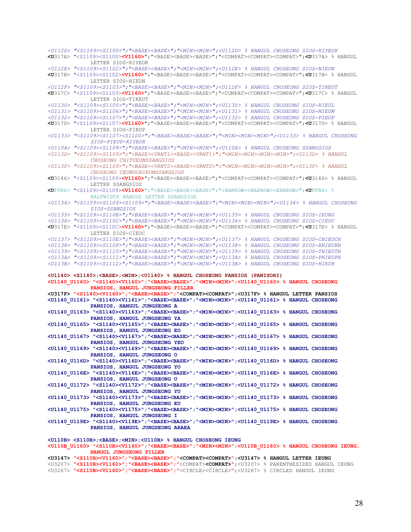*<U112D> "<S1109><S1100>";"<BASE><BASE>";"<MIN><MIN>";<U112D> % HANGUL CHOSEONG SIOS-KIYEOK*  **<U**317A> "<S1109><S1100>**<V1160>**";"<BASE><BASE><BASE>";"<COMPAT><COMPAT><COMPAT>";**<U**317A> % HANGUL LETTER SIOS-KIYEOK *<U112E> "<S1109><S1102>";"<BASE><BASE>";"<MIN><MIN>";<U112E> % HANGUL CHOSEONG SIOS-NIEUN*  **<U**317B> "<S1109><S1102>**<V1160>**";"<BASE><BASE><BASE>";"<COMPAT><COMPAT><COMPAT>";**<U**317B> % HANGUL LETTER SIOS-NIEUN *<U112F> "<S1109><S1103>";"<BASE><BASE>";"<MIN><MIN>";<U112F> % HANGUL CHOSEONG SIOS-TIKEUT*  **<U**317C> "<S1109><S1103>**<V1160>**";"<BASE><BASE><BASE>";"<COMPAT><COMPAT><COMPAT>";**<U**317C> % HANGUL LETTER SIOS-TIKEUT *<U1130> "<S1109><S1105>";"<BASE><BASE>";"<MIN><MIN>";<U1130> % HANGUL CHOSEONG SIOS-RIEUL <U1131> "<S1109><S1106>";"<BASE><BASE>";"<MIN><MIN>";<U1131> % HANGUL CHOSEONG SIOS-MIEUM <U1132> "<S1109><S1107>";"<BASE><BASE>";"<MIN><MIN>";<U1132> % HANGUL CHOSEONG SIOS-PIEUP*  **<U**317D> "<S1109><S1107>**<V1160>**";"<BASE><BASE><BASE>";"<COMPAT><COMPAT><COMPAT>";**<U**317D> % HANGUL LETTER SIOS-PIEUP *<U1133> "<S1109><S1107><S1100>";"<BASE><BASE><BASE>";"<MIN><MIN><MIN>";<U1133> % HANGUL CHOSEONG SIOS-PIEUP-KIYEOK <U110A> "<S1109><S1109>";"<BASE><BASE>";"<MIN><MIN>";<U110A> % HANGUL CHOSEONG SSANGSIOS <U113D> "<S1109><S1109>";"<BASE><VRNT1><BASE><VRNT1>";"<MIN><MIN><MIN><MIN>";<U113D> % HANGUL CHOSEONG CHITUEUMSSANGSIOS <U113F> "<S1109><S1109>";"<BASE><VRNT2><BASE><VRNT2>";"<MIN><MIN><MIN><MIN>";<U113F> % HANGUL CHOSEONG CEONGCHIEUMSSANGSIOS*  **<U**3146> "<S1109><S1109>**<V1160>**";"<BASE><BASE><BASE>";"<COMPAT><COMPAT><COMPAT>";**<U**3146> % HANGUL LETTER SSANGSIOS **<U**FFB6> "<S1109><S1109>**<V1160>**";"<BASE><BASE><BASE>";"<NARROW><NARROW><NARROW>";**<U**FFB6> % HALFWIDTH HANGUL LETTER SSANGSIOS *<U1134> "<S1109><S1109><S1109>";"<BASE><BASE><BASE>";"<MIN><MIN><MIN>";<U1134> % HANGUL CHOSEONG SIOS-SSANGSIOS <U1135> "<S1109><S110B>";"<BASE><BASE>";"<MIN><MIN>";<U1135> % HANGUL CHOSEONG SIOS-IEUNG <U1136> "<S1109><S110C>";"<BASE><BASE>";"<MIN><MIN>";<U1136> % HANGUL CHOSEONG SIOS-CIEUC*  **<U**317E> "<S1109><S110C>**<V1160>**";"<BASE><BASE><BASE>";"<COMPAT><COMPAT><COMPAT>";**<U**317E> % HANGUL LETTER SIOS-CIEUC *<U1137> "<S1109><S110E>";"<BASE><BASE>";"<MIN><MIN>";<U1137> % HANGUL CHOSEONG SIOS-CHIEUCH <U1138> "<S1109><S110F>";"<BASE><BASE>";"<MIN><MIN>";<U1138> % HANGUL CHOSEONG SIOS-KHIEUKH <U1139> "<S1109><S1110>";"<BASE><BASE>";"<MIN><MIN>";<U1139> % HANGUL CHOSEONG SIOS-THIEUTH <U113A> "<S1109><S1111>";"<BASE><BASE>";"<MIN><MIN>";<U113A> % HANGUL CHOSEONG SIOS-PHIEUPH <U113B> "<S1109><S1112>";"<BASE><BASE>";"<MIN><MIN>";<U113B> % HANGUL CHOSEONG SIOS-HIEUH*  **<U1140> <S1140>;<BASE>;<MIN>;<U1140> % HANGUL CHOSEONG PANSIOS (PANISORI) <U1140\_U1160> "<S1140><V1160>";"<BASE><BASE>";"<MIN><MIN>";<U1140\_U1160> % HANGUL CHOSEONG PANSIOS, HANGUL JUNGSEONG FILLER <U317F> "<S1140><V1160>";"<BASE><BASE>";"<COMPAT><COMPAT>";<U317F> % HANGUL LETTER PANSIOS <U1140\_U1161> "<S1140><V1161>";"<BASE><BASE>";"<MIN><MIN>";<U1140\_U1161> % HANGUL CHOSEONG PANSIOS, HANGUL JUNGSEONG A <U1140\_U1163> "<S1140><V1163>";"<BASE><BASE>";"<MIN><MIN>";<U1140\_U1163> % HANGUL CHOSEONG PANSIOS, HANGUL JUNGSEONG YA <U1140\_U1165> "<S1140><V1165>";"<BASE><BASE>";"<MIN><MIN>";<U1140\_U1165> % HANGUL CHOSEONG PANSIOS, HANGUL JUNGSEONG EO <U1140\_U1167> "<S1140><V1167>";"<BASE><BASE>";"<MIN><MIN>";<U1140\_U1167> % HANGUL CHOSEONG PANSIOS, HANGUL JUNGSEONG YEO <U1140\_U1169> "<S1140><V1169>";"<BASE><BASE>";"<MIN><MIN>";<U1140\_U1169> % HANGUL CHOSEONG PANSIOS, HANGUL JUNGSEONG O <U1140\_U116D> "<S1140><V116D>";"<BASE><BASE>";"<MIN><MIN>";<U1140\_U116D> % HANGUL CHOSEONG PANSIOS, HANGUL JUNGSEONG YO <U1140\_U116E> "<S1140><V116E>";"<BASE><BASE>";"<MIN><MIN>";<U1140\_U116E> % HANGUL CHOSEONG PANSIOS, HANGUL JUNGSEONG U <U1140\_U1172> "<S1140><V1172>";"<BASE><BASE>";"<MIN><MIN>";<U1140\_U1172> % HANGUL CHOSEONG PANSIOS, HANGUL JUNGSEONG YU <U1140\_U1173> "<S1140><V1173>";"<BASE><BASE>";"<MIN><MIN>";<U1140\_U1173> % HANGUL CHOSEONG PANSIOS, HANGUL JUNGSEONG EU <U1140\_U1175> "<S1140><V1175>";"<BASE><BASE>";"<MIN><MIN>";<U1140\_U1175> % HANGUL CHOSEONG PANSIOS, HANGUL JUNGSEONG I <U1140\_U119E> "<S1140><V119E>";"<BASE><BASE>";"<MIN><MIN>";<U1140\_U119E> % HANGUL CHOSEONG PANSIOS, HANGUL JUNGSEONG ARAEA <U110B> <S110B>;<BASE>;<MIN>;<U110B> % HANGUL CHOSEONG IEUNG <U110B\_U1160> "<S110B><V1160>";"<BASE><BASE>";"<MIN><MIN>";<U110B\_U1160> % HANGUL CHOSEONG IEUNG, HANGUL JUNGSEONG FILLER <U3147> "<S110B><V1160>";"<BASE><BASE>";"<COMPAT><COMPAT>";<U3147> % HANGUL LETTER IEUNG**  <U3207> **"<S110B><V1160>";"<BASE><BASE>";"**<COMPAT>**<COMPAT>"**;<U3207> % PARENTHESIZED HANGUL IEUNG

<U3267> **"<S110B><V1160>";"<BASE><BASE>";"**<CIRCLE><CIRCLE>**"**;<U3267> % CIRCLED HANGUL IEUNG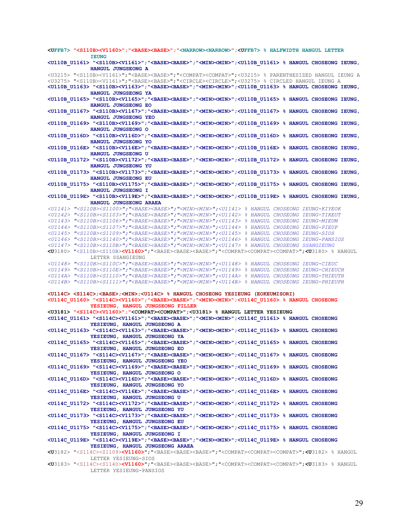**<UFFB7> "<S110B><V1160>";"<BASE><BASE>";"<NARROW><NARROW>";<UFFB7> % HALFWIDTH HANGUL LETTER IEUNG <U110B\_U1161> "<S110B><V1161>";"<BASE><BASE>";"<MIN><MIN>";<U110B\_U1161> % HANGUL CHOSEONG IEUNG, HANGUL JUNGSEONG A**  <U3215> "<S110B><V1161>";"<BASE><BASE>";"<COMPAT><COMPAT>";<U3215> % PARENTHESIZED HANGUL IEUNG A <U3275> "<S110B><V1161>";"<BASE><BASE>";"<CIRCLE><CIRCLE>";<U3275> % CIRCLED HANGUL IEUNG A **<U110B\_U1163> "<S110B><V1163>";"<BASE><BASE>";"<MIN><MIN>";<U110B\_U1163> % HANGUL CHOSEONG IEUNG, HANGUL JUNGSEONG YA <U110B\_U1165> "<S110B><V1165>";"<BASE><BASE>";"<MIN><MIN>";<U110B\_U1165> % HANGUL CHOSEONG IEUNG, HANGUL JUNGSEONG EO <U110B\_U1167> "<S110B><V1167>";"<BASE><BASE>";"<MIN><MIN>";<U110B\_U1167> % HANGUL CHOSEONG IEUNG, HANGUL JUNGSEONG YEO <U110B\_U1169> "<S110B><V1169>";"<BASE><BASE>";"<MIN><MIN>";<U110B\_U1169> % HANGUL CHOSEONG IEUNG, HANGUL JUNGSEONG O <U110B\_U116D> "<S110B><V116D>";"<BASE><BASE>";"<MIN><MIN>";<U110B\_U116D> % HANGUL CHOSEONG IEUNG, HANGUL JUNGSEONG YO <U110B\_U116E> "<S110B><V116E>";"<BASE><BASE>";"<MIN><MIN>";<U110B\_U116E> % HANGUL CHOSEONG IEUNG, HANGUL JUNGSEONG U <U110B\_U1172> "<S110B><V1172>";"<BASE><BASE>";"<MIN><MIN>";<U110B\_U1172> % HANGUL CHOSEONG IEUNG, HANGUL JUNGSEONG YU <U110B\_U1173> "<S110B><V1173>";"<BASE><BASE>";"<MIN><MIN>";<U110B\_U1173> % HANGUL CHOSEONG IEUNG, HANGUL JUNGSEONG EU <U110B\_U1175> "<S110B><V1175>";"<BASE><BASE>";"<MIN><MIN>";<U110B\_U1175> % HANGUL CHOSEONG IEUNG, HANGUL JUNGSEONG I <U110B\_U119E> "<S110B><V119E>";"<BASE><BASE>";"<MIN><MIN>";<U110B\_U119E> % HANGUL CHOSEONG IEUNG, HANGUL JUNGSEONG ARAEA**  *<U1141> "<S110B><S1100>";"<BASE><BASE>";"<MIN><MIN>";<U1141> % HANGUL CHOSEONG IEUNG-KIYEOK <U1142> "<S110B><S1103>";"<BASE><BASE>";"<MIN><MIN>";<U1142> % HANGUL CHOSEONG IEUNG-TIKEUT <U1143> "<S110B><S1106>";"<BASE><BASE>";"<MIN><MIN>";<U1143> % HANGUL CHOSEONG IEUNG-MIEUM <U1144> "<S110B><S1107>";"<BASE><BASE>";"<MIN><MIN>";<U1144> % HANGUL CHOSEONG IEUNG-PIEUP <U1145> "<S110B><S1109>";"<BASE><BASE>";"<MIN><MIN>";<U1145> % HANGUL CHOSEONG IEUNG-SIOS <U1146> "<S110B><S1140>";"<BASE><BASE>";"<MIN><MIN>";<U1146> % HANGUL CHOSEONG IEUNG-PANSIOS <U1147> "<S110B><S110B>";"<BASE><BASE>";"<MIN><MIN>";<U1147> % HANGUL CHOSEONG SSANGIEUNG* **<U**3180> "<S110B><S110B>**<V1160>**";"<BASE><BASE><BASE>";"<COMPAT><COMPAT><COMPAT>";**<U**3180> % HANGUL LETTER SSANGIEUNG *<U1148> "<S110B><S110C>";"<BASE><BASE>";"<MIN><MIN>";<U1148> % HANGUL CHOSEONG IEUNG-CIEUC <U1149> "<S110B><S110E>";"<BASE><BASE>";"<MIN><MIN>";<U1149> % HANGUL CHOSEONG IEUNG-CHIEUCH <U114A> "<S110B><S1110>";"<BASE><BASE>";"<MIN><MIN>";<U114A> % HANGUL CHOSEONG IEUNG-THIEUTH <U114B> "<S110B><S1111>";"<BASE><BASE>";"<MIN><MIN>";<U114B> % HANGUL CHOSEONG IEUNG-PHIEUPH*  **<U114C> <S114C>;<BASE>;<MIN>;<U114C> % HANGUL CHOSEONG YESIEUNG (EOKEUMISORI) <U114C\_U1160> "<S114C><V1160>";"<BASE><BASE>";"<MIN><MIN>";<U114C\_U1160> % HANGUL CHOSEONG YESIEUNG, HANGUL JUNGSEONG FILLER <U3181> "<S114C><V1160>";"<COMPAT><COMPAT>";<U3181> % HANGUL LETTER YESIEUNG <U114C\_U1161> "<S114C><V1161>";"<BASE><BASE>";"<MIN><MIN>";<U114C\_U1161> % HANGUL CHOSEONG YESIEUNG, HANGUL JUNGSEONG A <U114C\_U1163> "<S114C><V1163>";"<BASE><BASE>";"<MIN><MIN>";<U114C\_U1163> % HANGUL CHOSEONG YESIEUNG, HANGUL JUNGSEONG YA <U114C\_U1165> "<S114C><V1165>";"<BASE><BASE>";"<MIN><MIN>";<U114C\_U1165> % HANGUL CHOSEONG YESIEUNG, HANGUL JUNGSEONG EO <U114C\_U1167> "<S114C><V1167>";"<BASE><BASE>";"<MIN><MIN>";<U114C\_U1167> % HANGUL CHOSEONG YESIEUNG, HANGUL JUNGSEONG YEO <U114C\_U1169> "<S114C><V1169>";"<BASE><BASE>";"<MIN><MIN>";<U114C\_U1169> % HANGUL CHOSEONG YESIEUNG, HANGUL JUNGSEONG O <U114C\_U116D> "<S114C><V116D>";"<BASE><BASE>";"<MIN><MIN>";<U114C\_U116D> % HANGUL CHOSEONG YESIEUNG, HANGUL JUNGSEONG YO <U114C\_U116E> "<S114C><V116E>";"<BASE><BASE>";"<MIN><MIN>";<U114C\_U116E> % HANGUL CHOSEONG YESIEUNG, HANGUL JUNGSEONG U <U114C\_U1172> "<S114C><V1172>";"<BASE><BASE>";"<MIN><MIN>";<U114C\_U1172> % HANGUL CHOSEONG YESIEUNG, HANGUL JUNGSEONG YU <U114C\_U1173> "<S114C><V1173>";"<BASE><BASE>";"<MIN><MIN>";<U114C\_U1173> % HANGUL CHOSEONG YESIEUNG, HANGUL JUNGSEONG EU <U114C\_U1175> "<S114C><V1175>";"<BASE><BASE>";"<MIN><MIN>";<U114C\_U1175> % HANGUL CHOSEONG YESIEUNG, HANGUL JUNGSEONG I <U114C\_U119E> "<S114C><V119E>";"<BASE><BASE>";"<MIN><MIN>";<U114C\_U119E> % HANGUL CHOSEONG YESIEUNG, HANGUL JUNGSEONG ARAEA <U**3182> "<S114C><S1109>**<V1160>**";"<BASE><BASE><BASE>";"<COMPAT><COMPAT><COMPAT>";**<U**3182> % HANGUL LETTER YESIEUNG-SIOS **<U**3183> "<S114C><S1140>**<V1160>**";"<BASE><BASE><BASE>";"<COMPAT><COMPAT><COMPAT>";**<U**3183> % HANGUL LETTER YESIEUNG-PANSIOS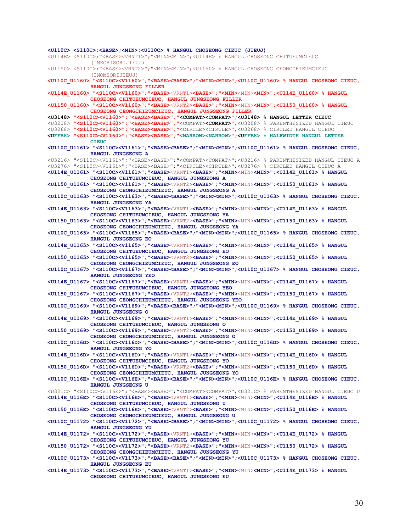**<U110C> <S110C>;<BASE>;<MIN>;<U110C> % HANGUL CHOSEONG CIEUC (JIEUJ)**  <U114E> <S110C>;"<BASE><VRNT1>";"<MIN><MIN>";<U114E> % HANGUL CHOSEONG CHITUEUMCIEUC (IMEORISORIJIEUJ) <U1150> <S110C>;"<BASE><VRNT2>";"<MIN><MIN>";<U1150> % HANGUL CHOSEONG CEONGCHIEUMCIEUC (IMOMSORIJIEUJ) **<U110C\_U1160> "<S110C><V1160>";"<BASE><BASE>";"<MIN><MIN>";<U110C\_U1160> % HANGUL CHOSEONG CIEUC, HANGUL JUNGSEONG FILLER <U114E\_U1160> "<S110C><V1160>";"<BASE>**<VRNT1>**<BASE>";"<MIN>**<MIN>**<MIN>";<U114E\_U1160> % HANGUL CHOSEONG CHITUEUMCIEUC, HANGUL JUNGSEONG FILLER <U1150\_U1160> "<S110C><V1160>";"<BASE>**<VRNT2>**<BASE>";"<MIN>**<MIN>**<MIN>";<U1150\_U1160> % HANGUL CHOSEONG CEONGCHIEUMCIEUC, HANGUL JUNGSEONG FILLER <U3148> "<S110C><V1160>";"<BASE><BASE>";"<COMPAT><COMPAT>";<U3148> % HANGUL LETTER CIEUC**  <U3208> **"<S110C><V1160>";"<BASE><BASE>";"**<COMPAT>**<COMPAT>"**;<U3208> % PARENTHESIZED HANGUL CIEUC <U3268> **"<S110C><V1160>";"<BASE><BASE>";"**<CIRCLE><CIRCLE>**"**;<U3268> % CIRCLED HANGUL CIEUC **<UFFB8> "<S110C><V1160>";"<BASE><BASE>";"<NARROW><NARROW>";<UFFB8> % HALFWIDTH HANGUL LETTER CIEUC <U110C\_U1161> "<S110C><V1161>";"<BASE><BASE>";"<MIN><MIN>";<U110C\_U1161> % HANGUL CHOSEONG CIEUC, HANGUL JUNGSEONG A**  <U3216> "<S110C><V1161>";"<BASE><BASE>";"<COMPAT><COMPAT>";<U3216> % PARENTHESIZED HANGUL CIEUC A <U3276> "<S110C><V1161>";"<BASE><BASE>";"<CIRCLE><CIRCLE>";<U3276> % CIRCLED HANGUL CIEUC A **<U114E\_U1161> "<S110C><V1161>";"<BASE>**<VRNT1>**<BASE>";"<MIN>**<MIN>**<MIN>";<U114E\_U1161> % HANGUL CHOSEONG CHITUEUMCIEUC, HANGUL JUNGSEONG A <U1150\_U1161> "<S110C><V1161>";"<BASE>**<VRNT2>**<BASE>";"<MIN>**<MIN>**<MIN>";<U1150\_U1161> % HANGUL CHOSEONG CEONGCHIEUMCIEUC, HANGUL JUNGSEONG A <U110C\_U1163> "<S110C><V1163>";"<BASE><BASE>";"<MIN><MIN>";<U110C\_U1163> % HANGUL CHOSEONG CIEUC, HANGUL JUNGSEONG YA <U114E\_U1163> "<S110C><V1163>";"<BASE>**<VRNT1>**<BASE>";"<MIN>**<MIN>**<MIN>";<U114E\_U1163> % HANGUL CHOSEONG CHITUEUMCIEUC, HANGUL JUNGSEONG YA <U1150\_U1163> "<S110C><V1163>";"<BASE>**<VRNT2>**<BASE>";"<MIN>**<MIN>**<MIN>";<U1150\_U1163> % HANGUL CHOSEONG CEONGCHIEUMCIEUC, HANGUL JUNGSEONG YA <U110C\_U1165> "<S110C><V1165>";"<BASE><BASE>";"<MIN><MIN>";<U110C\_U1165> % HANGUL CHOSEONG CIEUC, HANGUL JUNGSEONG EO <U114E\_U1165> "<S110C><V1165>";"<BASE>**<VRNT1>**<BASE>";"<MIN>**<MIN>**<MIN>";<U114E\_U1165> % HANGUL CHOSEONG CHITUEUMCIEUC, HANGUL JUNGSEONG EO <U1150\_U1165> "<S110C><V1165>";"<BASE>**<VRNT2>**<BASE>";"<MIN>**<MIN>**<MIN>";<U1150\_U1165> % HANGUL CHOSEONG CEONGCHIEUMCIEUC, HANGUL JUNGSEONG EO <U110C\_U1167> "<S110C><V1167>";"<BASE><BASE>";"<MIN><MIN>";<U110C\_U1167> % HANGUL CHOSEONG CIEUC, HANGUL JUNGSEONG YEO <U114E\_U1167> "<S110C><V1167>";"<BASE>**<VRNT1>**<BASE>";"<MIN>**<MIN>**<MIN>";<U114E\_U1167> % HANGUL CHOSEONG CHITUEUMCIEUC, HANGUL JUNGSEONG YEO <U1150\_U1167> "<S110C><V1167>";"<BASE>**<VRNT2>**<BASE>";"<MIN>**<MIN>**<MIN>";<U1150\_U1167> % HANGUL CHOSEONG CEONGCHIEUMCIEUC, HANGUL JUNGSEONG YEO <U110C\_U1169> "<S110C><V1169>";"<BASE><BASE>";"<MIN><MIN>";<U110C\_U1169> % HANGUL CHOSEONG CIEUC, HANGUL JUNGSEONG O <U114E\_U1169> "<S110C><V1169>";"<BASE>**<VRNT1>**<BASE>";"<MIN>**<MIN>**<MIN>";<U114E\_U1169> % HANGUL CHOSEONG CHITUEUMCIEUC, HANGUL JUNGSEONG O <U1150\_U1169> "<S110C><V1169>";"<BASE>**<VRNT2>**<BASE>";"<MIN>**<MIN>**<MIN>";<U1150\_U1169> % HANGUL CHOSEONG CEONGCHIEUMCIEUC, HANGUL JUNGSEONG O <U110C\_U116D> "<S110C><V116D>";"<BASE><BASE>";"<MIN><MIN>";<U110C\_U116D> % HANGUL CHOSEONG CIEUC, HANGUL JUNGSEONG YO <U114E\_U116D> "<S110C><V116D>";"<BASE>**<VRNT1>**<BASE>";"<MIN>**<MIN>**<MIN>";<U114E\_U116D> % HANGUL CHOSEONG CHITUEUMCIEUC, HANGUL JUNGSEONG YO <U1150\_U116D> "<S110C><V116D>";"<BASE>**<VRNT2>**<BASE>";"<MIN>**<MIN>**<MIN>";<U1150\_U116D> % HANGUL CHOSEONG CEONGCHIEUMCIEUC, HANGUL JUNGSEONG YO <U110C\_U116E> "<S110C><V116E>";"<BASE><BASE>";"<MIN><MIN>";<U110C\_U116E> % HANGUL CHOSEONG CIEUC, HANGUL JUNGSEONG U**  <U321C> "<S110C><V116E>";"<BASE><BASE>";"<COMPAT><COMPAT>";<U321C> % PARENTHESIZED HANGUL CIEUC U **<U114E\_U116E> "<S110C><V116E>";"<BASE>**<VRNT1>**<BASE>";"<MIN>**<MIN>**<MIN>";<U114E\_U116E> % HANGUL CHOSEONG CHITUEUMCIEUC, HANGUL JUNGSEONG U <U1150\_U116E> "<S110C><V116E>";"<BASE>**<VRNT2>**<BASE>";"<MIN>**<MIN>**<MIN>";<U1150\_U116E> % HANGUL CHOSEONG CEONGCHIEUMCIEUC, HANGUL JUNGSEONG U <U110C\_U1172> "<S110C><V1172>";"<BASE><BASE>";"<MIN><MIN>";<U110C\_U1172> % HANGUL CHOSEONG CIEUC, HANGUL JUNGSEONG YU <U114E\_U1172> "<S110C><V1172>";"<BASE>**<VRNT1>**<BASE>";"<MIN>**<MIN>**<MIN>";<U114E\_U1172> % HANGUL CHOSEONG CHITUEUMCIEUC, HANGUL JUNGSEONG YU <U1150\_U1172> "<S110C><V1172>";"<BASE>**<VRNT2>**<BASE>";"<MIN>**<MIN>**<MIN>";<U1150\_U1172> % HANGUL CHOSEONG CEONGCHIEUMCIEUC, HANGUL JUNGSEONG YU <U110C\_U1173> "<S110C><V1173>";"<BASE><BASE>";"<MIN><MIN>";<U110C\_U1173> % HANGUL CHOSEONG CIEUC, HANGUL JUNGSEONG EU <U114E\_U1173> "<S110C><V1173>";"<BASE>**<VRNT1>**<BASE>";"<MIN>**<MIN>**<MIN>";<U114E\_U1173> % HANGUL CHOSEONG CHITUEUMCIEUC, HANGUL JUNGSEONG EU**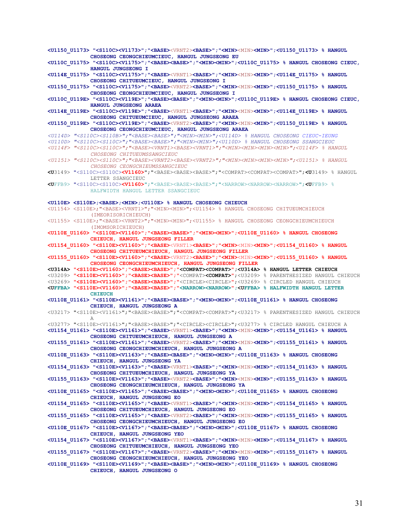**<U1150\_U1173> "<S110C><V1173>";"<BASE>**<VRNT2>**<BASE>";"<MIN>**<MIN>**<MIN>";<U1150\_U1173> % HANGUL CHOSEONG CEONGCHIEUMCIEUC, HANGUL JUNGSEONG EU <U110C\_U1175> "<S110C><V1175>";"<BASE><BASE>";"<MIN><MIN>";<U110C\_U1175> % HANGUL CHOSEONG CIEUC, HANGUL JUNGSEONG I <U114E\_U1175> "<S110C><V1175>";"<BASE>**<VRNT1>**<BASE>";"<MIN>**<MIN>**<MIN>";<U114E\_U1175> % HANGUL CHOSEONG CHITUEUMCIEUC, HANGUL JUNGSEONG I <U1150\_U1175> "<S110C><V1175>";"<BASE>**<VRNT2>**<BASE>";"<MIN>**<MIN>**<MIN>";<U1150\_U1175> % HANGUL CHOSEONG CEONGCHIEUMCIEUC, HANGUL JUNGSEONG I <U110C\_U119E> "<S110C><V119E>";"<BASE><BASE>";"<MIN><MIN>";<U110C\_U119E> % HANGUL CHOSEONG CIEUC, HANGUL JUNGSEONG ARAEA <U114E\_U119E> "<S110C><V119E>";"<BASE>**<VRNT1>**<BASE>";"<MIN>**<MIN>**<MIN>";<U114E\_U119E> % HANGUL CHOSEONG CHITUEUMCIEUC, HANGUL JUNGSEONG ARAEA <U1150\_U119E> "<S110C><V119E>";"<BASE>**<VRNT2>**<BASE>";"<MIN>**<MIN>**<MIN>";<U1150\_U119E> % HANGUL CHOSEONG CEONGCHIEUMCIEUC, HANGUL JUNGSEONG ARAEA**  *<U114D> "<S110C><S110B>";"<BASE><BASE>";"<MIN><MIN>";<U114D> % HANGUL CHOSEONG CIEUC-IEUNG <U110D> "<S110C><S110C>";"<BASE><BASE>";"<MIN><MIN>";<U110D> % HANGUL CHOSEONG SSANGCIEUC <U114F> "<S110C><S110C>";"<BASE><VRNT1><BASE><VRNT1>";"<MIN><MIN><MIN><MIN>";<U114F> % HANGUL CHOSEONG CHITUEUMSSANGCIEUC <U1151> "<S110C><S110C>";"<BASE><VRNT2><BASE><VRNT2>";"<MIN><MIN><MIN><MIN>";<U1151> % HANGUL CHOSEONG CEONGCHIEUMSSANGCIEUC*  **<U**3149> "<S110C><S110C>**<V1160>**";"<BASE><BASE><BASE>";"<COMPAT><COMPAT><COMPAT>";**<U**3149> % HANGUL LETTER SSANGCIEUC **<U**FFB9> "<S110C><S110C>**<V1160>**";"<BASE><BASE><BASE>";"<NARROW><NARROW><NARROW>";**<U**FFB9> % HALFWIDTH HANGUL LETTER SSANGCIEUC **<U110E> <S110E>;<BASE>;<MIN>;<U110E> % HANGUL CHOSEONG CHIEUCH**  <U1154> <S110E>;"<BASE><VRNT1>";"<MIN><MIN>";<U1154> % HANGUL CHOSEONG CHITUEUMCHIEUCH (IMEORISORICHIEUCH) <U1155> <S110E>;"<BASE><VRNT2>";"<MIN><MIN>";<U1155> % HANGUL CHOSEONG CEONGCHIEUMCHIEUCH (IMOMSORICHIEUCH) **<U110E\_U1160> "<S110E><V1160>";"<BASE><BASE>";"<MIN><MIN>";<U110E\_U1160> % HANGUL CHOSEONG CHIEUCH, HANGUL JUNGSEONG FILLER <U1154\_U1160> "<S110E><V1160>";"<BASE>**<VRNT1>**<BASE>";"<MIN>**<MIN>**<MIN>";<U1154\_U1160> % HANGUL CHOSEONG CHITUEUMCHIEUCH, HANGUL JUNGSEONG FILLER <U1155\_U1160> "<S110E><V1160>";"<BASE>**<VRNT2>**<BASE>";"<MIN>**<MIN>**<MIN>";<U1155\_U1160> % HANGUL CHOSEONG CEONGCHIEUMCHIEUCH, HANGUL JUNGSEONG FILLER <U314A> "<S110E><V1160>";"<BASE><BASE>";"<COMPAT><COMPAT>";<U314A> % HANGUL LETTER CHIEUCH**  <U3209> **"<S110E><V1160>";"<BASE><BASE>";"**<COMPAT>**<COMPAT>"**;<U3209> % PARENTHESIZED HANGUL CHIEUCH <U3269> **"<S110E><V1160>";"<BASE><BASE>";"**<CIRCLE><CIRCLE>**"**;<U3269> % CIRCLED HANGUL CHIEUCH **<UFFBA> "<S110E><V1160>";"<BASE><BASE>";"<NARROW><NARROW>";<UFFBA> % HALFWIDTH HANGUL LETTER CHIEUCH <U110E\_U1161> "<S110E><V1161>";"<BASE><BASE>";"<MIN><MIN>";<U110E\_U1161> % HANGUL CHOSEONG CHIEUCH, HANGUL JUNGSEONG A**  <U3217> "<S110E><V1161>";"<BASE><BASE>";"<COMPAT><COMPAT>";<U3217> % PARENTHESIZED HANGUL CHIEUCH A <U3277> "<S110E><V1161>";"<BASE><BASE>";"<CIRCLE><CIRCLE>";<U3277> % CIRCLED HANGUL CHIEUCH A **<U1154\_U1161> "<S110E><V1161>";"<BASE>**<VRNT1>**<BASE>";"<MIN>**<MIN>**<MIN>";<U1154\_U1161> % HANGUL CHOSEONG CHITUEUMCHIEUCH, HANGUL JUNGSEONG A <U1155\_U1161> "<S110E><V1161>";"<BASE>**<VRNT2>**<BASE>";"<MIN>**<MIN>**<MIN>";<U1155\_U1161> % HANGUL CHOSEONG CEONGCHIEUMCHIEUCH, HANGUL JUNGSEONG A <U110E\_U1163> "<S110E><V1163>";"<BASE><BASE>";"<MIN><MIN>";<U110E\_U1163> % HANGUL CHOSEONG CHIEUCH, HANGUL JUNGSEONG YA <U1154\_U1163> "<S110E><V1163>";"<BASE>**<VRNT1>**<BASE>";"<MIN>**<MIN>**<MIN>";<U1154\_U1163> % HANGUL CHOSEONG CHITUEUMCHIEUCH, HANGUL JUNGSEONG YA <U1155\_U1163> "<S110E><V1163>";"<BASE>**<VRNT2>**<BASE>";"<MIN>**<MIN>**<MIN>";<U1155\_U1163> % HANGUL CHOSEONG CEONGCHIEUMCHIEUCH, HANGUL JUNGSEONG YA <U110E\_U1165> "<S110E><V1165>";"<BASE><BASE>";"<MIN><MIN>";<U110E\_U1165> % HANGUL CHOSEONG CHIEUCH, HANGUL JUNGSEONG EO <U1154\_U1165> "<S110E><V1165>";"<BASE>**<VRNT1>**<BASE>";"<MIN>**<MIN>**<MIN>";<U1154\_U1165> % HANGUL CHOSEONG CHITUEUMCHIEUCH, HANGUL JUNGSEONG EO <U1155\_U1165> "<S110E><V1165>";"<BASE>**<VRNT2>**<BASE>";"<MIN>**<MIN>**<MIN>";<U1155\_U1165> % HANGUL CHOSEONG CEONGCHIEUMCHIEUCH, HANGUL JUNGSEONG EO <U110E\_U1167> "<S110E><V1167>";"<BASE><BASE>";"<MIN><MIN>";<U110E\_U1167> % HANGUL CHOSEONG CHIEUCH, HANGUL JUNGSEONG YEO <U1154\_U1167> "<S110E><V1167>";"<BASE>**<VRNT1>**<BASE>";"<MIN>**<MIN>**<MIN>";<U1154\_U1167> % HANGUL CHOSEONG CHITUEUMCHIEUCH, HANGUL JUNGSEONG YEO <U1155\_U1167> "<S110E><V1167>";"<BASE>**<VRNT2>**<BASE>";"<MIN>**<MIN>**<MIN>";<U1155\_U1167> % HANGUL CHOSEONG CEONGCHIEUMCHIEUCH, HANGUL JUNGSEONG YEO <U110E\_U1169> "<S110E><V1169>";"<BASE><BASE>";"<MIN><MIN>";<U110E\_U1169> % HANGUL CHOSEONG CHIEUCH, HANGUL JUNGSEONG O**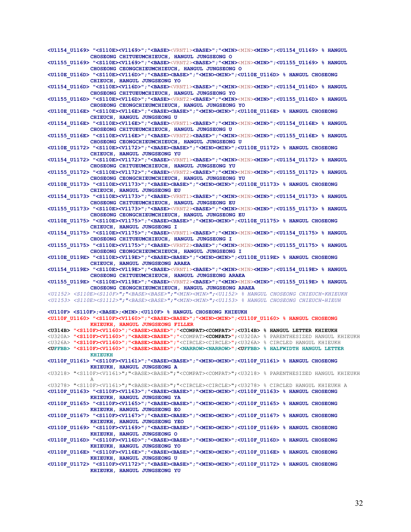**<U1154\_U1169> "<S110E><V1169>";"<BASE>**<VRNT1>**<BASE>";"<MIN>**<MIN>**<MIN>";<U1154\_U1169> % HANGUL CHOSEONG CHITUEUMCHIEUCH, HANGUL JUNGSEONG O <U1155\_U1169> "<S110E><V1169>";"<BASE>**<VRNT2>**<BASE>";"<MIN>**<MIN>**<MIN>";<U1155\_U1169> % HANGUL CHOSEONG CEONGCHIEUMCHIEUCH, HANGUL JUNGSEONG O <U110E\_U116D> "<S110E><V116D>";"<BASE><BASE>";"<MIN><MIN>";<U110E\_U116D> % HANGUL CHOSEONG CHIEUCH, HANGUL JUNGSEONG YO <U1154\_U116D> "<S110E><V116D>";"<BASE>**<VRNT1>**<BASE>";"<MIN>**<MIN>**<MIN>";<U1154\_U116D> % HANGUL CHOSEONG CHITUEUMCHIEUCH, HANGUL JUNGSEONG YO <U1155\_U116D> "<S110E><V116D>";"<BASE>**<VRNT2>**<BASE>";"<MIN>**<MIN>**<MIN>";<U1155\_U116D> % HANGUL CHOSEONG CEONGCHIEUMCHIEUCH, HANGUL JUNGSEONG YO <U110E\_U116E> "<S110E><V116E>";"<BASE><BASE>";"<MIN><MIN>";<U110E\_U116E> % HANGUL CHOSEONG CHIEUCH, HANGUL JUNGSEONG U <U1154\_U116E> "<S110E><V116E>";"<BASE>**<VRNT1>**<BASE>";"<MIN>**<MIN>**<MIN>";<U1154\_U116E> % HANGUL CHOSEONG CHITUEUMCHIEUCH, HANGUL JUNGSEONG U <U1155\_U116E> "<S110E><V116E>";"<BASE>**<VRNT2>**<BASE>";"<MIN>**<MIN>**<MIN>";<U1155\_U116E> % HANGUL CHOSEONG CEONGCHIEUMCHIEUCH, HANGUL JUNGSEONG U <U110E\_U1172> "<S110E><V1172>";"<BASE><BASE>";"<MIN><MIN>";<U110E\_U1172> % HANGUL CHOSEONG CHIEUCH, HANGUL JUNGSEONG YU <U1154\_U1172> "<S110E><V1172>";"<BASE>**<VRNT1>**<BASE>";"<MIN>**<MIN>**<MIN>";<U1154\_U1172> % HANGUL CHOSEONG CHITUEUMCHIEUCH, HANGUL JUNGSEONG YU <U1155\_U1172> "<S110E><V1172>";"<BASE>**<VRNT2>**<BASE>";"<MIN>**<MIN>**<MIN>";<U1155\_U1172> % HANGUL CHOSEONG CEONGCHIEUMCHIEUCH, HANGUL JUNGSEONG YU <U110E\_U1173> "<S110E><V1173>";"<BASE><BASE>";"<MIN><MIN>";<U110E\_U1173> % HANGUL CHOSEONG CHIEUCH, HANGUL JUNGSEONG EU <U1154\_U1173> "<S110E><V1173>";"<BASE>**<VRNT1>**<BASE>";"<MIN>**<MIN>**<MIN>";<U1154\_U1173> % HANGUL CHOSEONG CHITUEUMCHIEUCH, HANGUL JUNGSEONG EU <U1155\_U1173> "<S110E><V1173>";"<BASE>**<VRNT2>**<BASE>";"<MIN>**<MIN>**<MIN>";<U1155\_U1173> % HANGUL CHOSEONG CEONGCHIEUMCHIEUCH, HANGUL JUNGSEONG EU <U110E\_U1175> "<S110E><V1175>";"<BASE><BASE>";"<MIN><MIN>";<U110E\_U1175> % HANGUL CHOSEONG CHIEUCH, HANGUL JUNGSEONG I <U1154\_U1175> "<S110E><V1175>";"<BASE>**<VRNT1>**<BASE>";"<MIN>**<MIN>**<MIN>";<U1154\_U1175> % HANGUL CHOSEONG CHITUEUMCHIEUCH, HANGUL JUNGSEONG I <U1155\_U1175> "<S110E><V1175>";"<BASE>**<VRNT2>**<BASE>";"<MIN>**<MIN>**<MIN>";<U1155\_U1175> % HANGUL CHOSEONG CEONGCHIEUMCHIEUCH, HANGUL JUNGSEONG I <U110E\_U119E> "<S110E><V119E>";"<BASE><BASE>";"<MIN><MIN>";<U110E\_U119E> % HANGUL CHOSEONG CHIEUCH, HANGUL JUNGSEONG ARAEA <U1154\_U119E> "<S110E><V119E>";"<BASE>**<VRNT1>**<BASE>";"<MIN>**<MIN>**<MIN>";<U1154\_U119E> % HANGUL CHOSEONG CHITUEUMCHIEUCH, HANGUL JUNGSEONG ARAEA <U1155\_U119E> "<S110E><V119E>";"<BASE>**<VRNT2>**<BASE>";"<MIN>**<MIN>**<MIN>";<U1155\_U119E> % HANGUL CHOSEONG CEONGCHIEUMCHIEUCH, HANGUL JUNGSEONG ARAEA**  *<U1152> <S110E><S110F>";"<BASE><BASE>";"<MIN><MIN>";<U1152> % HANGUL CHOSEONG CHIEUCH-KHIEUKH <U1153> <S110E><S1112>";"<BASE><BASE>";"<MIN><MIN>";<U1153> % HANGUL CHOSEONG CHIEUCH-HIEUH*  **<U110F> <S110F>;<BASE>;<MIN>;<U110F> % HANGUL CHOSEONG KHIEUKH <U110F\_U1160> "<S110F><V1160>";"<BASE><BASE>";"<MIN><MIN>";<U110F\_U1160> % HANGUL CHOSEONG KHIEUKH, HANGUL JUNGSEONG FILLER <U314B> "<S110F><V1160>";"<BASE><BASE>";"<COMPAT><COMPAT>";<U314B> % HANGUL LETTER KHIEUKH**  <U320A> **"<S110F><V1160>";"<BASE><BASE>";"**<COMPAT>**<COMPAT>"**;<U320A> % PARENTHESIZED HANGUL KHIEUKH <U326A> **"<S110F><V1160>";"<BASE><BASE>";"**<CIRCLE><CIRCLE>**"**;<U326A> % CIRCLED HANGUL KHIEUKH **<UFFBB> "<S110F><V1160>";"<BASE><BASE>";"<NARROW><NARROW>";<UFFBB> % HALFWIDTH HANGUL LETTER KHIEUKH <U110F\_U1161> "<S110F><V1161>";"<BASE><BASE>";"<MIN><MIN>";<U110F\_U1161> % HANGUL CHOSEONG KHIEUKH, HANGUL JUNGSEONG A**  <U3218> "<S110F><V1161>";"<BASE><BASE>";"<COMPAT><COMPAT>";<U3218> % PARENTHESIZED HANGUL KHIEUKH A <U3278> "<S110F><V1161>";"<BASE><BASE>";"<CIRCLE><CIRCLE>";<U3278> % CIRCLED HANGUL KHIEUKH A **<U110F\_U1163> "<S110F><V1163>";"<BASE><BASE>";"<MIN><MIN>";<U110F\_U1163> % HANGUL CHOSEONG KHIEUKH, HANGUL JUNGSEONG YA <U110F\_U1165> "<S110F><V1165>";"<BASE><BASE>";"<MIN><MIN>";<U110F\_U1165> % HANGUL CHOSEONG KHIEUKH, HANGUL JUNGSEONG EO <U110F\_U1167> "<S110F><V1167>";"<BASE><BASE>";"<MIN><MIN>";<U110F\_U1167> % HANGUL CHOSEONG KHIEUKH, HANGUL JUNGSEONG YEO <U110F\_U1169> "<S110F><V1169>";"<BASE><BASE>";"<MIN><MIN>";<U110F\_U1169> % HANGUL CHOSEONG KHIEUKH, HANGUL JUNGSEONG O <U110F\_U116D> "<S110F><V116D>";"<BASE><BASE>";"<MIN><MIN>";<U110F\_U116D> % HANGUL CHOSEONG KHIEUKH, HANGUL JUNGSEONG YO <U110F\_U116E> "<S110F><V116E>";"<BASE><BASE>";"<MIN><MIN>";<U110F\_U116E> % HANGUL CHOSEONG KHIEUKH, HANGUL JUNGSEONG U <U110F\_U1172> "<S110F><V1172>";"<BASE><BASE>";"<MIN><MIN>";<U110F\_U1172> % HANGUL CHOSEONG KHIEUKH, HANGUL JUNGSEONG YU**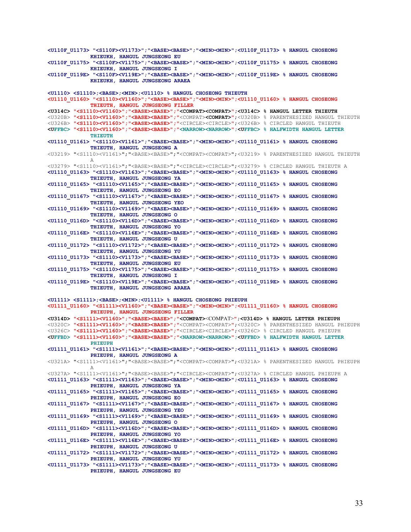**<U110F\_U1173> "<S110F><V1173>";"<BASE><BASE>";"<MIN><MIN>";<U110F\_U1173> % HANGUL CHOSEONG KHIEUKH, HANGUL JUNGSEONG EU <U110F\_U1175> "<S110F><V1175>";"<BASE><BASE>";"<MIN><MIN>";<U110F\_U1175> % HANGUL CHOSEONG KHIEUKH, HANGUL JUNGSEONG I <U110F\_U119E> "<S110F><V119E>";"<BASE><BASE>";"<MIN><MIN>";<U110F\_U119E> % HANGUL CHOSEONG KHIEUKH, HANGUL JUNGSEONG ARAEA <U1110> <S1110>;<BASE>;<MIN>;<U1110> % HANGUL CHOSEONG THIEUTH <U1110\_U1160> "<S1110><V1160>";"<BASE><BASE>";"<MIN><MIN>";<U1110\_U1160> % HANGUL CHOSEONG THIEUTH, HANGUL JUNGSEONG FILLER <U314C> "<S1110><V1160>";"<BASE><BASE>";"<COMPAT><COMPAT>";<U314C> % HANGUL LETTER THIEUTH**  <U320B> **"<S1110><V1160>";"<BASE><BASE>";"**<COMPAT>**<COMPAT>"**;<U320B> % PARENTHESIZED HANGUL THIEUTH <U326B> **"<S1110><V1160>";"<BASE><BASE>";"**<CIRCLE><CIRCLE>**"**;<U326B> % CIRCLED HANGUL THIEUTH **<UFFBC> "<S1110><V1160>";"<BASE><BASE>";"<NARROW><NARROW>";<UFFBC> % HALFWIDTH HANGUL LETTER THIEUTH <U1110\_U1161> "<S1110><V1161>";"<BASE><BASE>";"<MIN><MIN>";<U1110\_U1161> % HANGUL CHOSEONG THIEUTH, HANGUL JUNGSEONG A**  <U3219> "<S1110><V1161>";"<BASE><BASE>";"<COMPAT><COMPAT>";<U3219> % PARENTHESIZED HANGUL THIEUTH A <U3279> "<S1110><V1161>";"<BASE><BASE>";"<CIRCLE><CIRCLE>";<U3279> % CIRCLED HANGUL THIEUTH A **<U1110\_U1163> "<S1110><V1163>";"<BASE><BASE>";"<MIN><MIN>";<U1110\_U1163> % HANGUL CHOSEONG THIEUTH, HANGUL JUNGSEONG YA <U1110\_U1165> "<S1110><V1165>";"<BASE><BASE>";"<MIN><MIN>";<U1110\_U1165> % HANGUL CHOSEONG THIEUTH, HANGUL JUNGSEONG EO <U1110\_U1167> "<S1110><V1167>";"<BASE><BASE>";"<MIN><MIN>";<U1110\_U1167> % HANGUL CHOSEONG THIEUTH, HANGUL JUNGSEONG YEO <U1110\_U1169> "<S1110><V1169>";"<BASE><BASE>";"<MIN><MIN>";<U1110\_U1169> % HANGUL CHOSEONG THIEUTH, HANGUL JUNGSEONG O <U1110\_U116D> "<S1110><V116D>";"<BASE><BASE>";"<MIN><MIN>";<U1110\_U116D> % HANGUL CHOSEONG THIEUTH, HANGUL JUNGSEONG YO <U1110\_U116E> "<S1110><V116E>";"<BASE><BASE>";"<MIN><MIN>";<U1110\_U116E> % HANGUL CHOSEONG THIEUTH, HANGUL JUNGSEONG U <U1110\_U1172> "<S1110><V1172>";"<BASE><BASE>";"<MIN><MIN>";<U1110\_U1172> % HANGUL CHOSEONG THIEUTH, HANGUL JUNGSEONG YU <U1110\_U1173> "<S1110><V1173>";"<BASE><BASE>";"<MIN><MIN>";<U1110\_U1173> % HANGUL CHOSEONG THIEUTH, HANGUL JUNGSEONG EU <U1110\_U1175> "<S1110><V1175>";"<BASE><BASE>";"<MIN><MIN>";<U1110\_U1175> % HANGUL CHOSEONG THIEUTH, HANGUL JUNGSEONG I <U1110\_U119E> "<S1110><V119E>";"<BASE><BASE>";"<MIN><MIN>";<U1110\_U119E> % HANGUL CHOSEONG THIEUTH, HANGUL JUNGSEONG ARAEA <U1111> <S1111>;<BASE>;<MIN>;<U1111> % HANGUL CHOSEONG PHIEUPH <U1111\_U1160> "<S1111><V1160>";"<BASE><BASE>";"<MIN><MIN>";<U1111\_U1160> % HANGUL CHOSEONG PHIEUPH, HANGUL JUNGSEONG FILLER <U314D> "<S1111><V1160>";"<BASE><BASE>";"<COMPAT>**<COMPAT>**";<U314D> % HANGUL LETTER PHIEUPH**  <U320C> **"<S1111><V1160>";"<BASE><BASE>";"**<COMPAT><COMPAT>**"**;<U320C> % PARENTHESIZED HANGUL PHIEUPH <U326C> **"<S1111><V1160>";"<BASE><BASE>";"**<CIRCLE><CIRCLE>**"**;<U326C> % CIRCLED HANGUL PHIEUPH **<UFFBD> "<S1111><V1160>";"<BASE><BASE>";"<NARROW><NARROW>";<UFFBD> % HALFWIDTH HANGUL LETTER PHIEUPH <U1111\_U1161> "<S1111><V1161>";"<BASE><BASE>";"<MIN><MIN>";<U1111\_U1161> % HANGUL CHOSEONG PHIEUPH, HANGUL JUNGSEONG A**  <U321A> "<S1111><V1161>";"<BASE><BASE>";"<COMPAT><COMPAT>";<U321A> % PARENTHESIZED HANGUL PHIEUPH A <U327A> "<S1111><V1161>";"<BASE><BASE>";"<CIRCLE><COMPAT>";<U327A> % CIRCLED HANGUL PHIEUPH A **<U1111\_U1163> "<S1111><V1163>";"<BASE><BASE>";"<MIN><MIN>";<U1111\_U1163> % HANGUL CHOSEONG PHIEUPH, HANGUL JUNGSEONG YA <U1111\_U1165> "<S1111><V1165>";"<BASE><BASE>";"<MIN><MIN>";<U1111\_U1165> % HANGUL CHOSEONG PHIEUPH, HANGUL JUNGSEONG EO <U1111\_U1167> "<S1111><V1167>";"<BASE><BASE>";"<MIN><MIN>";<U1111\_U1167> % HANGUL CHOSEONG PHIEUPH, HANGUL JUNGSEONG YEO <U1111\_U1169> "<S1111><V1169>";"<BASE><BASE>";"<MIN><MIN>";<U1111\_U1169> % HANGUL CHOSEONG PHIEUPH, HANGUL JUNGSEONG O <U1111\_U116D> "<S1111><V116D>";"<BASE><BASE>";"<MIN><MIN>";<U1111\_U116D> % HANGUL CHOSEONG PHIEUPH, HANGUL JUNGSEONG YO <U1111\_U116E> "<S1111><V116E>";"<BASE><BASE>";"<MIN><MIN>";<U1111\_U116E> % HANGUL CHOSEONG PHIEUPH, HANGUL JUNGSEONG U <U1111\_U1172> "<S1111><V1172>";"<BASE><BASE>";"<MIN><MIN>";<U1111\_U1172> % HANGUL CHOSEONG PHIEUPH, HANGUL JUNGSEONG YU <U1111\_U1173> "<S1111><V1173>";"<BASE><BASE>";"<MIN><MIN>";<U1111\_U1173> % HANGUL CHOSEONG PHIEUPH, HANGUL JUNGSEONG EU**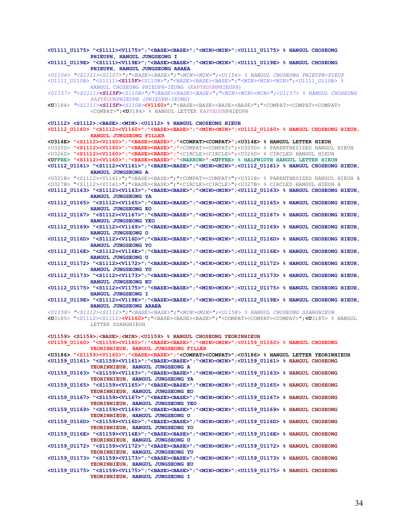**<U1111\_U1175> "<S1111><V1175>";"<BASE><BASE>";"<MIN><MIN>";<U1111\_U1175> % HANGUL CHOSEONG PHIEUPH, HANGUL JUNGSEONG I <U1111\_U119E> "<S1111><V119E>";"<BASE><BASE>";"<MIN><MIN>";<U1111\_U119E> % HANGUL CHOSEONG PHIEUPH, HANGUL JUNGSEONG ARAEA**  *<U1156> "<S1111><S1107>";"<BASE><BASE>";"<MIN><MIN>";<U1156> % HANGUL CHOSEONG PHIEUPH-PIEUP*  <U1111\_U110B> "<S1111>**<S115F>**<S110B>";"<BASE><BASE><BASE>";"<MIN><MIN><MIN>";<U1111\_U110B> % HANGUL CHOSEONG PHIEUPH-IEUNG (KAPYEOUNPHIEUPH) *<U1157> "<S1111><S115F><S110B>";"<BASE><BASE><BASE>";"<MIN><MIN><MIN>";<U1157> % HANGUL CHOSEONG KAPYEOUNPHIEUPH (PHIEUPH-IEUNG)*  **<U**3184> *"<S1111><S115F><S110B>***<V1160>**";"<BASE><BASE><BASE><BASE>";"<COMPAT><COMPAT><COMPAT> <COMPAT>";**<U**3184> % HANGUL LETTER KAPYEOUNPHIEUPH **<U1112> <S1112>;<BASE>;<MIN>;<U1112> % HANGUL CHOSEONG HIEUH <U1112\_U1160> "<S1112><V1160>";"<BASE><BASE>";"<MIN><MIN>";<U1112\_U1160> % HANGUL CHOSEONG HIEUH, HANGUL JUNGSEONG FILLER <U314E> "<S1112><V1160>";"<BASE><BASE>";"<COMPAT><COMPAT>";<U314E> % HANGUL LETTER HIEUH**  <U320D> **"<S1112><V1160>";"<BASE><BASE>";"**<COMPAT><COMPAT>**"**;<U320D> % PARENTHESIZED HANGUL HIEUH <U326D> **"<S1112><V1160>";"<BASE><BASE>";"**<CIRCLE><CIRCLE>**"**;<U326D> % CIRCLED HANGUL HIEUH **<UFFBE> "<S1112><V1160>";"<BASE><BASE>";"<NARROW>";<UFFBE> % HALFWIDTH HANGUL LETTER HIEUH <U1112\_U1161> "<S1112><V1161>";"<BASE><BASE>";"<MIN><MIN>";<U1112\_U1161> % HANGUL CHOSEONG HIEUH, HANGUL JUNGSEONG A**  <U321B> "<S1112><V1161>";"<BASE><BASE>";"<COMPAT><COMPAT>";<U321B> % PARENTHESIZED HANGUL HIEUH A <U327B> "<S1112><V1161>";"<BASE><BASE>";"<CIRCLE><CIRCLE>";<U327B> % CIRCLED HANGUL HIEUH A **<U1112\_U1163> "<S1112><V1163>";"<BASE><BASE>";"<MIN><MIN>";<U1112\_U1163> % HANGUL CHOSEONG HIEUH, HANGUL JUNGSEONG YA <U1112\_U1165> "<S1112><V1165>";"<BASE><BASE>";"<MIN><MIN>";<U1112\_U1165> % HANGUL CHOSEONG HIEUH, HANGUL JUNGSEONG EO <U1112\_U1167> "<S1112><V1167>";"<BASE><BASE>";"<MIN><MIN>";<U1112\_U1167> % HANGUL CHOSEONG HIEUH, HANGUL JUNGSEONG YEO <U1112\_U1169> "<S1112><V1169>";"<BASE><BASE>";"<MIN><MIN>";<U1112\_U1169> % HANGUL CHOSEONG HIEUH, HANGUL JUNGSEONG O <U1112\_U116D> "<S1112><V116D>";"<BASE><BASE>";"<MIN><MIN>";<U1112\_U116D> % HANGUL CHOSEONG HIEUH, HANGUL JUNGSEONG YO <U1112\_U116E> "<S1112><V116E>";"<BASE><BASE>";"<MIN><MIN>";<U1112\_U116E> % HANGUL CHOSEONG HIEUH, HANGUL JUNGSEONG U <U1112\_U1172> "<S1112><V1172>";"<BASE><BASE>";"<MIN><MIN>";<U1112\_U1172> % HANGUL CHOSEONG HIEUH, HANGUL JUNGSEONG YU <U1112\_U1173> "<S1112><V1173>";"<BASE><BASE>";"<MIN><MIN>";<U1112\_U1173> % HANGUL CHOSEONG HIEUH, HANGUL JUNGSEONG EU <U1112\_U1175> "<S1112><V1175>";"<BASE><BASE>";"<MIN><MIN>";<U1112\_U1175> % HANGUL CHOSEONG HIEUH, HANGUL JUNGSEONG I <U1112\_U119E> "<S1112><V119E>";"<BASE><BASE>";"<MIN><MIN>";<U1112\_U119E> % HANGUL CHOSEONG HIEUH, HANGUL JUNGSEONG ARAEA**  *<U1158> "<S1112><S1112>";"<BASE><BASE>";"<MIN><MIN>";<U1158> % HANGUL CHOSEONG SSANGHIEUH*  **<U**3185> "<S1112><S1112>**<V1160>**";"<BASE><BASE><BASE>";"<COMPAT><COMPAT><COMPAT>";**<U**3185> % HANGUL LETTER SSANGHIEUH **<U1159> <S1159>;<BASE>;<MIN>;<U1159> % HANGUL CHOSEONG YEORINHIEUH <U1159\_U1160> "<S1159><V1160>";"<BASE><BASE>";"<MIN><MIN>";<U1159\_U1160> % HANGUL CHOSEONG YEORINHIEUH, HANGUL JUNGSEONG FILLER <U3186> "<S1159><V1160>";"<BASE><BASE>";"<COMPAT><COMPAT>";<U3186> % HANGUL LETTER YEORINHIEUH <U1159\_U1161> "<S1159><V1161>";"<BASE><BASE>";"<MIN><MIN>";<U1159\_U1161> % HANGUL CHOSEONG YEORINHIEUH, HANGUL JUNGSEONG A <U1159\_U1163> "<S1159><V1163>";"<BASE><BASE>";"<MIN><MIN>";<U1159\_U1163> % HANGUL CHOSEONG YEORINHIEUH, HANGUL JUNGSEONG YA <U1159\_U1165> "<S1159><V1165>";"<BASE><BASE>";"<MIN><MIN>";<U1159\_U1165> % HANGUL CHOSEONG YEORINHIEUH, HANGUL JUNGSEONG EO <U1159\_U1167> "<S1159><V1167>";"<BASE><BASE>";"<MIN><MIN>";<U1159\_U1167> % HANGUL CHOSEONG YEORINHIEUH, HANGUL JUNGSEONG YEO <U1159\_U1169> "<S1159><V1169>";"<BASE><BASE>";"<MIN><MIN>";<U1159\_U1169> % HANGUL CHOSEONG YEORINHIEUH, HANGUL JUNGSEONG O <U1159\_U116D> "<S1159><V116D>";"<BASE><BASE>";"<MIN><MIN>";<U1159\_U116D> % HANGUL CHOSEONG YEORINHIEUH, HANGUL JUNGSEONG YO <U1159\_U116E> "<S1159><V116E>";"<BASE><BASE>";"<MIN><MIN>";<U1159\_U116E> % HANGUL CHOSEONG YEORINHIEUH, HANGUL JUNGSEONG U <U1159\_U1172> "<S1159><V1172>";"<BASE><BASE>";"<MIN><MIN>";<U1159\_U1172> % HANGUL CHOSEONG YEORINHIEUH, HANGUL JUNGSEONG YU <U1159\_U1173> "<S1159><V1173>";"<BASE><BASE>";"<MIN><MIN>";<U1159\_U1173> % HANGUL CHOSEONG YEORINHIEUH, HANGUL JUNGSEONG EU <U1159\_U1175> "<S1159><V1175>";"<BASE><BASE>";"<MIN><MIN>";<U1159\_U1175> % HANGUL CHOSEONG YEORINHIEUH, HANGUL JUNGSEONG I**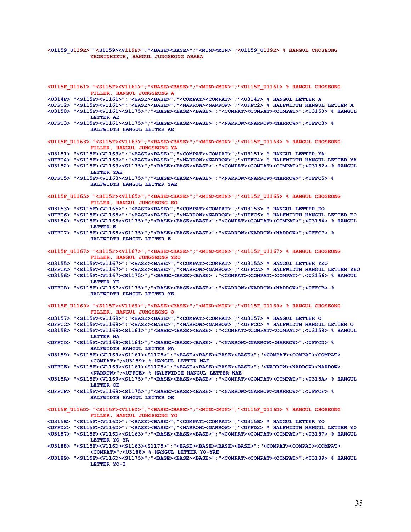#### **<U1159\_U119E> "<S1159><V119E>";"<BASE><BASE>";"<MIN><MIN>";<U1159\_U119E> % HANGUL CHOSEONG YEORINHIEUH, HANGUL JUNGSEONG ARAEA**

**<U115F\_U1161> "<S115F><V1161>";"<BASE><BASE>";"<MIN><MIN>";"<U115F\_U1161> % HANGUL CHOSEONG FILLER, HANGUL JUNGSEONG A <U314F> "<S115F><V1161>";"<BASE><BASE>";"<COMPAT><COMPAT>";"<U314F> % HANGUL LETTER A <UFFC2> "<S115F><V1161>";"<BASE><BASE>";"<NARROW><NARROW>";"<UFFC2> % HALFWIDTH HANGUL LETTER A <U3150> "<S115F><V1161><S1175>";"<BASE><BASE><BASE>";"<COMPAT><COMPAT><COMPAT>";<U3150> % HANGUL LETTER AE <UFFC3> "<S115F><V1161><S1175>";"<BASE><BASE><BASE>";"<NARROW><NARROW><NARROW>";<UFFC3> % HALFWIDTH HANGUL LETTER AE <U115F\_U1163> "<S115F><V1163>";"<BASE><BASE>";"<MIN><MIN>";"<U115F\_U1163> % HANGUL CHOSEONG FILLER, HANGUL JUNGSEONG YA <U3151> "<S115F><V1163>";"<BASE><BASE>";"<COMPAT><COMPAT>";"<U3151> % HANGUL LETTER YA <UFFC4> "<S115F><V1163>";"<BASE><BASE>";"<NARROW><NARROW>";"<UFFC4> % HALFWIDTH HANGUL LETTER YA <U3152> "<S115F><V1163><S1175>";"<BASE><BASE><BASE>";"<COMPAT><COMPAT><COMPAT>";<U3152> % HANGUL LETTER YAE <UFFC5> "<S115F><V1163><S1175>";"<BASE><BASE><BASE>";"<NARROW><NARROW><NARROW>";<UFFC5> % HALFWIDTH HANGUL LETTER YAE <U115F\_U1165> "<S115F><V1165>";"<BASE><BASE>";"<MIN><MIN>";"<U115F\_U1165> % HANGUL CHOSEONG FILLER, HANGUL JUNGSEONG EO <U3153> "<S115F><V1165>";"<BASE><BASE>";"<COMPAT><COMPAT>";"<U3153> % HANGUL LETTER EO <UFFC6> "<S115F><V1165>";"<BASE><BASE>";"<NARROW><NARROW>";"<UFFC6> % HALFWIDTH HANGUL LETTER EO <U3154> "<S115F><V1165><S1175>";"<BASE><BASE><BASE>";"<COMPAT><COMPAT><COMPAT>";<U3154> % HANGUL LETTER E <UFFC7> "<S115F><V1165><S1175>";"<BASE><BASE><BASE>";"<NARROW><NARROW><NARROW>";<UFFC7> % HALFWIDTH HANGUL LETTER E <U115F\_U1167> "<S115F><V1167>";"<BASE><BASE>";"<MIN><MIN>";"<U115F\_U1167> % HANGUL CHOSEONG FILLER, HANGUL JUNGSEONG YEO <U3155> "<S115F><V1167>";"<BASE><BASE>";"<COMPAT><COMPAT>";"<U3155> % HANGUL LETTER YEO <UFFCA> "<S115F><V1167>";"<BASE><BASE>";"<NARROW><NARROW>";"<UFFCA> % HALFWIDTH HANGUL LETTER YEO <U3156> "<S115F><V1167><S1175>";"<BASE><BASE><BASE>";"<COMPAT><COMPAT><COMPAT>";<U3156> % HANGUL LETTER YE <UFFCB> "<S115F><V1167><S1175>";"<BASE><BASE><BASE>";"<NARROW><NARROW><NARROW>";<UFFCB> % HALFWIDTH HANGUL LETTER YE <U115F\_U1169> "<S115F><V1169>";"<BASE><BASE>";"<MIN><MIN>";"<U115F\_U1169> % HANGUL CHOSEONG FILLER, HANGUL JUNGSEONG O <U3157> "<S115F><V1169>";"<BASE><BASE>";"<COMPAT><COMPAT>";"<U3157> % HANGUL LETTER O <UFFCC> "<S115F><V1169>";"<BASE><BASE>";"<NARROW><NARROW>";"<UFFCC> % HALFWIDTH HANGUL LETTER O <U3158> "<S115F><V1169><S1161>";"<BASE><BASE><BASE>";"<COMPAT><COMPAT><COMPAT>";<U3158> % HANGUL LETTER WA <UFFCD> "<S115F><V1169><S1161>";"<BASE><BASE><BASE>";"<NARROW><NARROW><NARROW>";<UFFCD> % HALFWIDTH HANGUL LETTER WA <U3159> "<S115F><V1169><S1161><S1175>";"<BASE><BASE><BASE><BASE>";"<COMPAT><COMPAT><COMPAT> <COMPAT>";<U3159> % HANGUL LETTER WAE <UFFCE> "<S115F><V1169><S1161><S1175>";"<BASE><BASE><BASE><BASE>";"<NARROW><NARROW><NARROW> <NARROW>";<UFFCE> % HALFWIDTH HANGUL LETTER WAE <U315A> "<S115F><V1169><S1175>";"<BASE><BASE><BASE>";"<COMPAT><COMPAT><COMPAT>";<U315A> % HANGUL LETTER OE <UFFCF> "<S115F><V1169><S1175>";"<BASE><BASE><BASE>";"<NARROW><NARROW><NARROW>";<UFFCF> % HALFWIDTH HANGUL LETTER OE <U115F\_U116D> "<S115F><V116D>";"<BASE><BASE>";"<MIN><MIN>";"<U115F\_U116D> % HANGUL CHOSEONG FILLER, HANGUL JUNGSEONG YO <U315B> "<S115F><V116D>";"<BASE><BASE>";"<COMPAT><COMPAT>";"<U315B> % HANGUL LETTER YO <UFFD2> "<S115F><V116D>";"<BASE><BASE>";"<NARROW><NARROW>";"<UFFD2> % HALFWIDTH HANGUL LETTER YO <U3187> "<S115F><V116D><S1163>";"<BASE><BASE><BASE>";"<COMPAT><COMPAT><COMPAT>";<U3187> % HANGUL LETTER YO-YA <U3188> "<S115F><V116D><S1163><S1175>";"<BASE><BASE><BASE><BASE>";"<COMPAT><COMPAT><COMPAT> <COMPAT>";<U3188> % HANGUL LETTER YO-YAE <U3189> "<S115F><V116D><S1175>";"<BASE><BASE><BASE>";"<COMPAT><COMPAT><COMPAT>";<U3189> % HANGUL LETTER YO-I**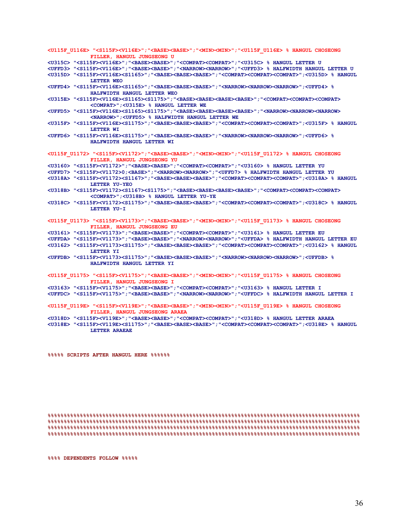**<U115F\_U116E> "<S115F><V116E>";"<BASE><BASE>";"<MIN><MIN>";"<U115F\_U116E> % HANGUL CHOSEONG FILLER, HANGUL JUNGSEONG U <U315C> "<S115F><V116E>";"<BASE><BASE>";"<COMPAT><COMPAT>";"<U315C> % HANGUL LETTER U <UFFD3> "<S115F><V116E>";"<BASE><BASE>";"<NARROW><NARROW>";"<UFFD3> % HALFWIDTH HANGUL LETTER U <U315D> "<S115F><V116E><S1165>";"<BASE><BASE><BASE>";"<COMPAT><COMPAT><COMPAT>";<U315D> % HANGUL LETTER WEO <UFFD4> "<S115F><V116E><S1165>";"<BASE><BASE><BASE>";"<NARROW><NARROW><NARROW>";<UFFD4> % HALFWIDTH HANGUL LETTER WEO <U315E> "<S115F><V116E><S1165><S1175>";"<BASE><BASE><BASE><BASE>";"<COMPAT><COMPAT><COMPAT> <COMPAT>";<U315E> % HANGUL LETTER WE <UFFD5> "<S115F><V116E><S1165><S1175>";"<BASE><BASE><BASE><BASE>";"<NARROW><NARROW><NARROW> <NARROW>";<UFFD5> % HALFWIDTH HANGUL LETTER WE <U315F> "<S115F><V116E><S1175>";"<BASE><BASE><BASE>";"<COMPAT><COMPAT><COMPAT>";<U315F> % HANGUL LETTER WI <UFFD6> "<S115F><V116E><S1175>";"<BASE><BASE><BASE>";"<NARROW><NARROW><NARROW>";<UFFD6> % HALFWIDTH HANGUL LETTER WI <U115F\_U1172> "<S115F><V1172>";"<BASE><BASE>";"<MIN><MIN>";"<U115F\_U1172> % HANGUL CHOSEONG FILLER, HANGUL JUNGSEONG YU <U3160> "<S115F><V1172>";"<BASE><BASE>";"<COMPAT><COMPAT>";"<U3160> % HANGUL LETTER YU <UFFD7> "<S115F><V1172>0;<BASE>";"<NARROW><NARROW>";"<UFFD7> % HALFWIDTH HANGUL LETTER YU <U318A> "<S115F><V1172><S1167>";"<BASE><BASE><BASE>";"<COMPAT><COMPAT><COMPAT>";<U318A> % HANGUL LETTER YU-YEO <U318B> "<S115F><V1172><S1167><S1175>";"<BASE><BASE><BASE><BASE>";"<COMPAT><COMPAT><COMPAT> <COMPAT>";<U318B> % HANGUL LETTER YU-YE <U318C> "<S115F><V1172><S1175>";"<BASE><BASE><BASE>";"<COMPAT><COMPAT><COMPAT>";<U318C> % HANGUL LETTER YU-I <U115F\_U1173> "<S115F><V1173>";"<BASE><BASE>";"<MIN><MIN>";"<U115F\_U1173> % HANGUL CHOSEONG FILLER, HANGUL JUNGSEONG EU <U3161> "<S115F><V1173>";"<BASE><BASE>";"<COMPAT><COMPAT>";"<U3161> % HANGUL LETTER EU <UFFDA> "<S115F><V1173>";"<BASE><BASE>";"<NARROW><NARROW>";"<UFFDA> % HALFWIDTH HANGUL LETTER EU <U3162> "<S115F><V1173><S1175>";"<BASE><BASE><BASE>";"<COMPAT><COMPAT><COMPAT>";<U3162> % HANGUL LETTER YI <UFFDB> "<S115F><V1173><S1175>";"<BASE><BASE><BASE>";"<NARROW><NARROW><NARROW>";<UFFDB> % HALFWIDTH HANGUL LETTER YI <U115F\_U1175> "<S115F><V1175>";"<BASE><BASE>";"<MIN><MIN>";"<U115F\_U1175> % HANGUL CHOSEONG FILLER, HANGUL JUNGSEONG I <U3163> "<S115F><V1175>";"<BASE><BASE>";"<COMPAT><COMPAT>";"<U3163> % HANGUL LETTER I <UFFDC> "<S115F><V1175>";"<BASE><BASE>";"<NARROW><NARROW>";"<UFFDC> % HALFWIDTH HANGUL LETTER I <U115F\_U119E> "<S115F><V119E>";"<BASE><BASE>";"<MIN><MIN>";"<U115F\_U119E> % HANGUL CHOSEONG FILLER, HANGUL JUNGSEONG ARAEA <U318D> "<S115F><V119E>";"<BASE><BASE>";"<COMPAT><COMPAT>";"<U318D> % HANGUL LETTER ARAEA <U318E> "<S115F><V119E><S1175>";"<BASE><BASE><BASE>";"<COMPAT><COMPAT><COMPAT>";<U318E> % HANGUL LETTER ARAEAE** 

**%%%%% SCRIPTS AFTER HANGUL HERE %%%%%%** 

**%%%%%%%%%%%%%%%%%%%%%%%%%%%%%%%%%%%%%%%%%%%%%%%%%%%%%%%%%%%%%%%%%%%%%%%%%%%%%%%%%%%%%%%%%%%%%%%%% %%%%%%%%%%%%%%%%%%%%%%%%%%%%%%%%%%%%%%%%%%%%%%%%%%%%%%%%%%%%%%%%%%%%%%%%%%%%%%%%%%%%%%%%%%%%%%%%% %%%%%%%%%%%%%%%%%%%%%%%%%%%%%%%%%%%%%%%%%%%%%%%%%%%%%%%%%%%%%%%%%%%%%%%%%%%%%%%%%%%%%%%%%%%%%%%%% %%%%%%%%%%%%%%%%%%%%%%%%%%%%%%%%%%%%%%%%%%%%%%%%%%%%%%%%%%%%%%%%%%%%%%%%%%%%%%%%%%%%%%%%%%%%%%%%%** 

**%%%% DEPENDENTS FOLLOW %%%%%**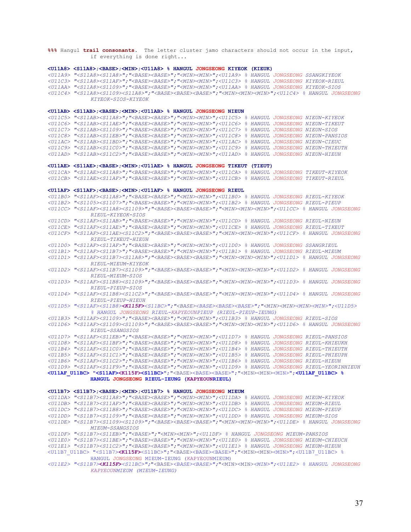**%%%** Hangul **trail consonants**. The letter cluster jamo characters should not occur in the input, if everything is done right...

#### **<U11A8> <S11A8>;<BASE>;<MIN>;<U11A8> % HANGUL JONGSEONG KIYEOK (KIEUK)**

*<U11A9> "<S11A8><S11A8>";"<BASE><BASE>";"<MIN><MIN>";<U11A9> % HANGUL JONGSEONG SSANGKIYEOK <U11C3> "<S11A8><S11AF>";"<BASE><BASE>";"<MIN><MIN>";<U11C3> % HANGUL JONGSEONG KIYEOK-RIEUL <U11AA> "<S11A8><S1109>";"<BASE><BASE>";"<MIN><MIN>";<U11AA> % HANGUL JONGSEONG KIYEOK-SIOS <U11C4> "<S11A8><S1109><S11A8>";"<BASE><BASE><BASE>";"<MIN><MIN><MIN>";<U11C4> % HANGUL JONGSEONG KIYEOK-SIOS-KIYEOK* 

#### **<U11AB> <S11AB>;<BASE>;<MIN>;<U11AB> % HANGUL JONGSEONG NIEUN**

*<U11C5> "<S11AB><S11A8>";"<BASE><BASE>";"<MIN><MIN>";<U11C5> % HANGUL JONGSEONG NIEUN-KIYEOK <U11C6> "<S11AB><S11AE>";"<BASE><BASE>";"<MIN><MIN>";<U11C6> % HANGUL JONGSEONG NIEUN-TIKEUT <U11C7> "<S11AB><S1109>";"<BASE><BASE>";"<MIN><MIN>";<U11C7> % HANGUL JONGSEONG NIEUN-SIOS <U11C8> "<S11AB><S11EB>";"<BASE><BASE>";"<MIN><MIN>";<U11C8> % HANGUL JONGSEONG NIEUN-PANSIOS <U11AC> "<S11AB><S11BD>";"<BASE><BASE>";"<MIN><MIN>";<U11AC> % HANGUL JONGSEONG NIEUN-CIEUC <U11C9> "<S11AB><S11C0>";"<BASE><BASE>";"<MIN><MIN>";<U11C9> % HANGUL JONGSEONG NIEUN-THIEUTH <U11AD> "<S11AB><S11C2>";"<BASE><BASE>";"<MIN><MIN>";<U11AD> % HANGUL JONGSEONG NIEUN-HIEUH* 

#### **<U11AE> <S11AE>;<BASE>;<MIN>;<U11AE> % HANGUL JONGSEONG TIKEUT (TIEUT)**

*<U11CA> "<S11AE><S11A8>";"<BASE><BASE>";"<MIN><MIN>";<U11CA> % HANGUL JONGSEONG TIKEUT-KIYEOK <U11CB> "<S11AE><S11AF>";"<BASE><BASE>";"<MIN><MIN>";<U11CB> % HANGUL JONGSEONG TIKEUT-RIEUL* 

#### **<U11AF> <S11AF>;<BASE>;<MIN>;<U11AF> % HANGUL JONGSEONG RIEUL**

*<U11B0> "<S11AF><S11A8>";"<BASE><BASE>";"<MIN><MIN>";<U11B0> % HANGUL JONGSEONG RIEUL-KIYEOK* 

*<U11B2> "<S1105><S1107>";"<BASE><BASE>";"<MIN><MIN>";<U11B2> % HANGUL JONGSEONG RIEUL-PIEUP* 

*<U11CC> "<S11AF><S11A8><S1109>";"<BASE><BASE><BASE>";"<MIN><MIN><MIN>";<U11CC> % HANGUL JONGSEONG RIEUL-KIYEOK-SIOS* 

*<U11CD> "<S11AF><S11AB>";"<BASE><BASE>";"<MIN><MIN>";<U11CD> % HANGUL JONGSEONG RIEUL-NIEUN* 

*<U11CE> "<S11AF><S11AE>";"<BASE><BASE>";"<MIN><MIN>";<U11CE> % HANGUL JONGSEONG RIEUL-TIKEUT* 

*<U11CF> "<S11AF><S11AE><S11C2>";"<BASE><BASE><BASE>";"<MIN><MIN><MIN>";<U11CF> % HANGUL JONGSEONG RIEUL-TIKEUT-HIEUH* 

*<U11D0> "<S11AF><S11AF>";"<BASE><BASE>";"<MIN><MIN>";<U11D0> % HANGUL JONGSEONG SSANGRIEUL* 

*<U11B1> "<S11AF><S11B7>";"<BASE><BASE>";"<MIN><MIN>";<U11B1> % HANGUL JONGSEONG RIEUL-MIEUM* 

*<U11D1> "<S11AF><S11B7><S11A8>";"<BASE><BASE><BASE>";"<MIN><MIN><MIN>";<U11D1> % HANGUL JONGSEONG RIEUL-MIEUM-KIYEOK* 

- *<U11D2> "<S11AF><S11B7><S1109>";"<BASE><BASE><BASE>";"<MIN><MIN><MIN>";<U11D2> % HANGUL JONGSEONG RIEUL-MIEUM-SIOS*
- *<U11D3> "<S11AF><S11B8><S1109>";"<BASE><BASE><BASE>";"<MIN><MIN><MIN>";<U11D3> % HANGUL JONGSEONG RIEUL-PIEUP-SIOS*
- *<U11D4> "<S11AF><S11B8><S11C2>";"<BASE><BASE><BASE>";"<MIN><MIN><MIN>";<U11D4> % HANGUL JONGSEONG RIEUL-PIEUP-HIEUH*
- *<U11D5> "<S11AF><S11B8><K115F><S11BC>";"<BASE><BASE><BASE><BASE>";"<MIN><MIN><MIN><MIN>";<U11D5> % HANGUL JONGSEONG RIEUL-KAPYEOUNPIEUP (RIEUL-PIEUP-IEUNG)*

*<U11B3> "<S11AF><S1109>";"<BASE><BASE>";"<MIN><MIN>";<U11B3> % HANGUL JONGSEONG RIEUL-SIOS* 

*<U11D6> "<S11AF><S1109><S1109>";"<BASE><BASE><BASE>";"<MIN><MIN><MIN>";<U11D6> % HANGUL JONGSEONG RIEUL-SSANGSIOS* 

*<U11D7> "<S11AF><S11EB>";"<BASE><BASE>";"<MIN><MIN>";<U11D7> % HANGUL JONGSEONG RIEUL-PANSIOS* 

*<U11D8> "<S11AF><S11BF>";"<BASE><BASE>";"<MIN><MIN>";<U11D8> % HANGUL JONGSEONG RIEUL-KHIEUKH* 

*<U11B4> "<S11AF><S11C0>";"<BASE><BASE>";"<MIN><MIN>";<U11B4> % HANGUL JONGSEONG RIEUL-THIEUTH <U11B5> "<S11AF><S11C1>";"<BASE><BASE>";"<MIN><MIN>";<U11B5> % HANGUL JONGSEONG RIEUL-PHIEUPH* 

- *<U11B6> "<S11AF><S11C2>";"<BASE><BASE>";"<MIN><MIN>";<U11B6> % HANGUL JONGSEONG RIEUL-HIEUH*
- *<U11D9> "<S11AF><S11F9>";"<BASE><BASE>";"<MIN><MIN>";<U11D9> % HANGUL JONGSEONG RIEUL-YEORINHIEUH*

**<U11AF\_U11BC> "<S11AF><K115F><S11BC>"**;"<BASE><BASE><BASE>";"<MIN><MIN><MIN>";**<U11AF\_U11BC> % HANGUL JONGSEONG RIEUL-IEUNG (KAPYEOUNRIEUL)** 

**<U11B7> <S11B7>;<BASE>;<MIN>;<U11B7> % HANGUL JONGSEONG MIEUM**  *<U11DA> "<S11B7><S11A8>";"<BASE><BASE>";"<MIN><MIN>";<U11DA> % HANGUL JONGSEONG MIEUM-KIYEOK <U11DB> "<S11B7><S11AF>";"<BASE><BASE>";"<MIN><MIN>";<U11DB> % HANGUL JONGSEONG MIEUM-RIEUL <U11DC> "<S11B7><S11B8>";"<BASE><BASE>";"<MIN><MIN>";<U11DC> % HANGUL JONGSEONG MIEUM-PIEUP <U11DD> "<S11B7><S1109>";"<BASE><BASE>";"<MIN><MIN>";<U11DD> % HANGUL JONGSEONG MIEUM-SIOS <U11DE> "<S11B7><S1109><S1109>";"<BASE><BASE><BASE>";"<MIN><MIN><MIN>";<U11DE> % HANGUL JONGSEONG MIEUM-SSANGSIOS <U11DF> "<S11B7><S11EB>";"<BASE>";"<MIN><MIN>";<U11DF> % HANGUL JONGSEONG MIEUM-PANSIOS <U11E0> "<S11B7><S11BE>";"<BASE><BASE>";"<MIN><MIN>";<U11E0> % HANGUL JONGSEONG MIEUM-CHIEUCH <U11E1> "<S11B7><S11C2>";"<BASE><BASE>";"<MIN><MIN>";<U11E1> % HANGUL JONGSEONG MIEUM-HIEUH*  <U11B7\_U11BC> "<S11B7>**<K115F>**<S11BC>";"<BASE><BASE><BASE>";"<MIN><MIN><MIN>";<U11B7\_U11BC> % HANGUL JONGSEONG MIEUM-IEUNG (KAPYEOUNMIEUM) *<U11E2> "<S11B7>***<***K115F***>***<S11BC>";*"<BASE>*<BASE><BASE>";*"<MIN><MIN>*<MIN>";<U11E2> % HANGUL JONGSEONG*

*KAPYEOUNMIEUM (MIEUM-IEUNG)*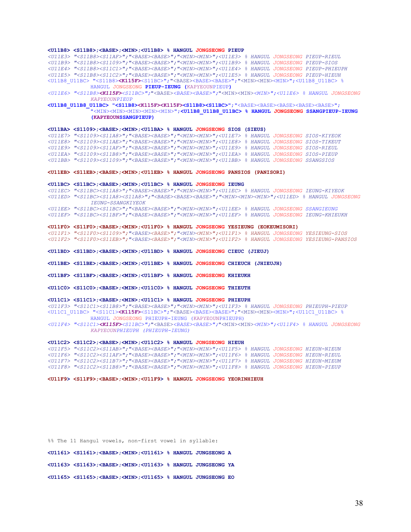#### **<U11B8> <S11B8>;<BASE>;<MIN>;<U11B8> % HANGUL JONGSEONG PIEUP**

*<U11E3> "<S11B8><S11AF>";"<BASE><BASE>";"<MIN><MIN>";<U11E3> % HANGUL JONGSEONG PIEUP-RIEUL <U11B9> "<S11B8><S1109>";"<BASE><BASE>";"<MIN><MIN>";<U11B9> % HANGUL JONGSEONG PIEUP-SIOS <U11E4> "<S11B8><S11C1>";"<BASE><BASE>";"<MIN><MIN>";<U11E4> % HANGUL JONGSEONG PIEUP-PHIEUPH <U11E5> "<S11B8><S11C2>";"<BASE><BASE>";"<MIN><MIN>";<U11E5> % HANGUL JONGSEONG PIEUP-HIEUH*  <U11B8\_U11BC> "<S11B8>**<K115F>**<S11BC>";"<BASE><BASE><BASE>";"<MIN><MIN><MIN>";<U11B8\_U11BC> % HANGUL JONGSEONG **PIEUP-IEUNG (**KAPYEOUNPIEUP**)**

*<U11E6> "<S11B8><K115F><S11BC>";*"<BASE>*<BASE><BASE>";*"<MIN><MIN>*<MIN>";<U11E6> % HANGUL JONGSEONG KAPYEOUNPIEUP* 

#### **<U11B8\_U11B8\_U11BC> "<S11B8><K115F><K115F><S11B8><S11BC>"**;"<BASE><BASE><BASE><BASE><BASE>"; "<MIN><MIN><MIN><MIN><MIN>";**<U11B8\_U11B8\_U11BC> % HANGUL JONGSEONG SSANGPIEUP-IEUNG (KAPYEOUNSSANGPIEUP)**

#### **<U11BA> <S1109>;<BASE>;<MIN>;<U11BA> % HANGUL JONGSEONG SIOS (SIEUS)**

*<U11E7> "<S1109><S11A8>";"<BASE><BASE>";"<MIN><MIN>";<U11E7> % HANGUL JONGSEONG SIOS-KIYEOK <U11E8> "<S1109><S11AE>";"<BASE><BASE>";"<MIN><MIN>";<U11E8> % HANGUL JONGSEONG SIOS-TIKEUT <U11E9> "<S1109><S11AF>";"<BASE><BASE>";"<MIN><MIN>";<U11E9> % HANGUL JONGSEONG SIOS-RIEUL <U11EA> "<S1109><S11B8>";"<BASE><BASE>";"<MIN><MIN>";<U11EA> % HANGUL JONGSEONG SIOS-PIEUP <U11BB> "<S1109><S1109>";"<BASE><BASE>";"<MIN><MIN>";<U11BB> % HANGUL JONGSEONG SSANGSIOS* 

#### **<U11EB> <S11EB>;<BASE>;<MIN>;<U11EB> % HANGUL JONGSEONG PANSIOS (PANISORI)**

#### **<U11BC> <S11BC>;<BASE>;<MIN>;<U11BC> % HANGUL JONGSEONG IEUNG**

*<U11EC> "<S11BC><S11A8>";"<BASE><BASE>";"<MIN><MIN>";<U11EC> % HANGUL JONGSEONG IEUNG-KIYEOK <U11ED> "<S11BC><S11A8><S11A8>";"<BASE><BASE><BASE>";"<MIN><MIN><MIN>";<U11ED> % HANGUL JONGSEONG IEUNG-SSANGKIYEOK* 

*<U11EE> "<S11BC><S11BC>";"<BASE><BASE>";"<MIN><MIN>";<U11EE> % HANGUL JONGSEONG SSANGIEUNG*

*<U11EF> "<S11BC><S11BF>";"<BASE><BASE>";"<MIN><MIN>";<U11EF> % HANGUL JONGSEONG IEUNG-KHIEUKH* 

#### **<U11F0> <S11F0>;<BASE>;<MIN>;<U11F0> % HANGUL JONGSEONG YESIEUNG (EOKEUMISORI)**

*<U11F1> "<S11F0><S1109>";"<BASE><BASE>";"<MIN><MIN>";<U11F1> % HANGUL JONGSEONG YESIEUNG-SIOS <U11F2> "<S11F0><S11EB>";"<BASE><BASE>";"<MIN><MIN>";<U11F2> % HANGUL JONGSEONG YESIEUNG-PANSIOS* 

**<U11BD> <S11BD>;<BASE>;<MIN>;<U11BD> % HANGUL JONGSEONG CIEUC (JIEUJ)** 

**<U11BE> <S11BE>;<BASE>;<MIN>;<U11BE> % HANGUL JONGSEONG CHIEUCH (JHIEUJH)** 

**<U11BF> <S11BF>;<BASE>;<MIN>;<U11BF> % HANGUL JONGSEONG KHIEUKH** 

**<U11C0> <S11C0>;<BASE>;<MIN>;<U11C0> % HANGUL JONGSEONG THIEUTH** 

#### **<U11C1> <S11C1>;<BASE>;<MIN>;<U11C1> % HANGUL JONGSEONG PHIEUPH**

*<U11F3> "<S11C1><S11B8>";"<BASE><BASE>";"<MIN><MIN>";<U11F3> % HANGUL JONGSEONG PHIEUPH-PIEUP*  <U11C1\_U11BC> "<S11C1>**<K115F>**<S11BC>";"<BASE><BASE><BASE>";"<MIN><MIN><MIN>";<U11C1\_U11BC> % HANGUL JONGSEONG PHIEUPH-IEUNG (KAPYEOUNPHIEUPH)

*<U11F4> "<S11C1><K115F><S11BC>";*"<BASE>*<BASE><BASE>";*"<MIN><MIN>*<MIN>";<U11F4> % HANGUL JONGSEONG KAPYEOUNPHIEUPH (PHIEUPH-IEUNG)* 

#### **<U11C2> <S11C2>;<BASE>;<MIN>;<U11C2> % HANGUL JONGSEONG HIEUH**

*<U11F5> "<S11C2><S11AB>";"<BASE><BASE>";"<MIN><MIN>";<U11F5> % HANGUL JONGSEONG HIEUH-NIEUN <U11F6> "<S11C2><S11AF>";"<BASE><BASE>";"<MIN><MIN>";<U11F6> % HANGUL JONGSEONG HIEUH-RIEUL <U11F7> "<S11C2><S11B7>";"<BASE><BASE>";"<MIN><MIN>";<U11F7> % HANGUL JONGSEONG HIEUH-MIEUM <U11F8> "<S11C2><S11B8>";"<BASE><BASE>";"<MIN><MIN>";<U11F8> % HANGUL JONGSEONG HIEUH-PIEUP*

**<U11F9> <S11F9>;<BASE>;<MIN>;<U11F9> % HANGUL JONGSEONG YEORINHIEUH** 

%% The 11 Hangul vowels, non-first vowel in syllable: **<U1161> <S1161>;<BASE>;<MIN>;<U1161> % HANGUL JUNGSEONG A <U1163> <S1163>;<BASE>;<MIN>;<U1163> % HANGUL JUNGSEONG YA <U1165> <S1165>;<BASE>;<MIN>;<U1165> % HANGUL JUNGSEONG EO**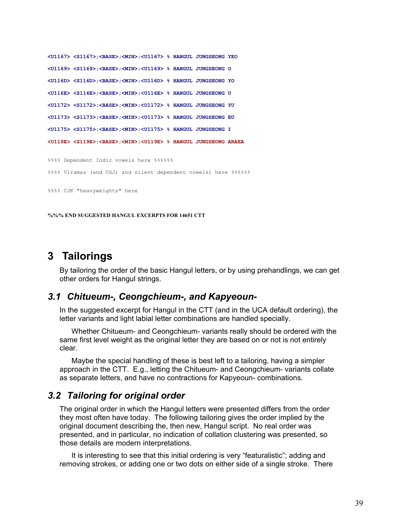```
<U1167> <S1167>;<BASE>;<MIN>;<U1167> % HANGUL JUNGSEONG YEO 
<U1169> <S1169>;<BASE>;<MIN>;<U1169> % HANGUL JUNGSEONG O 
<U116D> <S116D>;<BASE>;<MIN>;<U116D> % HANGUL JUNGSEONG YO 
<U116E> <S116E>;<BASE>;<MIN>;<U116E> % HANGUL JUNGSEONG U 
<U1172> <S1172>;<BASE>;<MIN>;<U1172> % HANGUL JUNGSEONG YU 
<U1173> <S1173>;<BASE>;<MIN>;<U1173> % HANGUL JUNGSEONG EU 
<U1175> <S1175>;<BASE>;<MIN>;<U1175> % HANGUL JUNGSEONG I 
<U119E> <S119E>;<BASE>;<MIN>;<U119E> % HANGUL JUNGSEONG ARAEA 
%%%% Dependent Indic vowels here %%%%%% 
%%%% Viramas (and CGJ; and silent dependent vowels) here %%%%%
%%%% CJK "heavyweights" here
```
**%%% END SUGGESTED HANGUL EXCERPTS FOR 14651 CTT** 

## **3 Tailorings**

By tailoring the order of the basic Hangul letters, or by using prehandlings, we can get other orders for Hangul strings.

### *3.1 Chitueum-, Ceongchieum-, and Kapyeoun-*

In the suggested excerpt for Hangul in the CTT (and in the UCA default ordering), the letter variants and light labial letter combinations are handled specially.

Whether Chitueum- and Ceongchieum- variants really should be ordered with the same first level weight as the original letter they are based on or not is not entirely clear.

Maybe the special handling of these is best left to a tailoring, having a simpler approach in the CTT. E.g., letting the Chitueum- and Ceongchieum- variants collate as separate letters, and have no contractions for Kapyeoun- combinations.

### *3.2 Tailoring for original order*

The original order in which the Hangul letters were presented differs from the order they most often have today. The following tailoring gives the order implied by the original document describing the, then new, Hangul script. No real order was presented, and in particular, no indication of collation clustering was presented, so those details are modern interpretations.

It is interesting to see that this initial ordering is very "featuralistic"; adding and removing strokes, or adding one or two dots on either side of a single stroke. There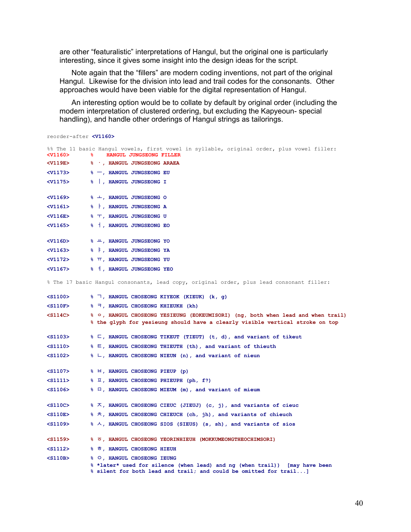are other "featuralistic" interpretations of Hangul, but the original one is particularly interesting, since it gives some insight into the design ideas for the script.

Note again that the "fillers" are modern coding inventions, not part of the original Hangul. Likewise for the division into lead and trail codes for the consonants. Other approaches would have been viable for the digital representation of Hangul.

An interesting option would be to collate by default by original order (including the modern interpretation of clustered ordering, but excluding the Kapyeoun- special handling), and handle other orderings of Hangul strings as tailorings.

| reorder-after <v1160></v1160> |                                                                                                                                                    |
|-------------------------------|----------------------------------------------------------------------------------------------------------------------------------------------------|
| $<$ v1160 $>$                 | %% The 11 basic Hangul vowels, first vowel in syllable, original order, plus vowel filler:<br>HANGUL JUNGSEONG FILLER<br>%∍                        |
| <b><v119e></v119e></b>        | % ., HANGUL JUNGSEONG ARAEA                                                                                                                        |
| <v1173></v1173>               | $\gamma$ -, HANGUL JUNGSEONG EU                                                                                                                    |
| $<$ v1175 $>$                 | %   , HANGUL JUNGSEONG I                                                                                                                           |
| $V1169>$                      | % +, HANGUL JUNGSEONG O                                                                                                                            |
| $<$ v $1161>$                 | %   HANGUL JUNGSEONG A                                                                                                                             |
| $<$ V $116E$ $>$              | % 工, HANGUL JUNGSEONG U                                                                                                                            |
| $<$ v1165 $>$                 | %   HANGUL JUNGSEONG EO                                                                                                                            |
| $<$ V $116D>$                 | % 出, HANGUL JUNGSEONG YO                                                                                                                           |
| $<$ v $1163>$                 | % F, HANGUL JUNGSEONG YA                                                                                                                           |
| $V1172$                       | <b>% TT, HANGUL JUNGSEONG YU</b>                                                                                                                   |
| $<$ v $1167>$                 | % 1, HANGUL JUNGSEONG YEO                                                                                                                          |
|                               | % The 17 basic Hangul consonants, lead copy, original order, plus lead consonant filler:                                                           |
| $<$ S1100 $>$                 | % 7, HANGUL CHOSEONG KIYEOK (KIEUK) (k, g)                                                                                                         |
| $S110F$                       | % ㅋ, HANGUL CHOSEONG KHIEUKH (kh)                                                                                                                  |
| $<$ S114C $>$                 | % o, HANGUL CHOSEONG YESIEUNG (EOKEUMISORI) (ng, both when lead and when trail)                                                                    |
|                               | % the glyph for yesieung should have a clearly visible vertical stroke on top                                                                      |
| $<$ S1103 $>$                 | % $\sqsubset$ , HANGUL CHOSEONG TIKEUT (TIEUT) (t, d), and variant of tikeut                                                                       |
| $<$ s1110 $>$                 | % E, HANGUL CHOSEONG THIEUTH (th), and variant of thieuth                                                                                          |
| $<$ S1102 $>$                 | % L, HANGUL CHOSEONG NIEUN (n), and variant of nieun                                                                                               |
| $<$ S1107>                    | % <sup>日</sup> , HANGUL CHOSEONG PIEUP (p)                                                                                                         |
| $<$ s1111 $>$                 | % $\overline{\mu}$ , HANGUL CHOSEONG PHIEUPH (ph, f?)                                                                                              |
| $<$ S1106 $>$                 | % 口, HANGUL CHOSEONG MIEUM (m), and variant of mieum                                                                                               |
| $<$ s110C $>$                 | % K, HANGUL CHOSEONG CIEUC (JIEUJ) (c, j), and variants of cieuc                                                                                   |
| $<$ S110E $>$                 | % 六, HANGUL CHOSEONG CHIEUCH (ch, jh), and variants of chieuch                                                                                     |
| $<$ S1109 $>$                 | % A, HANGUL CHOSEONG SIOS (SIEUS) (s, sh), and variants of sios                                                                                    |
| $<$ S1159 $>$                 | % 5, HANGUL CHOSEONG YEORINHIEUH (MOKKUMEONGTHEOCHIMSORI)                                                                                          |
| $<$ s1112 $>$                 | % ㅎ, HANGUL CHOSEONG HIEUH                                                                                                                         |
| $<$ S110B $>$                 | % O, HANGUL CHOSEONG IEUNG                                                                                                                         |
|                               | % *later* used for silence (when lead) and ng (when trail))<br>[may have been<br>% silent for both lead and trail; and could be omitted for trail] |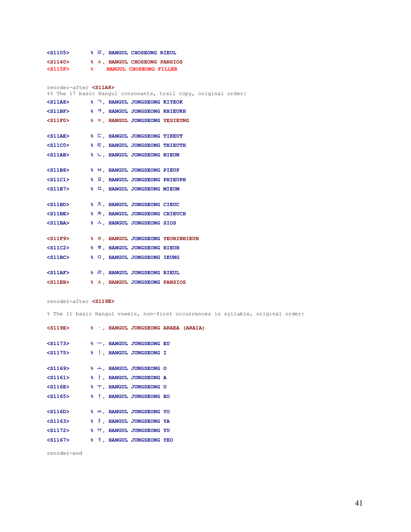| $<$ S1105 $>$ |     | % 己, HANGUL CHOSEONG RIEUL   |  |
|---------------|-----|------------------------------|--|
| $<$ S1140 $>$ |     | % A, HANGUL CHOSEONG PANSIOS |  |
| $<$ S115F $>$ | - 옹 | HANGUL CHOSEONG FILLER       |  |

| reorder-after <s11a8><br/>%% The 17 basic Hangul consonants, trail copy, original order:</s11a8> |  |                                                           |  |  |
|--------------------------------------------------------------------------------------------------|--|-----------------------------------------------------------|--|--|
| <s11a8> % 7, HANGUL JONGSEONG KIYEOK</s11a8>                                                     |  |                                                           |  |  |
| $<$ S11BF $>$                                                                                    |  | $\frac{1}{2}$ $\frac{1}{2}$ , HANGUL JONGSEONG KHIEUKH    |  |  |
| $<$ S11F0 $>$                                                                                    |  | % O, HANGUL JONGSEONG YESIEUNG                            |  |  |
|                                                                                                  |  |                                                           |  |  |
| <s11ae> % E, HANGUL JONGSEONG TIKEUT</s11ae>                                                     |  |                                                           |  |  |
| $<$ S11C0 $>$                                                                                    |  | <b>&amp; E, HANGUL JONGSEONG THIEUTH</b>                  |  |  |
| <s11ab> % L, HANGUL JONGSEONG NIEUN</s11ab>                                                      |  |                                                           |  |  |
|                                                                                                  |  |                                                           |  |  |
| $<$ S11B8 $>$                                                                                    |  | % <sup>日</sup> , HANGUL JONGSEONG PIEUP                   |  |  |
| $11C1>$                                                                                          |  | $\frac{1}{2}$ $\overline{\mu}$ , HANGUL JONGSEONG PHIEUPH |  |  |
| <s11b7> % = , HANGUL JONGSEONG MIEUM</s11b7>                                                     |  |                                                           |  |  |
|                                                                                                  |  |                                                           |  |  |
| $\langle$ S11BD> $\quad$ $\quad$ $\delta$ $\lambda$ , HANGUL JONGSEONG CIEUC                     |  |                                                           |  |  |
| $<$ S11BE $>$                                                                                    |  | % 六, HANGUL JONGSEONG CHIEUCH                             |  |  |
| $<$ S11BA $>$                                                                                    |  | % 人, HANGUL JONGSEONG SIOS                                |  |  |
|                                                                                                  |  |                                                           |  |  |
| <s11f9> % 5, HANGUL JONGSEONG YEORINHIEUH</s11f9>                                                |  |                                                           |  |  |
| $<$ S11C2 $>$                                                                                    |  | % ㅎ, HANGUL JONGSEONG HIEUH                               |  |  |
| <s11bc> % 0, HANGUL JONGSEONG IEUNG</s11bc>                                                      |  |                                                           |  |  |
|                                                                                                  |  |                                                           |  |  |
| $<$ S11AF $>$                                                                                    |  | % 2, HANGUL JONGSEONG RIEUL                               |  |  |
| $<$ S11EB $>$                                                                                    |  | % A, HANGUL JONGSEONG PANSIOS                             |  |  |

#### reorder-after **<S119E>**

% The 11 basic Hangul vowels, non-first occurrences in syllable, original order:

| $<$ S119E $>$                                                  |  | % , HANGUL JUNGSEONG ARAEA (ARAIA)           |  |
|----------------------------------------------------------------|--|----------------------------------------------|--|
| $<$ S1173 $>$                                                  |  | $\epsilon_0 \rightarrow$ HANGUL JUNGSEONG EU |  |
| $<$ S1175 $>$                                                  |  | %  , HANGUL JUNGSEONG I                      |  |
| $<$ S1169 $>$                                                  |  | % +, HANGUL JUNGSEONG O                      |  |
| $\langle$ S1161> $\rightarrow$ $\uparrow$ , HANGUL JUNGSEONG A |  |                                              |  |
| <s116e> % T, HANGUL JUNGSEONG U</s116e>                        |  |                                              |  |
| $<$ S1165 $>$                                                  |  | %   HANGUL JUNGSEONG EO                      |  |
|                                                                |  |                                              |  |
| $<$ S116D $>$                                                  |  | % 出, HANGUL JUNGSEONG YO                     |  |
| $<$ S1163 $>$                                                  |  | % F, HANGUL JUNGSEONG YA                     |  |
| <s1172> % T, HANGUL JUNGSEONG YU</s1172>                       |  |                                              |  |
| $<$ S1167 $>$                                                  |  | %   HANGUL JUNGSEONG YEO                     |  |

reorder-end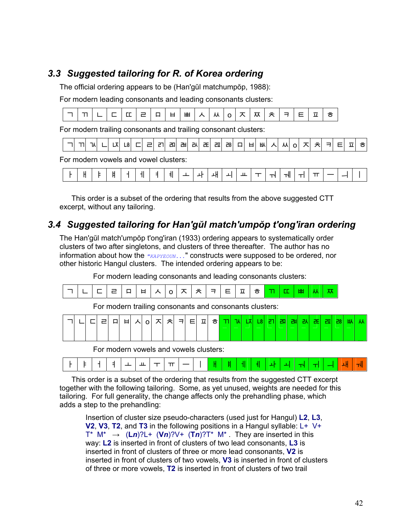## *3.3 Suggested tailoring for R. of Korea ordering*

The official ordering appears to be (Han'gŭl matchumpŏp, 1988):

For modern leading consonants and leading consonants clusters:

|  | _ | --<br>-- | $\overline{\phantom{0}}$ | _<br>. .<br>$\overline{\phantom{0}}$ | ட<br>-<br>- | ᄈ | $\lambda$ | . .<br>ᄊ | ◡ | ́ | $-$<br>ᄊ | -<br>7 |  |  |
|--|---|----------|--------------------------|--------------------------------------|-------------|---|-----------|----------|---|---|----------|--------|--|--|
|  |   |          |                          |                                      |             |   |           |          |   |   |          |        |  |  |

For modern trailing consonants and trailing consonant clusters:

|  |  | ıv |  |  | ∟ō∣ |  | - | 211 | ᇑ | ᆲ | ᆳ | ᆴ | ᇒ | ᄚ | □ | - | ᄡ | ᄉ | ᄊ |  |  | ~ |  |  |  |  |
|--|--|----|--|--|-----|--|---|-----|---|---|---|---|---|---|---|---|---|---|---|--|--|---|--|--|--|--|
|--|--|----|--|--|-----|--|---|-----|---|---|---|---|---|---|---|---|---|---|---|--|--|---|--|--|--|--|

For modern vowels and vowel clusters:

This order is a subset of the ordering that results from the above suggested CTT excerpt, without any tailoring.

## *3.4 Suggested tailoring for Han'gŭl match'umpŏp t'ong'iran ordering*

The Han'gŭl match'umpŏp t'ong'iran (1933) ordering appears to systematically order clusters of two after singletons, and clusters of three thereafter. The author has no information about how the  $\sqrt{KAPYEOUN}$ ..." constructs were supposed to be ordered, nor other historic Hangul clusters. The intended ordering appears to be:

For modern leading consonants and leading consonants clusters:

For modern trailing consonants and consonants clusters:

|  |  | 다리마 |  | <u>비시아지치키티피하<mark>ᄁ</mark>N 떠해례</u> 폐 <mark>폐 씨 레</mark> |  |  |  |  |  |  |  |  | <b>MM</b> |
|--|--|-----|--|----------------------------------------------------------|--|--|--|--|--|--|--|--|-----------|
|  |  |     |  |                                                          |  |  |  |  |  |  |  |  |           |

For modern vowels and vowels clusters:

|  | . . | - |  |  |  |  |  |  |  |  |  |  |  |  |  |  |  |  |  |
|--|-----|---|--|--|--|--|--|--|--|--|--|--|--|--|--|--|--|--|--|
|--|-----|---|--|--|--|--|--|--|--|--|--|--|--|--|--|--|--|--|--|

This order is a subset of the ordering that results from the suggested CTT excerpt together with the following tailoring. Some, as yet unused, weights are needed for this tailoring. For full generality, the change affects only the prehandling phase, which adds a step to the prehandling:

Insertion of cluster size pseudo-characters (used just for Hangul) **L2**, **L3**, **V2**, **V3**, **T2**, and **T3** in the following positions in a Hangul syllable: L+ V+ T<sup>\*</sup> M<sup>\*</sup>  $\rightarrow$  (Ln)?L+ (Vn)?V+ (Tn)?T<sup>\*</sup> M<sup>\*</sup>. They are inserted in this way: **L2** is inserted in front of clusters of two lead consonants, **L3** is inserted in front of clusters of three or more lead consonants, **V2** is inserted in front of clusters of two vowels, **V3** is inserted in front of clusters of three or more vowels, **T2** is inserted in front of clusters of two trail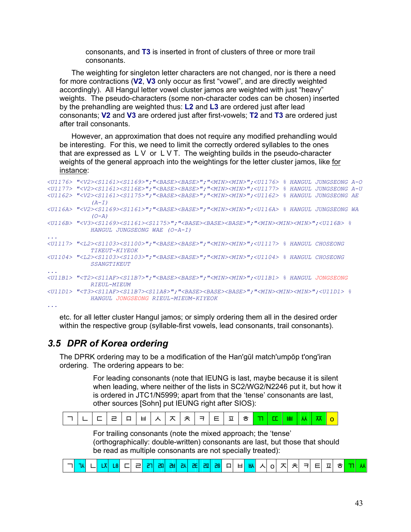consonants, and **T3** is inserted in front of clusters of three or more trail consonants.

The weighting for singleton letter characters are not changed, nor is there a need for more contractions (**V2**, **V3** only occur as first "vowel", and are directly weighted accordingly). All Hangul letter vowel cluster jamos are weighted with just "heavy" weights. The pseudo-characters (some non-character codes can be chosen) inserted by the prehandling are weighted thus: **L2** and **L3** are ordered just after lead consonants; **V2** and **V3** are ordered just after first-vowels; **T2** and **T3** are ordered just after trail consonants.

However, an approximation that does not require any modified prehandling would be interesting. For this, we need to limit the correctly ordered syllables to the ones that are expressed as  $L V$  or  $L V T$ . The weighting builds in the pseudo-character weights of the general approach into the weightings for the letter cluster jamos, like for instance:

```
<U1176> "<V2><S1161><S1169>";"<BASE><BASE>";"<MIN><MIN>";<U1176> % HANGUL JUNGSEONG A-O 
<U1177> "<V2><S1161><S116E>";"<BASE><BASE>";"<MIN><MIN>";<U1177> % HANGUL JUNGSEONG A-U 
<U1162> "<V2><S1161><S1175>";"<BASE><BASE>";"<MIN><MIN>";<U1162> % HANGUL JUNGSEONG AE 
           (A-I) 
<U116A> "<V2><S1169><S1161>";"<BASE><BASE>";"<MIN><MIN>";<U116A> % HANGUL JUNGSEONG WA 
           (O-A) 
<U116B> "<V3><S1169><S1161><S1175>";"<BASE><BASE><BASE>";"<MIN><MIN><MIN>";<U116B> % 
           HANGUL JUNGSEONG WAE (O-A-I) 
... 
<U1117> "<L2><S1103><S1100>";"<BASE><BASE>";"<MIN><MIN>";<U1117> % HANGUL CHOSEONG 
           TIKEUT-KIYEOK 
<U1104> "<L2><S1103><S1103>";"<BASE><BASE>";"<MIN><MIN>";<U1104> % HANGUL CHOSEONG 
           SSANGTIKEUT 
... 
<U11B1> "<T2><S11AF><S11B7>";"<BASE><BASE>";"<MIN><MIN>";<U11B1> % HANGUL JONGSEONG
          RIEUL-MIEUM 
<U11D1> "<T3><S11AF><S11B7><S11A8>";"<BASE><BASE><BASE>";"<MIN><MIN><MIN>";<U11D1> % 
           HANGUL JONGSEONG RIEUL-MIEUM-KIYEOK
```
*...* 

etc. for all letter cluster Hangul jamos; or simply ordering them all in the desired order within the respective group (syllable-first vowels, lead consonants, trail consonants).

## *3.5 DPR of Korea ordering*

The DPRK ordering may to be a modification of the Han'gŭl match'umpŏp t'ong'iran ordering. The ordering appears to be:

> For leading consonants (note that IEUNG is last, maybe because it is silent when leading, where neither of the lists in SC2/WG2/N2246 put it, but how it is ordered in JTC1/N5999; apart from that the 'tense' consonants are last, other sources [Sohn] put IEUNG right after SIOS):

For trailing consonants (note the mixed approach; the 'tense' (orthographically: double-written) consonants are last, but those that should be read as multiple consonants are not specially treated):

| ┌ㄱ <mark>│ ฟ ㄴ│ ᆬ│ ᆭ</mark> │ㄷ│ ㄹ│ <mark>ᆰ│ ᆱ│ 괢│ ఙ│ ᆵ│ ᆶ</mark> │ ㅁ│ ㅂ│ ᄡ│ ㅅ│ o│ ㅈ│ ㅊ│ ㅋ│ ㅌ│ ㅍ│ ㅎ <mark>│ ㄲ│ ㅆ</mark> │ |  |  |  |  |  |  |  |  |  |  |  |  |  |  |  |  |  |  |  |  |  |  |  |  |  |  |
|--------------------------------------------------------------------------------------------------------------------------|--|--|--|--|--|--|--|--|--|--|--|--|--|--|--|--|--|--|--|--|--|--|--|--|--|--|
|--------------------------------------------------------------------------------------------------------------------------|--|--|--|--|--|--|--|--|--|--|--|--|--|--|--|--|--|--|--|--|--|--|--|--|--|--|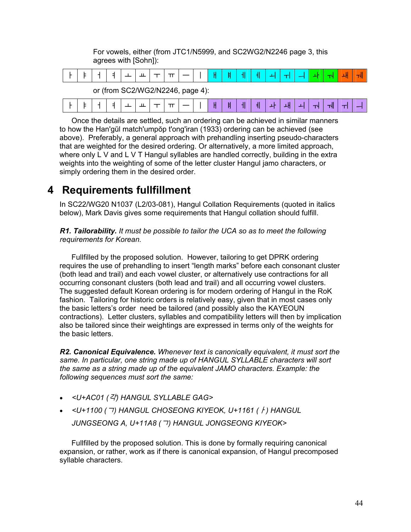|  | agrees with [Sohn]): |                                  |  |  |  |   |  |  |  |  |
|--|----------------------|----------------------------------|--|--|--|---|--|--|--|--|
|  |                      |                                  |  |  |  |   |  |  |  |  |
|  |                      | or (from SC2/WG2/N2246, page 4): |  |  |  |   |  |  |  |  |
|  |                      |                                  |  |  |  | ᅦ |  |  |  |  |

For vowels, either (from JTC1/N5999, and SC2WG2/N2246 page 3, this

Once the details are settled, such an ordering can be achieved in similar manners to how the Han'gŭl match'umpŏp t'ong'iran (1933) ordering can be achieved (see above). Preferably, a general approach with prehandling inserting pseudo-characters that are weighted for the desired ordering. Or alternatively, a more limited approach, where only L V and L V T Hangul syllables are handled correctly, building in the extra weights into the weighting of some of the letter cluster Hangul jamo characters, or simply ordering them in the desired order.

## **4 Requirements fullfillment**

In SC22/WG20 N1037 (L2/03-081), Hangul Collation Requirements (quoted in italics below), Mark Davis gives some requirements that Hangul collation should fulfill.

*R1. Tailorability. It must be possible to tailor the UCA so as to meet the following requirements for Korean.* 

Fullfilled by the proposed solution. However, tailoring to get DPRK ordering requires the use of prehandling to insert "length marks" before each consonant cluster (both lead and trail) and each vowel cluster, or alternatively use contractions for all occurring consonant clusters (both lead and trail) and all occurring vowel clusters. The suggested default Korean ordering is for modern ordering of Hangul in the RoK fashion. Tailoring for historic orders is relatively easy, given that in most cases only the basic letters's order need be tailored (and possibly also the KAYEOUN contractions). Letter clusters, syllables and compatibility letters will then by implication also be tailored since their weightings are expressed in terms only of the weights for the basic letters.

*R2. Canonical Equivalence. Whenever text is canonically equivalent, it must sort the same. In particular, one string made up of HANGUL SYLLABLE characters will sort the same as a string made up of the equivalent JAMO characters. Example: the following sequences must sort the same:* 

- *<U+AC01 (*각*) HANGUL SYLLABLE GAG>*
- *<U+1100 (*ᄀ*) HANGUL CHOSEONG KIYEOK, U+1161 (*ᅡ*) HANGUL JUNGSEONG A, U+11A8 (*ᆨ*) HANGUL JONGSEONG KIYEOK>*

Fullfilled by the proposed solution. This is done by formally requiring canonical expansion, or rather, work as if there is canonical expansion, of Hangul precomposed syllable characters.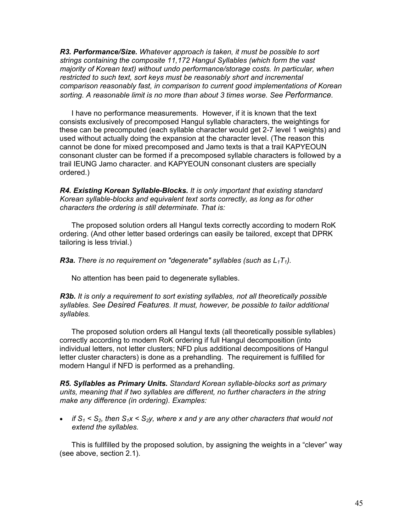*R3. Performance/Size. Whatever approach is taken, it must be possible to sort strings containing the composite 11,172 Hangul Syllables (which form the vast majority of Korean text) without undo performance/storage costs. In particular, when restricted to such text, sort keys must be reasonably short and incremental comparison reasonably fast, in comparison to current good implementations of Korean sorting. A reasonable limit is no more than about 3 times worse. See Performance.* 

I have no performance measurements. However, if it is known that the text consists exclusively of precomposed Hangul syllable characters, the weightings for these can be precomputed (each syllable character would get 2-7 level 1 weights) and used without actually doing the expansion at the character level. (The reason this cannot be done for mixed precomposed and Jamo texts is that a trail KAPYEOUN consonant cluster can be formed if a precomposed syllable characters is followed by a trail IEUNG Jamo character. and KAPYEOUN consonant clusters are specially ordered.)

*R4. Existing Korean Syllable-Blocks. It is only important that existing standard Korean syllable-blocks and equivalent text sorts correctly, as long as for other characters the ordering is still determinate. That is:* 

The proposed solution orders all Hangul texts correctly according to modern RoK ordering. (And other letter based orderings can easily be tailored, except that DPRK tailoring is less trivial.)

**R3a.** There is no requirement on "degenerate" syllables (such as  $L_1T_1$ ).

No attention has been paid to degenerate syllables.

*R3b. It is only a requirement to sort existing syllables, not all theoretically possible syllables. See Desired Features. It must, however, be possible to tailor additional syllables.* 

The proposed solution orders all Hangul texts (all theoretically possible syllables) correctly according to modern RoK ordering if full Hangul decomposition (into individual letters, not letter clusters; NFD plus additional decompositions of Hangul letter cluster characters) is done as a prehandling. The requirement is fulfilled for modern Hangul if NFD is performed as a prehandling.

*R5. Syllables as Primary Units. Standard Korean syllable-blocks sort as primary units, meaning that if two syllables are different, no further characters in the string make any difference (in ordering). Examples:* 

• *if*  $S_1 < S_2$ , then  $S_1x < S_2y$ , where x and y are any other characters that would not *extend the syllables.* 

This is fullfilled by the proposed solution, by assigning the weights in a "clever" way (see above, section 2.1).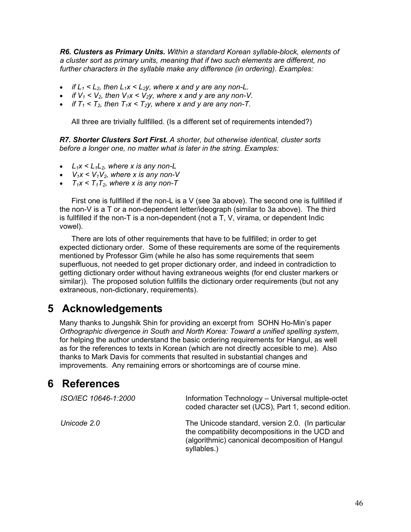*R6. Clusters as Primary Units. Within a standard Korean syllable-block, elements of a cluster sort as primary units, meaning that if two such elements are different, no further characters in the syllable make any difference (in ordering). Examples:* 

- *if*  $L_1 < L_2$ , then  $L_1x < L_2y$ , where x and y are any non-L.
- *if*  $V_1$  <  $V_2$ , then  $V_1$ x <  $V_2$ y, where x and y are any non-V.
- *if*  $T_1 < T_2$ , then  $T_1x < T_2y$ , where x and y are any non-T.

All three are trivially fullfilled. (Is a different set of requirements intended?)

*R7. Shorter Clusters Sort First. A shorter, but otherwise identical, cluster sorts before a longer one, no matter what is later in the string. Examples:* 

- $L_1x < L_1L_2$ , where x is any non-L
- $V_1x \leq V_1V_2$ , where x is any non-V
- $T_1x < T_1T_2$ , where x is any non-T

First one is fullfilled if the non-L is a V (see 3a above). The second one is fullfilled if the non-V is a T or a non-dependent letter/ideograph (similar to 3a above). The third is fullfilled if the non-T is a non-dependent (not a T, V, virama, or dependent Indic vowel).

There are lots of other requirements that have to be fullfilled; in order to get expected dictionary order. Some of these requirements are some of the requirements mentioned by Professor Gim (while he also has some requirements that seem superfluous, not needed to get proper dictionary order, and indeed in contradiction to getting dictionary order without having extraneous weights (for end cluster markers or similar)). The proposed solution fullfills the dictionary order requirements (but not any extraneous, non-dictionary, requirements).

## **5 Acknowledgements**

Many thanks to Jungshik Shin for providing an excerpt from SOHN Ho-Min's paper *Orthographic divergence in South and North Korea: Toward a unified spelling system*, for helping the author understand the basic ordering requirements for Hangul, as well as for the references to texts in Korean (which are not directly accesible to me). Also thanks to Mark Davis for comments that resulted in substantial changes and improvements. Any remaining errors or shortcomings are of course mine.

## **6 References**

| ISO/IEC 10646-1:2000 | Information Technology - Universal multiple-octet<br>coded character set (UCS), Part 1, second edition.                                                                |
|----------------------|------------------------------------------------------------------------------------------------------------------------------------------------------------------------|
| Unicode 2.0          | The Unicode standard, version 2.0. (In particular<br>the compatibility decompositions in the UCD and<br>(algorithmic) canonical decomposition of Hangul<br>syllables.) |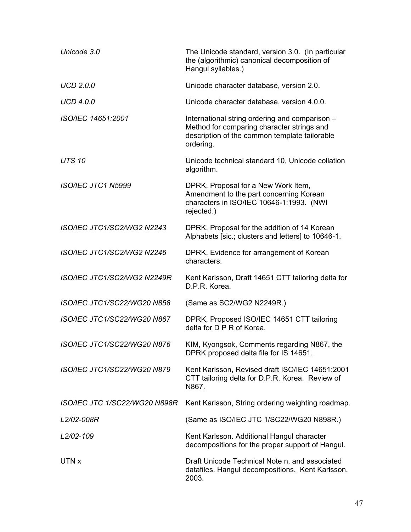| Unicode 3.0                   | The Unicode standard, version 3.0. (In particular<br>the (algorithmic) canonical decomposition of<br>Hangul syllables.)                                    |
|-------------------------------|------------------------------------------------------------------------------------------------------------------------------------------------------------|
| <b>UCD 2.0.0</b>              | Unicode character database, version 2.0.                                                                                                                   |
| <b>UCD 4.0.0</b>              | Unicode character database, version 4.0.0.                                                                                                                 |
| ISO/IEC 14651:2001            | International string ordering and comparison -<br>Method for comparing character strings and<br>description of the common template tailorable<br>ordering. |
| <b>UTS 10</b>                 | Unicode technical standard 10, Unicode collation<br>algorithm.                                                                                             |
| ISO/IEC JTC1 N5999            | DPRK, Proposal for a New Work Item,<br>Amendment to the part concerning Korean<br>characters in ISO/IEC 10646-1:1993. (NWI<br>rejected.)                   |
| ISO/IEC JTC1/SC2/WG2 N2243    | DPRK, Proposal for the addition of 14 Korean<br>Alphabets [sic.; clusters and letters] to 10646-1.                                                         |
| ISO/IEC JTC1/SC2/WG2 N2246    | DPRK, Evidence for arrangement of Korean<br>characters.                                                                                                    |
| ISO/IEC JTC1/SC2/WG2 N2249R   | Kent Karlsson, Draft 14651 CTT tailoring delta for<br>D.P.R. Korea.                                                                                        |
| ISO/IEC JTC1/SC22/WG20 N858   | (Same as SC2/WG2 N2249R.)                                                                                                                                  |
| ISO/IEC JTC1/SC22/WG20 N867   | DPRK, Proposed ISO/IEC 14651 CTT tailoring<br>delta for D P R of Korea.                                                                                    |
| ISO/IEC JTC1/SC22/WG20 N876   | KIM, Kyongsok, Comments regarding N867, the<br>DPRK proposed delta file for IS 14651.                                                                      |
| ISO/IEC JTC1/SC22/WG20 N879   | Kent Karlsson, Revised draft ISO/IEC 14651:2001<br>CTT tailoring delta for D.P.R. Korea. Review of<br>N867.                                                |
| ISO/IEC JTC 1/SC22/WG20 N898R | Kent Karlsson, String ordering weighting roadmap.                                                                                                          |
| L2/02-008R                    | (Same as ISO/IEC JTC 1/SC22/WG20 N898R.)                                                                                                                   |
| L2/02-109                     | Kent Karlsson. Additional Hangul character<br>decompositions for the proper support of Hangul.                                                             |
| UTN x                         | Draft Unicode Technical Note n, and associated<br>datafiles. Hangul decompositions. Kent Karlsson.<br>2003.                                                |